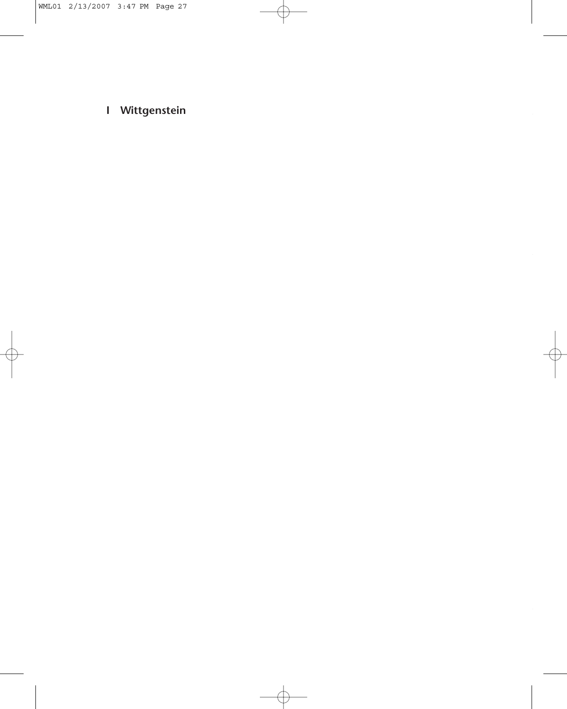**I Wittgenstein**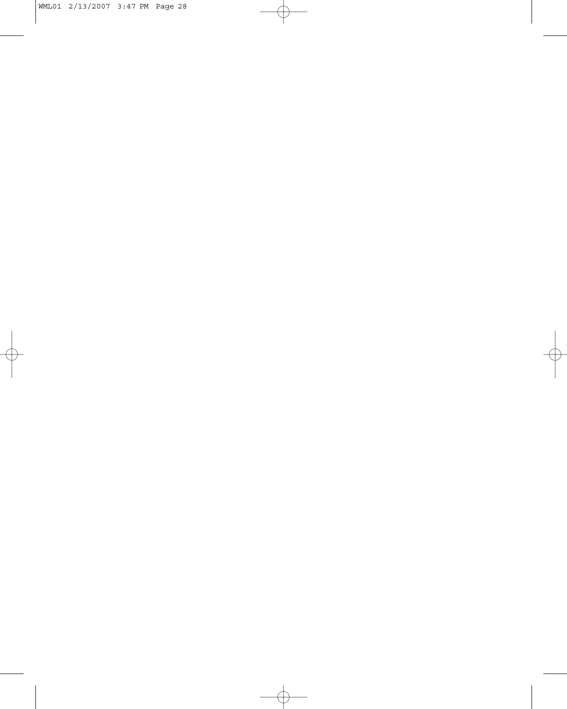WML01 2/13/2007 3:47 PM Page 28

Ŧ

€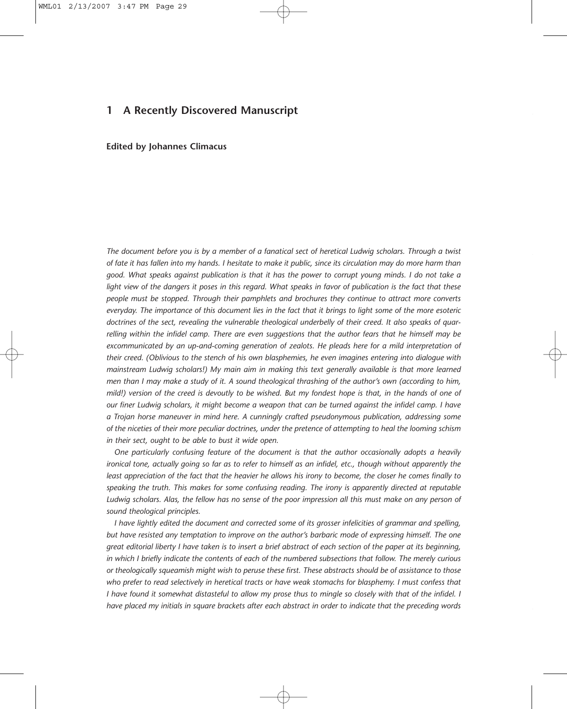# **1 A Recently Discovered Manuscript**

**Edited by Johannes Climacus**

*The document before you is by a member of a fanatical sect of heretical Ludwig scholars. Through a twist of fate it has fallen into my hands. I hesitate to make it public, since its circulation may do more harm than good. What speaks against publication is that it has the power to corrupt young minds. I do not take a light view of the dangers it poses in this regard. What speaks in favor of publication is the fact that these people must be stopped. Through their pamphlets and brochures they continue to attract more converts everyday. The importance of this document lies in the fact that it brings to light some of the more esoteric doctrines of the sect, revealing the vulnerable theological underbelly of their creed. It also speaks of quarrelling within the infidel camp. There are even suggestions that the author fears that he himself may be excommunicated by an up-and-coming generation of zealots. He pleads here for a mild interpretation of their creed. (Oblivious to the stench of his own blasphemies, he even imagines entering into dialogue with mainstream Ludwig scholars!) My main aim in making this text generally available is that more learned men than I may make a study of it. A sound theological thrashing of the author's own (according to him, mild!) version of the creed is devoutly to be wished. But my fondest hope is that, in the hands of one of our finer Ludwig scholars, it might become a weapon that can be turned against the infidel camp. I have a Trojan horse maneuver in mind here. A cunningly crafted pseudonymous publication, addressing some of the niceties of their more peculiar doctrines, under the pretence of attempting to heal the looming schism in their sect, ought to be able to bust it wide open.*

*One particularly confusing feature of the document is that the author occasionally adopts a heavily ironical tone, actually going so far as to refer to himself as an infidel, etc., though without apparently the least appreciation of the fact that the heavier he allows his irony to become, the closer he comes finally to speaking the truth. This makes for some confusing reading. The irony is apparently directed at reputable Ludwig scholars. Alas, the fellow has no sense of the poor impression all this must make on any person of sound theological principles.*

*I have lightly edited the document and corrected some of its grosser infelicities of grammar and spelling, but have resisted any temptation to improve on the author's barbaric mode of expressing himself. The one great editorial liberty I have taken is to insert a brief abstract of each section of the paper at its beginning, in which I briefly indicate the contents of each of the numbered subsections that follow. The merely curious or theologically squeamish might wish to peruse these first. These abstracts should be of assistance to those who prefer to read selectively in heretical tracts or have weak stomachs for blasphemy. I must confess that I have found it somewhat distasteful to allow my prose thus to mingle so closely with that of the infidel. I have placed my initials in square brackets after each abstract in order to indicate that the preceding words*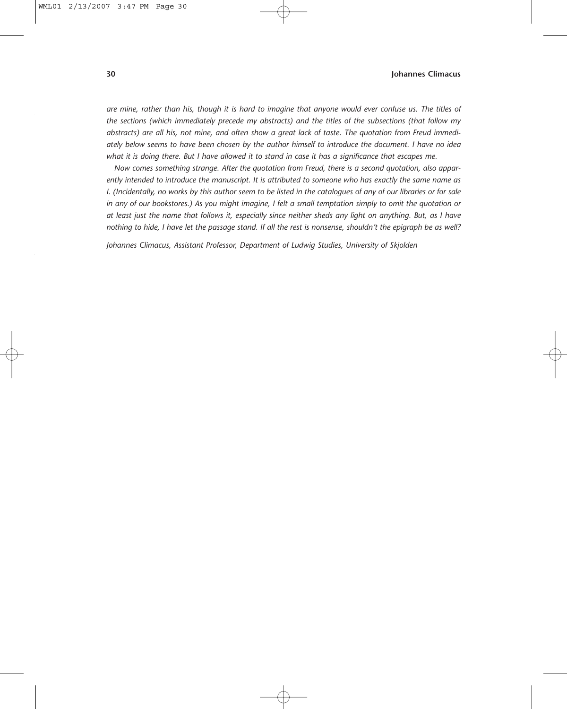#### **30 Johannes Climacus**

*are mine, rather than his, though it is hard to imagine that anyone would ever confuse us. The titles of the sections (which immediately precede my abstracts) and the titles of the subsections (that follow my abstracts) are all his, not mine, and often show a great lack of taste. The quotation from Freud immediately below seems to have been chosen by the author himself to introduce the document. I have no idea what it is doing there. But I have allowed it to stand in case it has a significance that escapes me.*

*Now comes something strange. After the quotation from Freud, there is a second quotation, also apparently intended to introduce the manuscript. It is attributed to someone who has exactly the same name as I. (Incidentally, no works by this author seem to be listed in the catalogues of any of our libraries or for sale in any of our bookstores.) As you might imagine, I felt a small temptation simply to omit the quotation or at least just the name that follows it, especially since neither sheds any light on anything. But, as I have nothing to hide, I have let the passage stand. If all the rest is nonsense, shouldn't the epigraph be as well?*

*Johannes Climacus, Assistant Professor, Department of Ludwig Studies, University of Skjolden*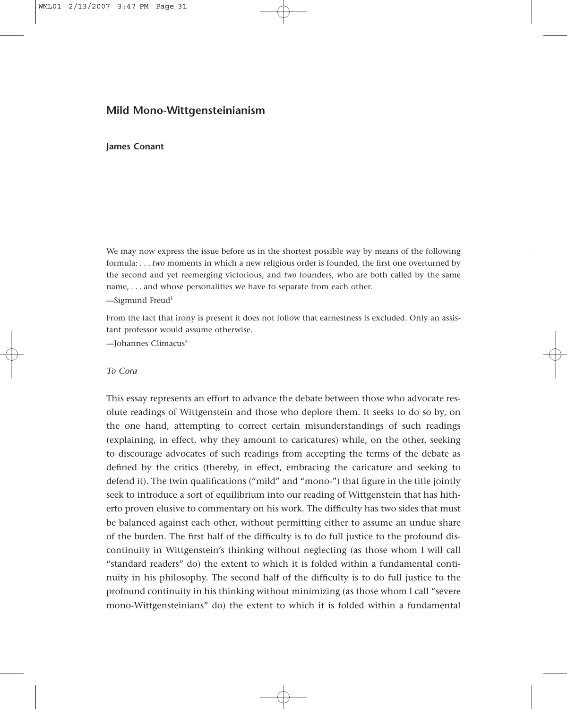### **James Conant**

We may now express the issue before us in the shortest possible way by means of the following formula: . . . *two* moments in which a new religious order is founded, the first one overturned by the second and yet reemerging victorious, and *two* founders, who are both called by the same name, . . . and whose personalities we have to separate from each other.

 $-$ Sigmund Freud<sup>1</sup>

From the fact that irony is present it does not follow that earnestness is excluded. Only an assistant professor would assume otherwise.

—Johannes Climacus2

### *To Cora*

This essay represents an effort to advance the debate between those who advocate resolute readings of Wittgenstein and those who deplore them. It seeks to do so by, on the one hand, attempting to correct certain misunderstandings of such readings (explaining, in effect, why they amount to caricatures) while, on the other, seeking to discourage advocates of such readings from accepting the terms of the debate as defined by the critics (thereby, in effect, embracing the caricature and seeking to defend it). The twin qualifications ("mild" and "mono-") that figure in the title jointly seek to introduce a sort of equilibrium into our reading of Wittgenstein that has hitherto proven elusive to commentary on his work. The difficulty has two sides that must be balanced against each other, without permitting either to assume an undue share of the burden. The first half of the difficulty is to do full justice to the profound discontinuity in Wittgenstein's thinking without neglecting (as those whom I will call "standard readers" do) the extent to which it is folded within a fundamental continuity in his philosophy. The second half of the difficulty is to do full justice to the profound continuity in his thinking without minimizing (as those whom I call "severe mono-Wittgensteinians" do) the extent to which it is folded within a fundamental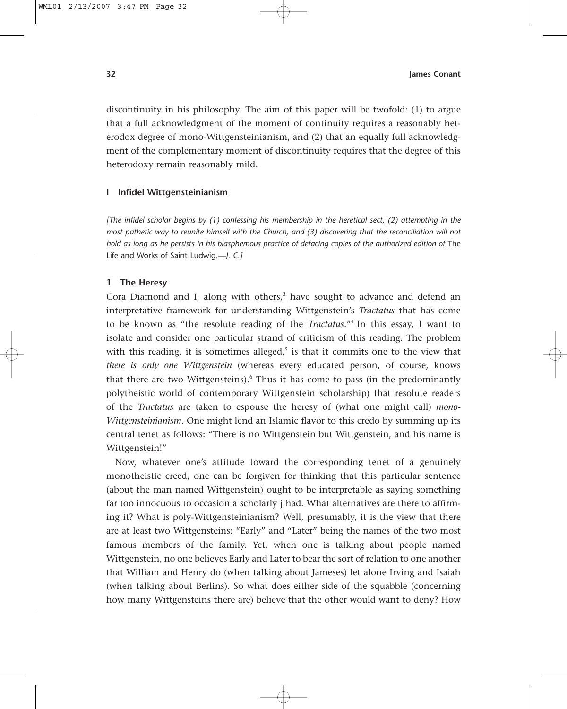discontinuity in his philosophy. The aim of this paper will be twofold: (1) to argue that a full acknowledgment of the moment of continuity requires a reasonably heterodox degree of mono-Wittgensteinianism, and (2) that an equally full acknowledgment of the complementary moment of discontinuity requires that the degree of this heterodoxy remain reasonably mild.

### **I Infidel Wittgensteinianism**

*[The infidel scholar begins by (1) confessing his membership in the heretical sect, (2) attempting in the most pathetic way to reunite himself with the Church, and (3) discovering that the reconciliation will not hold as long as he persists in his blasphemous practice of defacing copies of the authorized edition of* The Life and Works of Saint Ludwig*.—J. C.]*

#### **1 The Heresy**

Cora Diamond and I, along with others, $3$  have sought to advance and defend an interpretative framework for understanding Wittgenstein's *Tractatus* that has come to be known as "the resolute reading of the *Tractatus*."4 In this essay, I want to isolate and consider one particular strand of criticism of this reading. The problem with this reading, it is sometimes alleged, $5$  is that it commits one to the view that *there is only one Wittgenstein* (whereas every educated person, of course, knows that there are two Wittgensteins).<sup>6</sup> Thus it has come to pass (in the predominantly polytheistic world of contemporary Wittgenstein scholarship) that resolute readers of the *Tractatus* are taken to espouse the heresy of (what one might call) *mono-Wittgensteinianism*. One might lend an Islamic flavor to this credo by summing up its central tenet as follows: "There is no Wittgenstein but Wittgenstein, and his name is Wittgenstein!"

Now, whatever one's attitude toward the corresponding tenet of a genuinely monotheistic creed, one can be forgiven for thinking that this particular sentence (about the man named Wittgenstein) ought to be interpretable as saying something far too innocuous to occasion a scholarly jihad. What alternatives are there to affirming it? What is poly-Wittgensteinianism? Well, presumably, it is the view that there are at least two Wittgensteins: "Early" and "Later" being the names of the two most famous members of the family. Yet, when one is talking about people named Wittgenstein, no one believes Early and Later to bear the sort of relation to one another that William and Henry do (when talking about Jameses) let alone Irving and Isaiah (when talking about Berlins). So what does either side of the squabble (concerning how many Wittgensteins there are) believe that the other would want to deny? How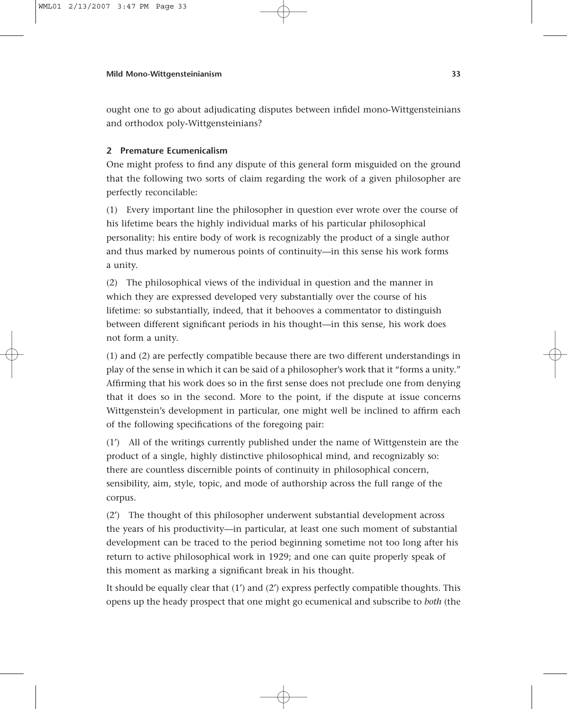ought one to go about adjudicating disputes between infidel mono-Wittgensteinians and orthodox poly-Wittgensteinians?

## **2 Premature Ecumenicalism**

One might profess to find any dispute of this general form misguided on the ground that the following two sorts of claim regarding the work of a given philosopher are perfectly reconcilable:

(1) Every important line the philosopher in question ever wrote over the course of his lifetime bears the highly individual marks of his particular philosophical personality: his entire body of work is recognizably the product of a single author and thus marked by numerous points of continuity—in this sense his work forms a unity.

(2) The philosophical views of the individual in question and the manner in which they are expressed developed very substantially over the course of his lifetime: so substantially, indeed, that it behooves a commentator to distinguish between different significant periods in his thought—in this sense, his work does not form a unity.

(1) and (2) are perfectly compatible because there are two different understandings in play of the sense in which it can be said of a philosopher's work that it "forms a unity." Affirming that his work does so in the first sense does not preclude one from denying that it does so in the second. More to the point, if the dispute at issue concerns Wittgenstein's development in particular, one might well be inclined to affirm each of the following specifications of the foregoing pair:

(1′) All of the writings currently published under the name of Wittgenstein are the product of a single, highly distinctive philosophical mind, and recognizably so: there are countless discernible points of continuity in philosophical concern, sensibility, aim, style, topic, and mode of authorship across the full range of the corpus.

(2′) The thought of this philosopher underwent substantial development across the years of his productivity—in particular, at least one such moment of substantial development can be traced to the period beginning sometime not too long after his return to active philosophical work in 1929; and one can quite properly speak of this moment as marking a significant break in his thought.

It should be equally clear that  $(1')$  and  $(2')$  express perfectly compatible thoughts. This opens up the heady prospect that one might go ecumenical and subscribe to *both* (the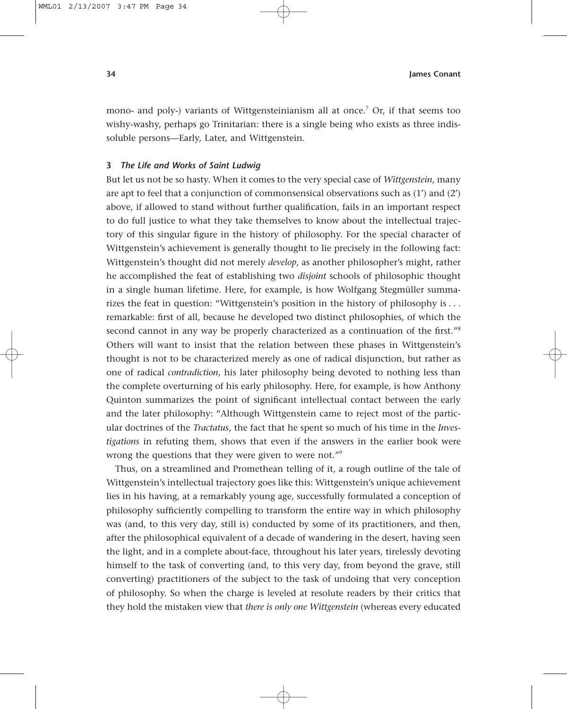mono- and poly-) variants of Wittgensteinianism all at once.<sup>7</sup> Or, if that seems too wishy-washy, perhaps go Trinitarian: there is a single being who exists as three indissoluble persons—Early, Later, and Wittgenstein.

#### **3** *The Life and Works of Saint Ludwig*

But let us not be so hasty. When it comes to the very special case of *Wittgenstein*, many are apt to feel that a conjunction of commonsensical observations such as (1′) and (2′) above, if allowed to stand without further qualification, fails in an important respect to do full justice to what they take themselves to know about the intellectual trajectory of this singular figure in the history of philosophy. For the special character of Wittgenstein's achievement is generally thought to lie precisely in the following fact: Wittgenstein's thought did not merely *develop*, as another philosopher's might, rather he accomplished the feat of establishing two *disjoint* schools of philosophic thought in a single human lifetime. Here, for example, is how Wolfgang Stegmüller summarizes the feat in question: "Wittgenstein's position in the history of philosophy is . . . remarkable: first of all, because he developed two distinct philosophies, of which the second cannot in any way be properly characterized as a continuation of the first."<sup>8</sup> Others will want to insist that the relation between these phases in Wittgenstein's thought is not to be characterized merely as one of radical disjunction, but rather as one of radical *contradiction*, his later philosophy being devoted to nothing less than the complete overturning of his early philosophy. Here, for example, is how Anthony Quinton summarizes the point of significant intellectual contact between the early and the later philosophy: "Although Wittgenstein came to reject most of the particular doctrines of the *Tractatus*, the fact that he spent so much of his time in the *Investigations* in refuting them, shows that even if the answers in the earlier book were wrong the questions that they were given to were not."9

Thus, on a streamlined and Promethean telling of it, a rough outline of the tale of Wittgenstein's intellectual trajectory goes like this: Wittgenstein's unique achievement lies in his having, at a remarkably young age, successfully formulated a conception of philosophy sufficiently compelling to transform the entire way in which philosophy was (and, to this very day, still is) conducted by some of its practitioners, and then, after the philosophical equivalent of a decade of wandering in the desert, having seen the light, and in a complete about-face, throughout his later years, tirelessly devoting himself to the task of converting (and, to this very day, from beyond the grave, still converting) practitioners of the subject to the task of undoing that very conception of philosophy. So when the charge is leveled at resolute readers by their critics that they hold the mistaken view that *there is only one Wittgenstein* (whereas every educated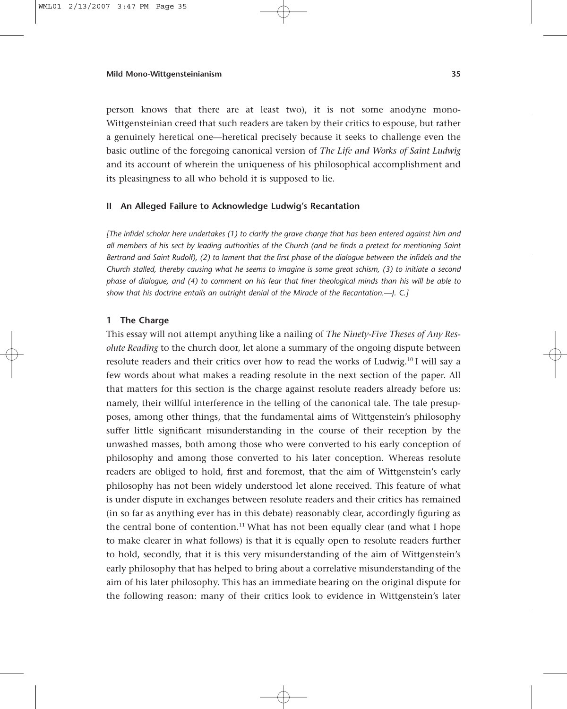person knows that there are at least two), it is not some anodyne mono-Wittgensteinian creed that such readers are taken by their critics to espouse, but rather a genuinely heretical one—heretical precisely because it seeks to challenge even the basic outline of the foregoing canonical version of *The Life and Works of Saint Ludwig* and its account of wherein the uniqueness of his philosophical accomplishment and its pleasingness to all who behold it is supposed to lie.

### **II An Alleged Failure to Acknowledge Ludwig's Recantation**

*[The infidel scholar here undertakes (1) to clarify the grave charge that has been entered against him and all members of his sect by leading authorities of the Church (and he finds a pretext for mentioning Saint Bertrand and Saint Rudolf), (2) to lament that the first phase of the dialogue between the infidels and the Church stalled, thereby causing what he seems to imagine is some great schism, (3) to initiate a second phase of dialogue, and (4) to comment on his fear that finer theological minds than his will be able to show that his doctrine entails an outright denial of the Miracle of the Recantation.—J. C.]*

### **1 The Charge**

This essay will not attempt anything like a nailing of *The Ninety-Five Theses of Any Resolute Reading* to the church door, let alone a summary of the ongoing dispute between resolute readers and their critics over how to read the works of Ludwig.<sup>10</sup> I will say a few words about what makes a reading resolute in the next section of the paper. All that matters for this section is the charge against resolute readers already before us: namely, their willful interference in the telling of the canonical tale. The tale presupposes, among other things, that the fundamental aims of Wittgenstein's philosophy suffer little significant misunderstanding in the course of their reception by the unwashed masses, both among those who were converted to his early conception of philosophy and among those converted to his later conception. Whereas resolute readers are obliged to hold, first and foremost, that the aim of Wittgenstein's early philosophy has not been widely understood let alone received. This feature of what is under dispute in exchanges between resolute readers and their critics has remained (in so far as anything ever has in this debate) reasonably clear, accordingly figuring as the central bone of contention.<sup>11</sup> What has not been equally clear (and what I hope to make clearer in what follows) is that it is equally open to resolute readers further to hold, secondly, that it is this very misunderstanding of the aim of Wittgenstein's early philosophy that has helped to bring about a correlative misunderstanding of the aim of his later philosophy. This has an immediate bearing on the original dispute for the following reason: many of their critics look to evidence in Wittgenstein's later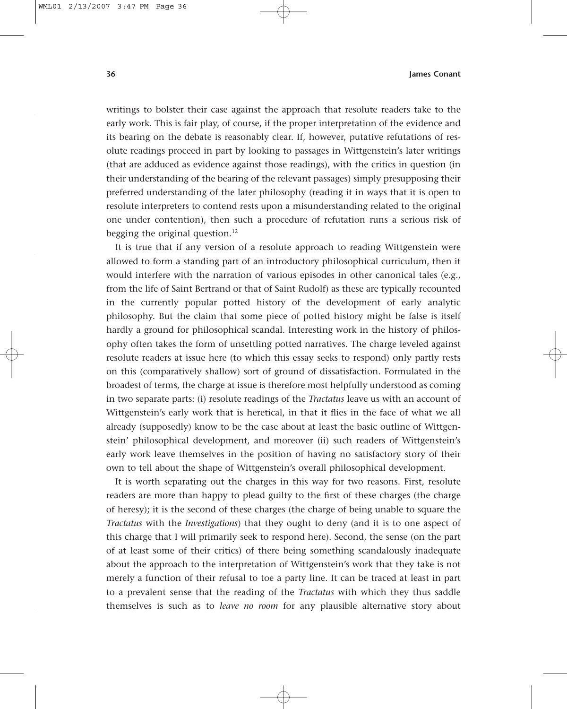#### WML01 2/13/2007 3:47 PM Page 36

**36 James Conant**

writings to bolster their case against the approach that resolute readers take to the early work. This is fair play, of course, if the proper interpretation of the evidence and its bearing on the debate is reasonably clear. If, however, putative refutations of resolute readings proceed in part by looking to passages in Wittgenstein's later writings (that are adduced as evidence against those readings), with the critics in question (in their understanding of the bearing of the relevant passages) simply presupposing their preferred understanding of the later philosophy (reading it in ways that it is open to resolute interpreters to contend rests upon a misunderstanding related to the original one under contention), then such a procedure of refutation runs a serious risk of begging the original question. $^{12}$ 

It is true that if any version of a resolute approach to reading Wittgenstein were allowed to form a standing part of an introductory philosophical curriculum, then it would interfere with the narration of various episodes in other canonical tales (e.g., from the life of Saint Bertrand or that of Saint Rudolf) as these are typically recounted in the currently popular potted history of the development of early analytic philosophy. But the claim that some piece of potted history might be false is itself hardly a ground for philosophical scandal. Interesting work in the history of philosophy often takes the form of unsettling potted narratives. The charge leveled against resolute readers at issue here (to which this essay seeks to respond) only partly rests on this (comparatively shallow) sort of ground of dissatisfaction. Formulated in the broadest of terms, the charge at issue is therefore most helpfully understood as coming in two separate parts: (i) resolute readings of the *Tractatus* leave us with an account of Wittgenstein's early work that is heretical, in that it flies in the face of what we all already (supposedly) know to be the case about at least the basic outline of Wittgenstein' philosophical development, and moreover (ii) such readers of Wittgenstein's early work leave themselves in the position of having no satisfactory story of their own to tell about the shape of Wittgenstein's overall philosophical development.

It is worth separating out the charges in this way for two reasons. First, resolute readers are more than happy to plead guilty to the first of these charges (the charge of heresy); it is the second of these charges (the charge of being unable to square the *Tractatus* with the *Investigations*) that they ought to deny (and it is to one aspect of this charge that I will primarily seek to respond here). Second, the sense (on the part of at least some of their critics) of there being something scandalously inadequate about the approach to the interpretation of Wittgenstein's work that they take is not merely a function of their refusal to toe a party line. It can be traced at least in part to a prevalent sense that the reading of the *Tractatus* with which they thus saddle themselves is such as to *leave no room* for any plausible alternative story about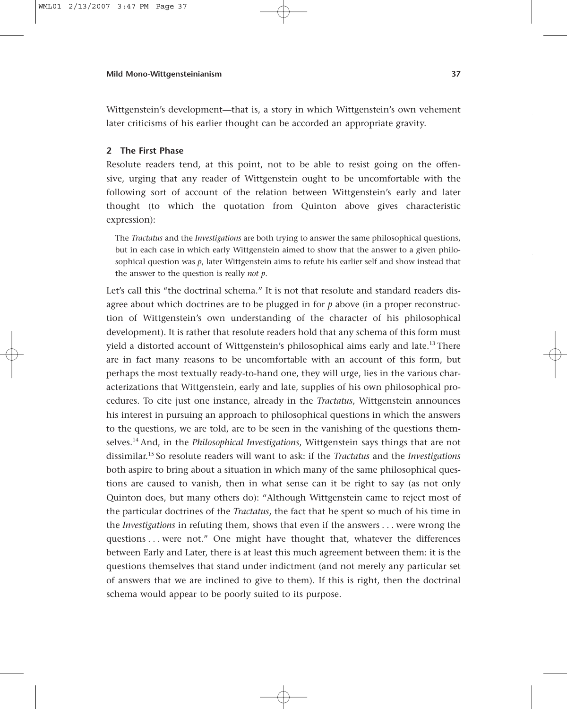Wittgenstein's development—that is, a story in which Wittgenstein's own vehement later criticisms of his earlier thought can be accorded an appropriate gravity.

### **2 The First Phase**

Resolute readers tend, at this point, not to be able to resist going on the offensive, urging that any reader of Wittgenstein ought to be uncomfortable with the following sort of account of the relation between Wittgenstein's early and later thought (to which the quotation from Quinton above gives characteristic expression):

The *Tractatus* and the *Investigations* are both trying to answer the same philosophical questions, but in each case in which early Wittgenstein aimed to show that the answer to a given philosophical question was  $p$ , later Wittgenstein aims to refute his earlier self and show instead that the answer to the question is really *not p*.

Let's call this "the doctrinal schema." It is not that resolute and standard readers disagree about which doctrines are to be plugged in for *p* above (in a proper reconstruction of Wittgenstein's own understanding of the character of his philosophical development). It is rather that resolute readers hold that any schema of this form must yield a distorted account of Wittgenstein's philosophical aims early and late.<sup>13</sup> There are in fact many reasons to be uncomfortable with an account of this form, but perhaps the most textually ready-to-hand one, they will urge, lies in the various characterizations that Wittgenstein, early and late, supplies of his own philosophical procedures. To cite just one instance, already in the *Tractatus*, Wittgenstein announces his interest in pursuing an approach to philosophical questions in which the answers to the questions, we are told, are to be seen in the vanishing of the questions themselves.14 And, in the *Philosophical Investigations*, Wittgenstein says things that are not dissimilar.15 So resolute readers will want to ask: if the *Tractatus* and the *Investigations* both aspire to bring about a situation in which many of the same philosophical questions are caused to vanish, then in what sense can it be right to say (as not only Quinton does, but many others do): "Although Wittgenstein came to reject most of the particular doctrines of the *Tractatus*, the fact that he spent so much of his time in the *Investigations* in refuting them, shows that even if the answers . . . were wrong the questions . . . were not." One might have thought that, whatever the differences between Early and Later, there is at least this much agreement between them: it is the questions themselves that stand under indictment (and not merely any particular set of answers that we are inclined to give to them). If this is right, then the doctrinal schema would appear to be poorly suited to its purpose.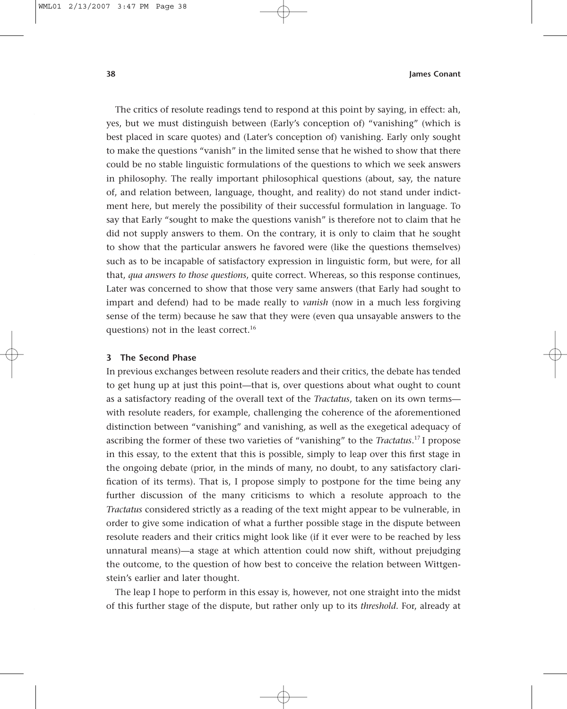The critics of resolute readings tend to respond at this point by saying, in effect: ah, yes, but we must distinguish between (Early's conception of) "vanishing" (which is best placed in scare quotes) and (Later's conception of) vanishing. Early only sought to make the questions "vanish" in the limited sense that he wished to show that there could be no stable linguistic formulations of the questions to which we seek answers in philosophy. The really important philosophical questions (about, say, the nature of, and relation between, language, thought, and reality) do not stand under indictment here, but merely the possibility of their successful formulation in language. To say that Early "sought to make the questions vanish" is therefore not to claim that he did not supply answers to them. On the contrary, it is only to claim that he sought to show that the particular answers he favored were (like the questions themselves) such as to be incapable of satisfactory expression in linguistic form, but were, for all that, *qua answers to those questions*, quite correct. Whereas, so this response continues, Later was concerned to show that those very same answers (that Early had sought to impart and defend) had to be made really to *vanish* (now in a much less forgiving sense of the term) because he saw that they were (even qua unsayable answers to the questions) not in the least correct.<sup>16</sup>

### **3 The Second Phase**

In previous exchanges between resolute readers and their critics, the debate has tended to get hung up at just this point—that is, over questions about what ought to count as a satisfactory reading of the overall text of the *Tractatus*, taken on its own terms with resolute readers, for example, challenging the coherence of the aforementioned distinction between "vanishing" and vanishing, as well as the exegetical adequacy of ascribing the former of these two varieties of "vanishing" to the *Tractatus*. 17 I propose in this essay, to the extent that this is possible, simply to leap over this first stage in the ongoing debate (prior, in the minds of many, no doubt, to any satisfactory clarification of its terms). That is, I propose simply to postpone for the time being any further discussion of the many criticisms to which a resolute approach to the *Tractatus* considered strictly as a reading of the text might appear to be vulnerable, in order to give some indication of what a further possible stage in the dispute between resolute readers and their critics might look like (if it ever were to be reached by less unnatural means)—a stage at which attention could now shift, without prejudging the outcome, to the question of how best to conceive the relation between Wittgenstein's earlier and later thought.

The leap I hope to perform in this essay is, however, not one straight into the midst of this further stage of the dispute, but rather only up to its *threshold*. For, already at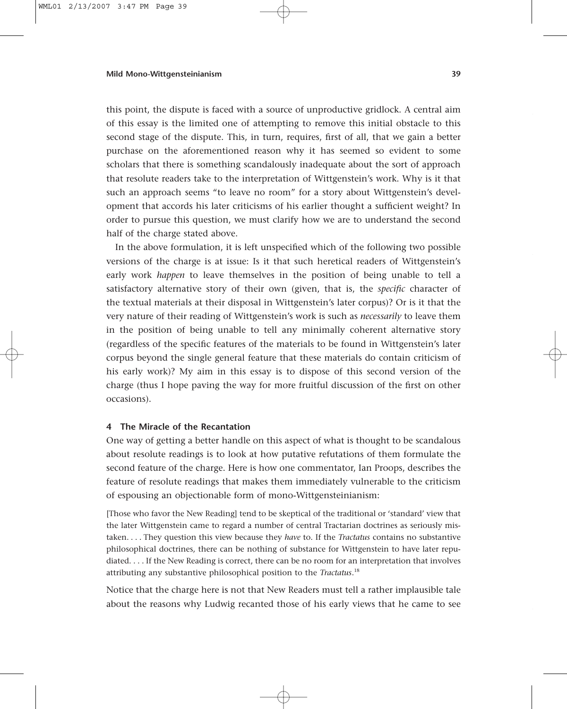this point, the dispute is faced with a source of unproductive gridlock. A central aim of this essay is the limited one of attempting to remove this initial obstacle to this second stage of the dispute. This, in turn, requires, first of all, that we gain a better purchase on the aforementioned reason why it has seemed so evident to some scholars that there is something scandalously inadequate about the sort of approach that resolute readers take to the interpretation of Wittgenstein's work. Why is it that such an approach seems "to leave no room" for a story about Wittgenstein's development that accords his later criticisms of his earlier thought a sufficient weight? In order to pursue this question, we must clarify how we are to understand the second half of the charge stated above.

In the above formulation, it is left unspecified which of the following two possible versions of the charge is at issue: Is it that such heretical readers of Wittgenstein's early work *happen* to leave themselves in the position of being unable to tell a satisfactory alternative story of their own (given, that is, the *specific* character of the textual materials at their disposal in Wittgenstein's later corpus)? Or is it that the very nature of their reading of Wittgenstein's work is such as *necessarily* to leave them in the position of being unable to tell any minimally coherent alternative story (regardless of the specific features of the materials to be found in Wittgenstein's later corpus beyond the single general feature that these materials do contain criticism of his early work)? My aim in this essay is to dispose of this second version of the charge (thus I hope paving the way for more fruitful discussion of the first on other occasions).

### **4 The Miracle of the Recantation**

One way of getting a better handle on this aspect of what is thought to be scandalous about resolute readings is to look at how putative refutations of them formulate the second feature of the charge. Here is how one commentator, Ian Proops, describes the feature of resolute readings that makes them immediately vulnerable to the criticism of espousing an objectionable form of mono-Wittgensteinianism:

[Those who favor the New Reading] tend to be skeptical of the traditional or 'standard' view that the later Wittgenstein came to regard a number of central Tractarian doctrines as seriously mistaken. . . . They question this view because they *have* to. If the *Tractatus* contains no substantive philosophical doctrines, there can be nothing of substance for Wittgenstein to have later repudiated. . . . If the New Reading is correct, there can be no room for an interpretation that involves attributing any substantive philosophical position to the *Tractatus*. 18

Notice that the charge here is not that New Readers must tell a rather implausible tale about the reasons why Ludwig recanted those of his early views that he came to see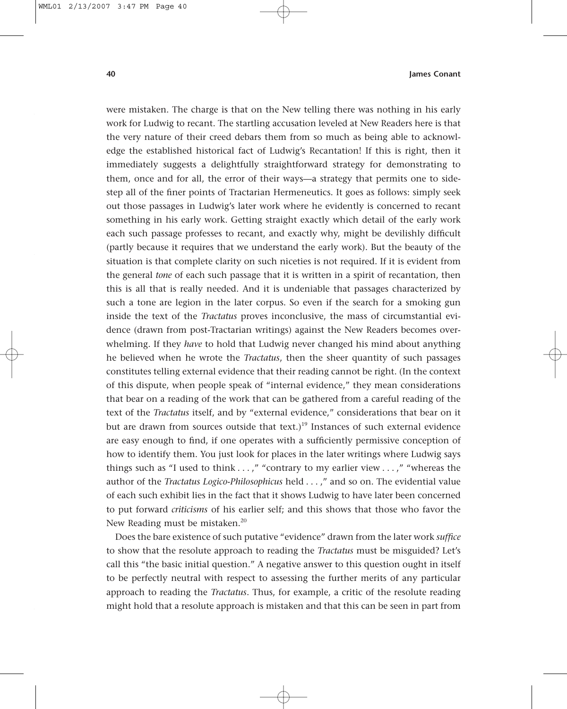were mistaken. The charge is that on the New telling there was nothing in his early work for Ludwig to recant. The startling accusation leveled at New Readers here is that the very nature of their creed debars them from so much as being able to acknowledge the established historical fact of Ludwig's Recantation! If this is right, then it immediately suggests a delightfully straightforward strategy for demonstrating to them, once and for all, the error of their ways—a strategy that permits one to sidestep all of the finer points of Tractarian Hermeneutics. It goes as follows: simply seek out those passages in Ludwig's later work where he evidently is concerned to recant something in his early work. Getting straight exactly which detail of the early work each such passage professes to recant, and exactly why, might be devilishly difficult (partly because it requires that we understand the early work). But the beauty of the situation is that complete clarity on such niceties is not required. If it is evident from the general *tone* of each such passage that it is written in a spirit of recantation, then this is all that is really needed. And it is undeniable that passages characterized by such a tone are legion in the later corpus. So even if the search for a smoking gun inside the text of the *Tractatus* proves inconclusive, the mass of circumstantial evidence (drawn from post-Tractarian writings) against the New Readers becomes overwhelming. If they *have* to hold that Ludwig never changed his mind about anything he believed when he wrote the *Tractatus*, then the sheer quantity of such passages constitutes telling external evidence that their reading cannot be right. (In the context of this dispute, when people speak of "internal evidence," they mean considerations that bear on a reading of the work that can be gathered from a careful reading of the text of the *Tractatus* itself, and by "external evidence," considerations that bear on it but are drawn from sources outside that text.)<sup>19</sup> Instances of such external evidence are easy enough to find, if one operates with a sufficiently permissive conception of how to identify them. You just look for places in the later writings where Ludwig says things such as "I used to think  $\dots$ ," "contrary to my earlier view  $\dots$ ," "whereas the author of the *Tractatus Logico-Philosophicus* held . . . ," and so on. The evidential value of each such exhibit lies in the fact that it shows Ludwig to have later been concerned to put forward *criticisms* of his earlier self; and this shows that those who favor the New Reading must be mistaken.<sup>20</sup>

Does the bare existence of such putative "evidence" drawn from the later work *suffice* to show that the resolute approach to reading the *Tractatus* must be misguided? Let's call this "the basic initial question." A negative answer to this question ought in itself to be perfectly neutral with respect to assessing the further merits of any particular approach to reading the *Tractatus*. Thus, for example, a critic of the resolute reading might hold that a resolute approach is mistaken and that this can be seen in part from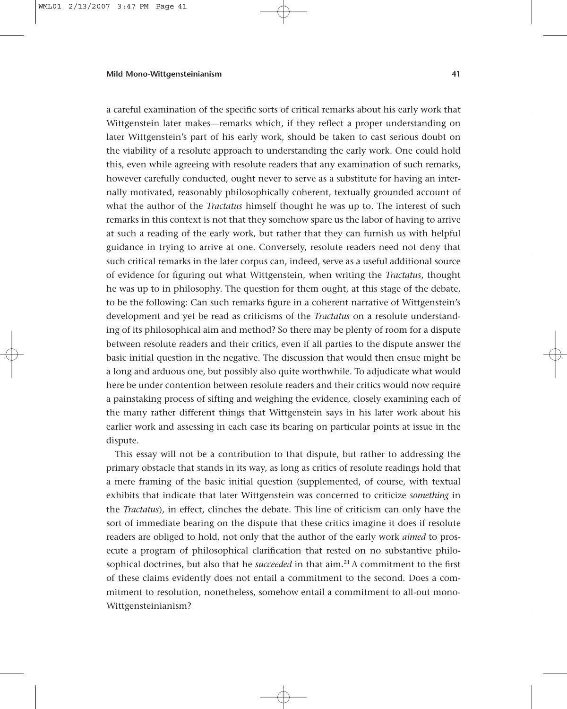a careful examination of the specific sorts of critical remarks about his early work that Wittgenstein later makes—remarks which, if they reflect a proper understanding on later Wittgenstein's part of his early work, should be taken to cast serious doubt on the viability of a resolute approach to understanding the early work. One could hold this, even while agreeing with resolute readers that any examination of such remarks, however carefully conducted, ought never to serve as a substitute for having an internally motivated, reasonably philosophically coherent, textually grounded account of what the author of the *Tractatus* himself thought he was up to. The interest of such remarks in this context is not that they somehow spare us the labor of having to arrive at such a reading of the early work, but rather that they can furnish us with helpful guidance in trying to arrive at one. Conversely, resolute readers need not deny that such critical remarks in the later corpus can, indeed, serve as a useful additional source of evidence for figuring out what Wittgenstein, when writing the *Tractatus*, thought he was up to in philosophy. The question for them ought, at this stage of the debate, to be the following: Can such remarks figure in a coherent narrative of Wittgenstein's development and yet be read as criticisms of the *Tractatus* on a resolute understanding of its philosophical aim and method? So there may be plenty of room for a dispute between resolute readers and their critics, even if all parties to the dispute answer the basic initial question in the negative. The discussion that would then ensue might be a long and arduous one, but possibly also quite worthwhile. To adjudicate what would here be under contention between resolute readers and their critics would now require a painstaking process of sifting and weighing the evidence, closely examining each of the many rather different things that Wittgenstein says in his later work about his earlier work and assessing in each case its bearing on particular points at issue in the dispute.

This essay will not be a contribution to that dispute, but rather to addressing the primary obstacle that stands in its way, as long as critics of resolute readings hold that a mere framing of the basic initial question (supplemented, of course, with textual exhibits that indicate that later Wittgenstein was concerned to criticize *something* in the *Tractatus*), in effect, clinches the debate. This line of criticism can only have the sort of immediate bearing on the dispute that these critics imagine it does if resolute readers are obliged to hold, not only that the author of the early work *aimed* to prosecute a program of philosophical clarification that rested on no substantive philosophical doctrines, but also that he *succeeded* in that aim.<sup>21</sup> A commitment to the first of these claims evidently does not entail a commitment to the second. Does a commitment to resolution, nonetheless, somehow entail a commitment to all-out mono-Wittgensteinianism?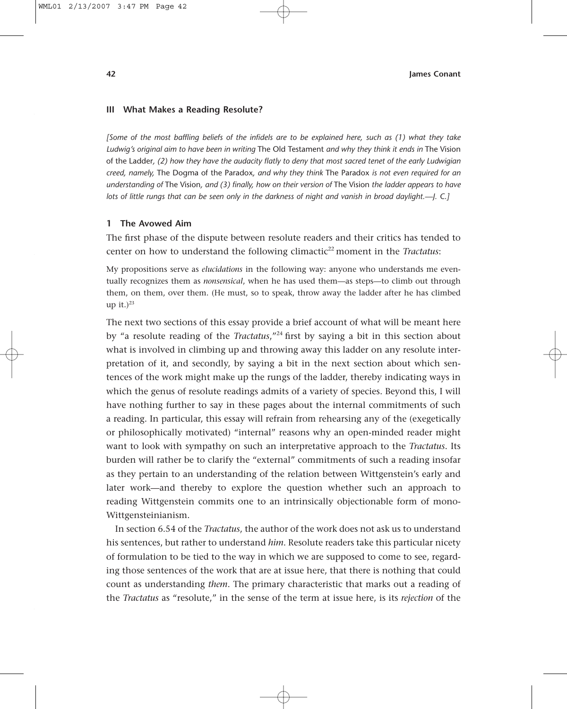#### WML01 2/13/2007 3:47 PM Page 42

**42 James Conant James Conant James Conant** 

### **III What Makes a Reading Resolute?**

*[Some of the most baffling beliefs of the infidels are to be explained here, such as (1) what they take Ludwig's original aim to have been in writing* The Old Testament *and why they think it ends in* The Vision of the Ladder*, (2) how they have the audacity flatly to deny that most sacred tenet of the early Ludwigian creed, namely,* The Dogma of the Paradox*, and why they think* The Paradox *is not even required for an understanding of* The Vision*, and (3) finally, how on their version of* The Vision *the ladder appears to have lots of little rungs that can be seen only in the darkness of night and vanish in broad daylight.—J. C.]*

### **1 The Avowed Aim**

The first phase of the dispute between resolute readers and their critics has tended to center on how to understand the following climactic<sup>22</sup> moment in the *Tractatus*:

My propositions serve as *elucidations* in the following way: anyone who understands me eventually recognizes them as *nonsensical*, when he has used them—as steps—to climb out through them, on them, over them. (He must, so to speak, throw away the ladder after he has climbed up it.) $^{23}$ 

The next two sections of this essay provide a brief account of what will be meant here by "a resolute reading of the *Tractatus*,"24 first by saying a bit in this section about what is involved in climbing up and throwing away this ladder on any resolute interpretation of it, and secondly, by saying a bit in the next section about which sentences of the work might make up the rungs of the ladder, thereby indicating ways in which the genus of resolute readings admits of a variety of species. Beyond this, I will have nothing further to say in these pages about the internal commitments of such a reading. In particular, this essay will refrain from rehearsing any of the (exegetically or philosophically motivated) "internal" reasons why an open-minded reader might want to look with sympathy on such an interpretative approach to the *Tractatus*. Its burden will rather be to clarify the "external" commitments of such a reading insofar as they pertain to an understanding of the relation between Wittgenstein's early and later work—and thereby to explore the question whether such an approach to reading Wittgenstein commits one to an intrinsically objectionable form of mono-Wittgensteinianism.

In section 6.54 of the *Tractatus*, the author of the work does not ask us to understand his sentences, but rather to understand *him*. Resolute readers take this particular nicety of formulation to be tied to the way in which we are supposed to come to see, regarding those sentences of the work that are at issue here, that there is nothing that could count as understanding *them*. The primary characteristic that marks out a reading of the *Tractatus* as "resolute," in the sense of the term at issue here, is its *rejection* of the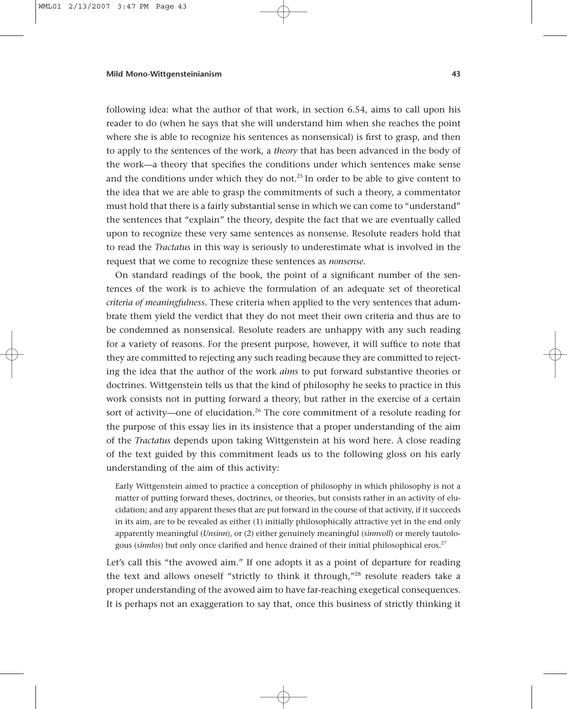following idea: what the author of that work, in section 6.54, aims to call upon his reader to do (when he says that she will understand him when she reaches the point where she is able to recognize his sentences as nonsensical) is first to grasp, and then to apply to the sentences of the work, a *theory* that has been advanced in the body of the work—a theory that specifies the conditions under which sentences make sense and the conditions under which they do not.<sup>25</sup> In order to be able to give content to the idea that we are able to grasp the commitments of such a theory, a commentator must hold that there is a fairly substantial sense in which we can come to "understand" the sentences that "explain" the theory, despite the fact that we are eventually called upon to recognize these very same sentences as nonsense. Resolute readers hold that to read the *Tractatus* in this way is seriously to underestimate what is involved in the request that we come to recognize these sentences as *nonsense*.

On standard readings of the book, the point of a significant number of the sentences of the work is to achieve the formulation of an adequate set of theoretical *criteria of meaningfulness*. These criteria when applied to the very sentences that adumbrate them yield the verdict that they do not meet their own criteria and thus are to be condemned as nonsensical. Resolute readers are unhappy with any such reading for a variety of reasons. For the present purpose, however, it will suffice to note that they are committed to rejecting any such reading because they are committed to rejecting the idea that the author of the work *aims* to put forward substantive theories or doctrines. Wittgenstein tells us that the kind of philosophy he seeks to practice in this work consists not in putting forward a theory, but rather in the exercise of a certain sort of activity—one of elucidation.<sup>26</sup> The core commitment of a resolute reading for the purpose of this essay lies in its insistence that a proper understanding of the aim of the *Tractatus* depends upon taking Wittgenstein at his word here. A close reading of the text guided by this commitment leads us to the following gloss on his early understanding of the aim of this activity:

Early Wittgenstein aimed to practice a conception of philosophy in which philosophy is not a matter of putting forward theses, doctrines, or theories, but consists rather in an activity of elucidation; and any apparent theses that are put forward in the course of that activity, if it succeeds in its aim, are to be revealed as either (1) initially philosophically attractive yet in the end only apparently meaningful (*Unsinn*), or (2) either genuinely meaningful (*sinnvoll*) or merely tautologous (*sinnlos*) but only once clarified and hence drained of their initial philosophical eros.<sup>27</sup>

Let's call this "the avowed aim." If one adopts it as a point of departure for reading the text and allows oneself "strictly to think it through,"28 resolute readers take a proper understanding of the avowed aim to have far-reaching exegetical consequences. It is perhaps not an exaggeration to say that, once this business of strictly thinking it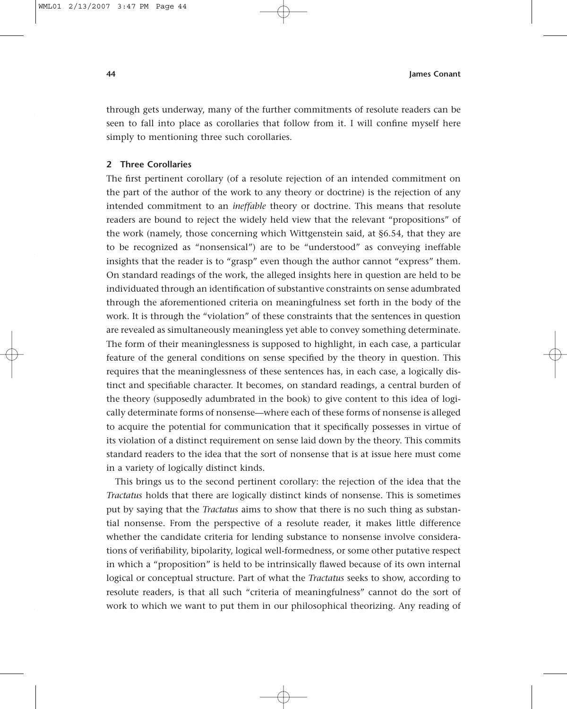through gets underway, many of the further commitments of resolute readers can be seen to fall into place as corollaries that follow from it. I will confine myself here simply to mentioning three such corollaries.

# **2 Three Corollaries**

The first pertinent corollary (of a resolute rejection of an intended commitment on the part of the author of the work to any theory or doctrine) is the rejection of any intended commitment to an *ineffable* theory or doctrine. This means that resolute readers are bound to reject the widely held view that the relevant "propositions" of the work (namely, those concerning which Wittgenstein said, at §6.54, that they are to be recognized as "nonsensical") are to be "understood" as conveying ineffable insights that the reader is to "grasp" even though the author cannot "express" them. On standard readings of the work, the alleged insights here in question are held to be individuated through an identification of substantive constraints on sense adumbrated through the aforementioned criteria on meaningfulness set forth in the body of the work. It is through the "violation" of these constraints that the sentences in question are revealed as simultaneously meaningless yet able to convey something determinate. The form of their meaninglessness is supposed to highlight, in each case, a particular feature of the general conditions on sense specified by the theory in question. This requires that the meaninglessness of these sentences has, in each case, a logically distinct and specifiable character. It becomes, on standard readings, a central burden of the theory (supposedly adumbrated in the book) to give content to this idea of logically determinate forms of nonsense—where each of these forms of nonsense is alleged to acquire the potential for communication that it specifically possesses in virtue of its violation of a distinct requirement on sense laid down by the theory. This commits standard readers to the idea that the sort of nonsense that is at issue here must come in a variety of logically distinct kinds.

This brings us to the second pertinent corollary: the rejection of the idea that the *Tractatus* holds that there are logically distinct kinds of nonsense. This is sometimes put by saying that the *Tractatus* aims to show that there is no such thing as substantial nonsense. From the perspective of a resolute reader, it makes little difference whether the candidate criteria for lending substance to nonsense involve considerations of verifiability, bipolarity, logical well-formedness, or some other putative respect in which a "proposition" is held to be intrinsically flawed because of its own internal logical or conceptual structure. Part of what the *Tractatus* seeks to show, according to resolute readers, is that all such "criteria of meaningfulness" cannot do the sort of work to which we want to put them in our philosophical theorizing. Any reading of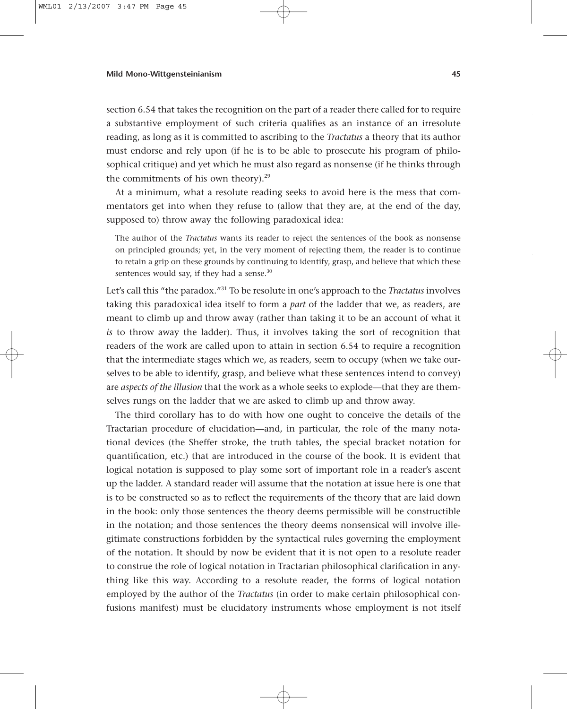section 6.54 that takes the recognition on the part of a reader there called for to require a substantive employment of such criteria qualifies as an instance of an irresolute reading, as long as it is committed to ascribing to the *Tractatus* a theory that its author must endorse and rely upon (if he is to be able to prosecute his program of philosophical critique) and yet which he must also regard as nonsense (if he thinks through the commitments of his own theory). $29$ 

At a minimum, what a resolute reading seeks to avoid here is the mess that commentators get into when they refuse to (allow that they are, at the end of the day, supposed to) throw away the following paradoxical idea:

The author of the *Tractatus* wants its reader to reject the sentences of the book as nonsense on principled grounds; yet, in the very moment of rejecting them, the reader is to continue to retain a grip on these grounds by continuing to identify, grasp, and believe that which these sentences would say, if they had a sense.<sup>30</sup>

Let's call this "the paradox."31 To be resolute in one's approach to the *Tractatus* involves taking this paradoxical idea itself to form a *part* of the ladder that we, as readers, are meant to climb up and throw away (rather than taking it to be an account of what it *is* to throw away the ladder). Thus, it involves taking the sort of recognition that readers of the work are called upon to attain in section 6.54 to require a recognition that the intermediate stages which we, as readers, seem to occupy (when we take ourselves to be able to identify, grasp, and believe what these sentences intend to convey) are *aspects of the illusion* that the work as a whole seeks to explode—that they are themselves rungs on the ladder that we are asked to climb up and throw away.

The third corollary has to do with how one ought to conceive the details of the Tractarian procedure of elucidation—and, in particular, the role of the many notational devices (the Sheffer stroke, the truth tables, the special bracket notation for quantification, etc.) that are introduced in the course of the book. It is evident that logical notation is supposed to play some sort of important role in a reader's ascent up the ladder. A standard reader will assume that the notation at issue here is one that is to be constructed so as to reflect the requirements of the theory that are laid down in the book: only those sentences the theory deems permissible will be constructible in the notation; and those sentences the theory deems nonsensical will involve illegitimate constructions forbidden by the syntactical rules governing the employment of the notation. It should by now be evident that it is not open to a resolute reader to construe the role of logical notation in Tractarian philosophical clarification in anything like this way. According to a resolute reader, the forms of logical notation employed by the author of the *Tractatus* (in order to make certain philosophical confusions manifest) must be elucidatory instruments whose employment is not itself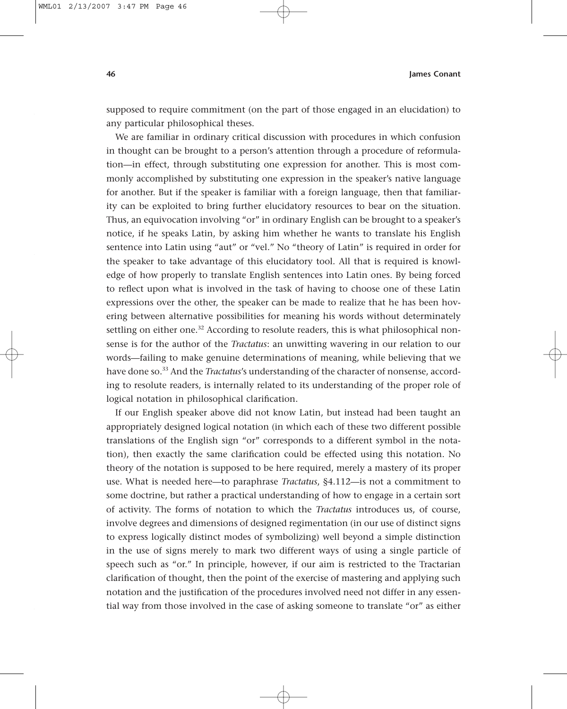supposed to require commitment (on the part of those engaged in an elucidation) to any particular philosophical theses.

We are familiar in ordinary critical discussion with procedures in which confusion in thought can be brought to a person's attention through a procedure of reformulation—in effect, through substituting one expression for another. This is most commonly accomplished by substituting one expression in the speaker's native language for another. But if the speaker is familiar with a foreign language, then that familiarity can be exploited to bring further elucidatory resources to bear on the situation. Thus, an equivocation involving "or" in ordinary English can be brought to a speaker's notice, if he speaks Latin, by asking him whether he wants to translate his English sentence into Latin using "aut" or "vel." No "theory of Latin" is required in order for the speaker to take advantage of this elucidatory tool. All that is required is knowledge of how properly to translate English sentences into Latin ones. By being forced to reflect upon what is involved in the task of having to choose one of these Latin expressions over the other, the speaker can be made to realize that he has been hovering between alternative possibilities for meaning his words without determinately settling on either one.<sup>32</sup> According to resolute readers, this is what philosophical nonsense is for the author of the *Tractatus*: an unwitting wavering in our relation to our words—failing to make genuine determinations of meaning, while believing that we have done so.33 And the *Tractatus*'s understanding of the character of nonsense, according to resolute readers, is internally related to its understanding of the proper role of logical notation in philosophical clarification.

If our English speaker above did not know Latin, but instead had been taught an appropriately designed logical notation (in which each of these two different possible translations of the English sign "or" corresponds to a different symbol in the notation), then exactly the same clarification could be effected using this notation. No theory of the notation is supposed to be here required, merely a mastery of its proper use. What is needed here—to paraphrase *Tractatus*, §4.112—is not a commitment to some doctrine, but rather a practical understanding of how to engage in a certain sort of activity. The forms of notation to which the *Tractatus* introduces us, of course, involve degrees and dimensions of designed regimentation (in our use of distinct signs to express logically distinct modes of symbolizing) well beyond a simple distinction in the use of signs merely to mark two different ways of using a single particle of speech such as "or." In principle, however, if our aim is restricted to the Tractarian clarification of thought, then the point of the exercise of mastering and applying such notation and the justification of the procedures involved need not differ in any essential way from those involved in the case of asking someone to translate "or" as either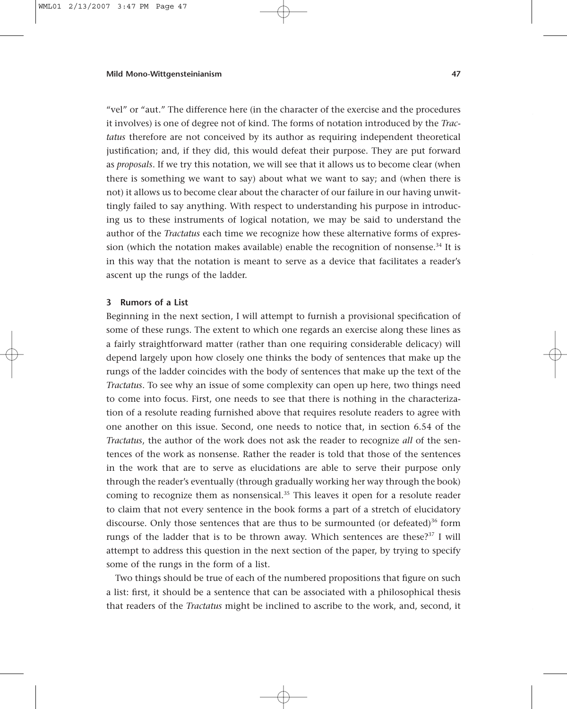"vel" or "aut." The difference here (in the character of the exercise and the procedures it involves) is one of degree not of kind. The forms of notation introduced by the *Tractatus* therefore are not conceived by its author as requiring independent theoretical justification; and, if they did, this would defeat their purpose. They are put forward as *proposals*. If we try this notation, we will see that it allows us to become clear (when there is something we want to say) about what we want to say; and (when there is not) it allows us to become clear about the character of our failure in our having unwittingly failed to say anything. With respect to understanding his purpose in introducing us to these instruments of logical notation, we may be said to understand the author of the *Tractatus* each time we recognize how these alternative forms of expression (which the notation makes available) enable the recognition of nonsense. $34$  It is in this way that the notation is meant to serve as a device that facilitates a reader's ascent up the rungs of the ladder.

### **3 Rumors of a List**

Beginning in the next section, I will attempt to furnish a provisional specification of some of these rungs. The extent to which one regards an exercise along these lines as a fairly straightforward matter (rather than one requiring considerable delicacy) will depend largely upon how closely one thinks the body of sentences that make up the rungs of the ladder coincides with the body of sentences that make up the text of the *Tractatus*. To see why an issue of some complexity can open up here, two things need to come into focus. First, one needs to see that there is nothing in the characterization of a resolute reading furnished above that requires resolute readers to agree with one another on this issue. Second, one needs to notice that, in section 6.54 of the *Tractatus*, the author of the work does not ask the reader to recognize *all* of the sentences of the work as nonsense. Rather the reader is told that those of the sentences in the work that are to serve as elucidations are able to serve their purpose only through the reader's eventually (through gradually working her way through the book) coming to recognize them as nonsensical. $35$  This leaves it open for a resolute reader to claim that not every sentence in the book forms a part of a stretch of elucidatory discourse. Only those sentences that are thus to be surmounted (or defeated) $36$  form rungs of the ladder that is to be thrown away. Which sentences are these? $37$  I will attempt to address this question in the next section of the paper, by trying to specify some of the rungs in the form of a list.

Two things should be true of each of the numbered propositions that figure on such a list: first, it should be a sentence that can be associated with a philosophical thesis that readers of the *Tractatus* might be inclined to ascribe to the work, and, second, it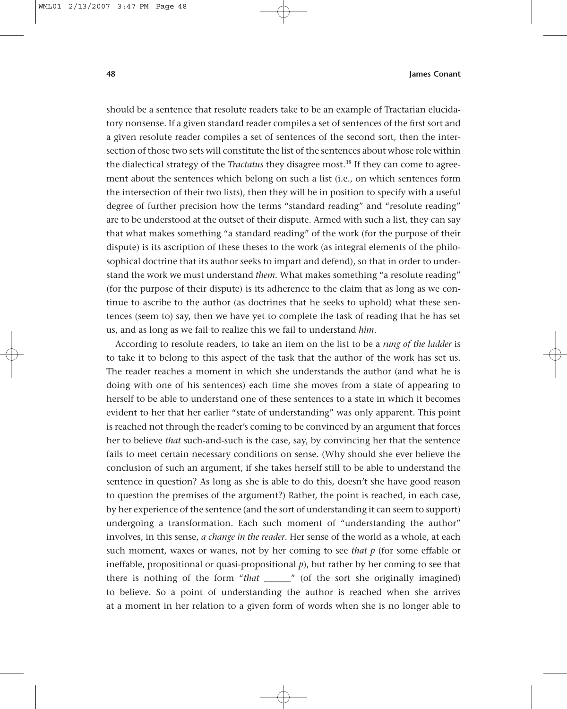should be a sentence that resolute readers take to be an example of Tractarian elucidatory nonsense. If a given standard reader compiles a set of sentences of the first sort and a given resolute reader compiles a set of sentences of the second sort, then the intersection of those two sets will constitute the list of the sentences about whose role within the dialectical strategy of the *Tractatus* they disagree most.38 If they can come to agreement about the sentences which belong on such a list (i.e., on which sentences form the intersection of their two lists), then they will be in position to specify with a useful degree of further precision how the terms "standard reading" and "resolute reading" are to be understood at the outset of their dispute. Armed with such a list, they can say that what makes something "a standard reading" of the work (for the purpose of their dispute) is its ascription of these theses to the work (as integral elements of the philosophical doctrine that its author seeks to impart and defend), so that in order to understand the work we must understand *them*. What makes something "a resolute reading" (for the purpose of their dispute) is its adherence to the claim that as long as we continue to ascribe to the author (as doctrines that he seeks to uphold) what these sentences (seem to) say, then we have yet to complete the task of reading that he has set us, and as long as we fail to realize this we fail to understand *him*.

According to resolute readers, to take an item on the list to be a *rung of the ladder* is to take it to belong to this aspect of the task that the author of the work has set us. The reader reaches a moment in which she understands the author (and what he is doing with one of his sentences) each time she moves from a state of appearing to herself to be able to understand one of these sentences to a state in which it becomes evident to her that her earlier "state of understanding" was only apparent. This point is reached not through the reader's coming to be convinced by an argument that forces her to believe *that* such-and-such is the case, say, by convincing her that the sentence fails to meet certain necessary conditions on sense. (Why should she ever believe the conclusion of such an argument, if she takes herself still to be able to understand the sentence in question? As long as she is able to do this, doesn't she have good reason to question the premises of the argument?) Rather, the point is reached, in each case, by her experience of the sentence (and the sort of understanding it can seem to support) undergoing a transformation. Each such moment of "understanding the author" involves, in this sense, *a change in the reader*. Her sense of the world as a whole, at each such moment, waxes or wanes, not by her coming to see *that p* (for some effable or ineffable, propositional or quasi-propositional *p*), but rather by her coming to see that there is nothing of the form "*that* \_\_\_\_\_\_" (of the sort she originally imagined) to believe. So a point of understanding the author is reached when she arrives at a moment in her relation to a given form of words when she is no longer able to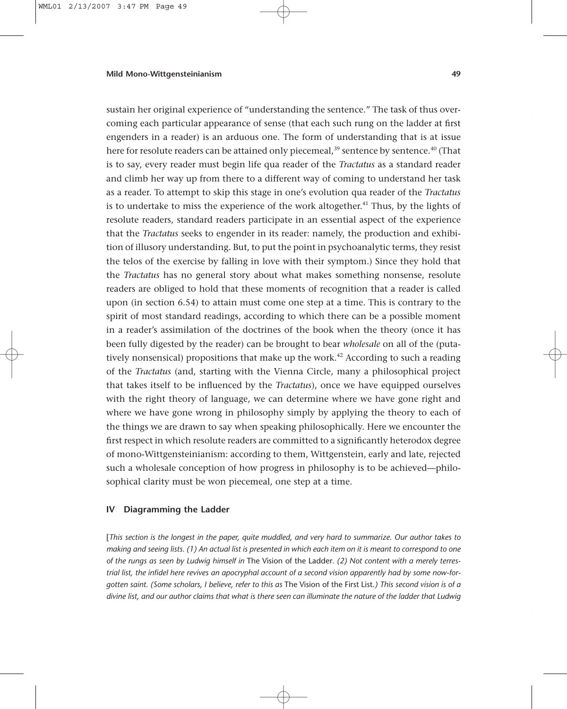sustain her original experience of "understanding the sentence." The task of thus overcoming each particular appearance of sense (that each such rung on the ladder at first engenders in a reader) is an arduous one. The form of understanding that is at issue here for resolute readers can be attained only piecemeal,  $39$  sentence by sentence.<sup>40</sup> (That is to say, every reader must begin life qua reader of the *Tractatus* as a standard reader and climb her way up from there to a different way of coming to understand her task as a reader. To attempt to skip this stage in one's evolution qua reader of the *Tractatus*

is to undertake to miss the experience of the work altogether.<sup>41</sup> Thus, by the lights of resolute readers, standard readers participate in an essential aspect of the experience that the *Tractatus* seeks to engender in its reader: namely, the production and exhibition of illusory understanding. But, to put the point in psychoanalytic terms, they resist the telos of the exercise by falling in love with their symptom.) Since they hold that the *Tractatus* has no general story about what makes something nonsense, resolute readers are obliged to hold that these moments of recognition that a reader is called upon (in section 6.54) to attain must come one step at a time. This is contrary to the spirit of most standard readings, according to which there can be a possible moment in a reader's assimilation of the doctrines of the book when the theory (once it has been fully digested by the reader) can be brought to bear *wholesale* on all of the (putatively nonsensical) propositions that make up the work.<sup>42</sup> According to such a reading of the *Tractatus* (and, starting with the Vienna Circle, many a philosophical project that takes itself to be influenced by the *Tractatus*), once we have equipped ourselves with the right theory of language, we can determine where we have gone right and where we have gone wrong in philosophy simply by applying the theory to each of the things we are drawn to say when speaking philosophically. Here we encounter the first respect in which resolute readers are committed to a significantly heterodox degree of mono-Wittgensteinianism: according to them, Wittgenstein, early and late, rejected such a wholesale conception of how progress in philosophy is to be achieved—philosophical clarity must be won piecemeal, one step at a time.

## **IV Diagramming the Ladder**

[*This section is the longest in the paper, quite muddled, and very hard to summarize. Our author takes to making and seeing lists. (1) An actual list is presented in which each item on it is meant to correspond to one of the rungs as seen by Ludwig himself in* The Vision of the Ladder*. (2) Not content with a merely terrestrial list, the infidel here revives an apocryphal account of a second vision apparently had by some now-forgotten saint. (Some scholars, I believe, refer to this as* The Vision of the First List*.) This second vision is of a divine list, and our author claims that what is there seen can illuminate the nature of the ladder that Ludwig*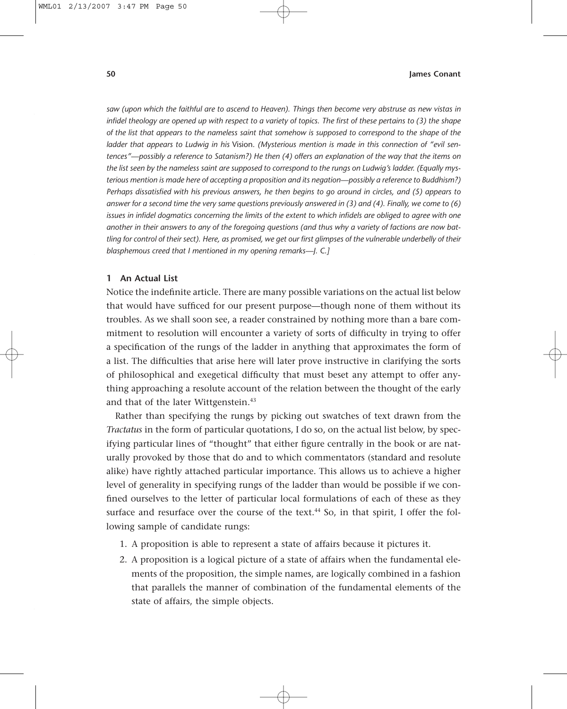*saw (upon which the faithful are to ascend to Heaven). Things then become very abstruse as new vistas in infidel theology are opened up with respect to a variety of topics. The first of these pertains to (3) the shape of the list that appears to the nameless saint that somehow is supposed to correspond to the shape of the ladder that appears to Ludwig in his* Vision*. (Mysterious mention is made in this connection of "evil sentences"—possibly a reference to Satanism?) He then (4) offers an explanation of the way that the items on the list seen by the nameless saint are supposed to correspond to the rungs on Ludwig's ladder. (Equally mysterious mention is made here of accepting a proposition and its negation—possibly a reference to Buddhism?) Perhaps dissatisfied with his previous answers, he then begins to go around in circles, and (5) appears to answer for a second time the very same questions previously answered in (3) and (4). Finally, we come to (6) issues in infidel dogmatics concerning the limits of the extent to which infidels are obliged to agree with one another in their answers to any of the foregoing questions (and thus why a variety of factions are now battling for control of their sect). Here, as promised, we get our first glimpses of the vulnerable underbelly of their blasphemous creed that I mentioned in my opening remarks—J. C.]*

### **1 An Actual List**

Notice the indefinite article. There are many possible variations on the actual list below that would have sufficed for our present purpose—though none of them without its troubles. As we shall soon see, a reader constrained by nothing more than a bare commitment to resolution will encounter a variety of sorts of difficulty in trying to offer a specification of the rungs of the ladder in anything that approximates the form of a list. The difficulties that arise here will later prove instructive in clarifying the sorts of philosophical and exegetical difficulty that must beset any attempt to offer anything approaching a resolute account of the relation between the thought of the early and that of the later Wittgenstein.<sup>43</sup>

Rather than specifying the rungs by picking out swatches of text drawn from the *Tractatus* in the form of particular quotations, I do so, on the actual list below, by specifying particular lines of "thought" that either figure centrally in the book or are naturally provoked by those that do and to which commentators (standard and resolute alike) have rightly attached particular importance. This allows us to achieve a higher level of generality in specifying rungs of the ladder than would be possible if we confined ourselves to the letter of particular local formulations of each of these as they surface and resurface over the course of the text.<sup>44</sup> So, in that spirit, I offer the following sample of candidate rungs:

- 1. A proposition is able to represent a state of affairs because it pictures it.
- 2. A proposition is a logical picture of a state of affairs when the fundamental elements of the proposition, the simple names, are logically combined in a fashion that parallels the manner of combination of the fundamental elements of the state of affairs, the simple objects.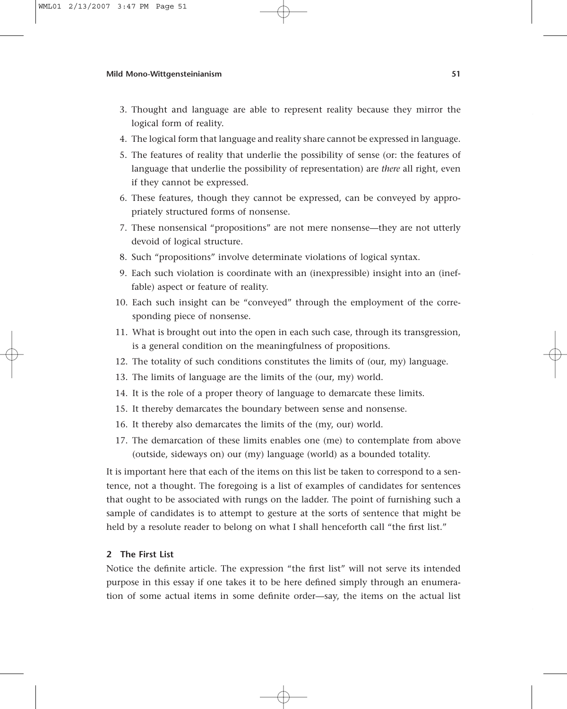- 3. Thought and language are able to represent reality because they mirror the logical form of reality.
- 4. The logical form that language and reality share cannot be expressed in language.
- 5. The features of reality that underlie the possibility of sense (or: the features of language that underlie the possibility of representation) are *there* all right, even if they cannot be expressed.
- 6. These features, though they cannot be expressed, can be conveyed by appropriately structured forms of nonsense.
- 7. These nonsensical "propositions" are not mere nonsense—they are not utterly devoid of logical structure.
- 8. Such "propositions" involve determinate violations of logical syntax.
- 9. Each such violation is coordinate with an (inexpressible) insight into an (ineffable) aspect or feature of reality.
- 10. Each such insight can be "conveyed" through the employment of the corresponding piece of nonsense.
- 11. What is brought out into the open in each such case, through its transgression, is a general condition on the meaningfulness of propositions.
- 12. The totality of such conditions constitutes the limits of (our, my) language.
- 13. The limits of language are the limits of the (our, my) world.
- 14. It is the role of a proper theory of language to demarcate these limits.
- 15. It thereby demarcates the boundary between sense and nonsense.
- 16. It thereby also demarcates the limits of the (my, our) world.
- 17. The demarcation of these limits enables one (me) to contemplate from above (outside, sideways on) our (my) language (world) as a bounded totality.

It is important here that each of the items on this list be taken to correspond to a sentence, not a thought. The foregoing is a list of examples of candidates for sentences that ought to be associated with rungs on the ladder. The point of furnishing such a sample of candidates is to attempt to gesture at the sorts of sentence that might be held by a resolute reader to belong on what I shall henceforth call "the first list."

# **2 The First List**

Notice the definite article. The expression "the first list" will not serve its intended purpose in this essay if one takes it to be here defined simply through an enumeration of some actual items in some definite order—say, the items on the actual list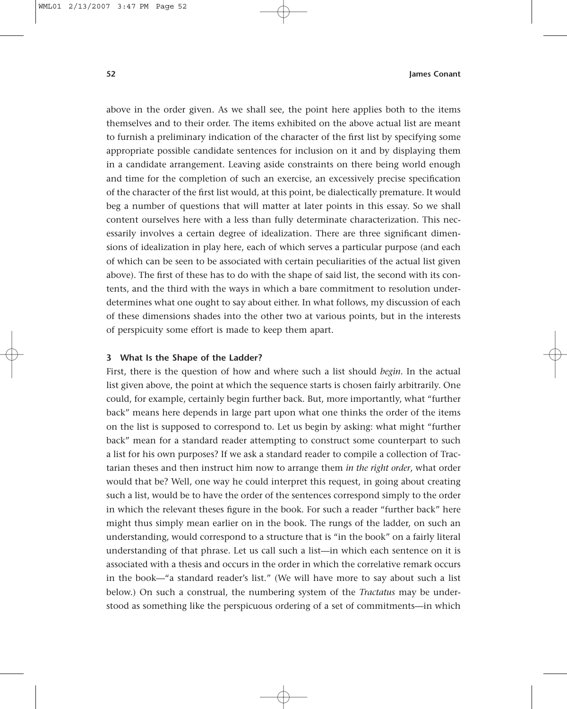above in the order given. As we shall see, the point here applies both to the items themselves and to their order. The items exhibited on the above actual list are meant to furnish a preliminary indication of the character of the first list by specifying some appropriate possible candidate sentences for inclusion on it and by displaying them in a candidate arrangement. Leaving aside constraints on there being world enough and time for the completion of such an exercise, an excessively precise specification of the character of the first list would, at this point, be dialectically premature. It would beg a number of questions that will matter at later points in this essay. So we shall content ourselves here with a less than fully determinate characterization. This necessarily involves a certain degree of idealization. There are three significant dimensions of idealization in play here, each of which serves a particular purpose (and each of which can be seen to be associated with certain peculiarities of the actual list given above). The first of these has to do with the shape of said list, the second with its contents, and the third with the ways in which a bare commitment to resolution underdetermines what one ought to say about either. In what follows, my discussion of each of these dimensions shades into the other two at various points, but in the interests of perspicuity some effort is made to keep them apart.

### **3 What Is the Shape of the Ladder?**

First, there is the question of how and where such a list should *begin*. In the actual list given above, the point at which the sequence starts is chosen fairly arbitrarily. One could, for example, certainly begin further back. But, more importantly, what "further back" means here depends in large part upon what one thinks the order of the items on the list is supposed to correspond to. Let us begin by asking: what might "further back" mean for a standard reader attempting to construct some counterpart to such a list for his own purposes? If we ask a standard reader to compile a collection of Tractarian theses and then instruct him now to arrange them *in the right order*, what order would that be? Well, one way he could interpret this request, in going about creating such a list, would be to have the order of the sentences correspond simply to the order in which the relevant theses figure in the book. For such a reader "further back" here might thus simply mean earlier on in the book. The rungs of the ladder, on such an understanding, would correspond to a structure that is "in the book" on a fairly literal understanding of that phrase. Let us call such a list—in which each sentence on it is associated with a thesis and occurs in the order in which the correlative remark occurs in the book—"a standard reader's list." (We will have more to say about such a list below.) On such a construal, the numbering system of the *Tractatus* may be understood as something like the perspicuous ordering of a set of commitments—in which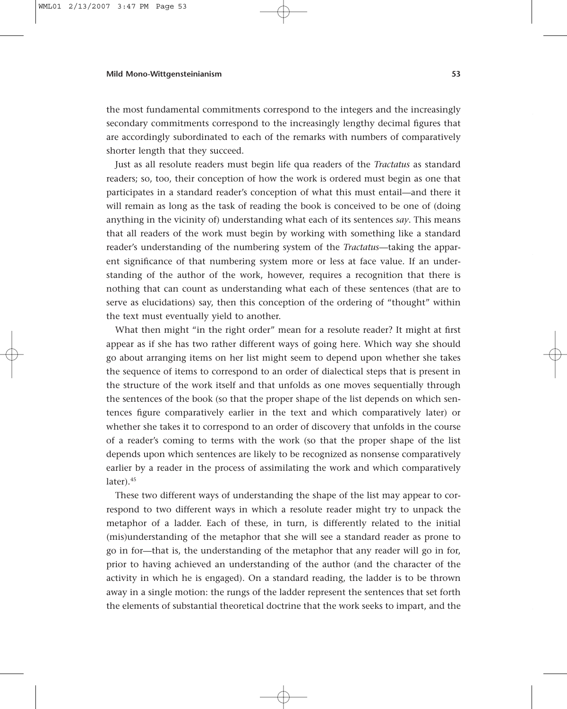the most fundamental commitments correspond to the integers and the increasingly secondary commitments correspond to the increasingly lengthy decimal figures that are accordingly subordinated to each of the remarks with numbers of comparatively shorter length that they succeed.

Just as all resolute readers must begin life qua readers of the *Tractatus* as standard readers; so, too, their conception of how the work is ordered must begin as one that participates in a standard reader's conception of what this must entail—and there it will remain as long as the task of reading the book is conceived to be one of (doing anything in the vicinity of) understanding what each of its sentences *say*. This means that all readers of the work must begin by working with something like a standard reader's understanding of the numbering system of the *Tractatus*—taking the apparent significance of that numbering system more or less at face value. If an understanding of the author of the work, however, requires a recognition that there is nothing that can count as understanding what each of these sentences (that are to serve as elucidations) say, then this conception of the ordering of "thought" within the text must eventually yield to another.

What then might "in the right order" mean for a resolute reader? It might at first appear as if she has two rather different ways of going here. Which way she should go about arranging items on her list might seem to depend upon whether she takes the sequence of items to correspond to an order of dialectical steps that is present in the structure of the work itself and that unfolds as one moves sequentially through the sentences of the book (so that the proper shape of the list depends on which sentences figure comparatively earlier in the text and which comparatively later) or whether she takes it to correspond to an order of discovery that unfolds in the course of a reader's coming to terms with the work (so that the proper shape of the list depends upon which sentences are likely to be recognized as nonsense comparatively earlier by a reader in the process of assimilating the work and which comparatively  $later).<sup>45</sup>$ 

These two different ways of understanding the shape of the list may appear to correspond to two different ways in which a resolute reader might try to unpack the metaphor of a ladder. Each of these, in turn, is differently related to the initial (mis)understanding of the metaphor that she will see a standard reader as prone to go in for—that is, the understanding of the metaphor that any reader will go in for, prior to having achieved an understanding of the author (and the character of the activity in which he is engaged). On a standard reading, the ladder is to be thrown away in a single motion: the rungs of the ladder represent the sentences that set forth the elements of substantial theoretical doctrine that the work seeks to impart, and the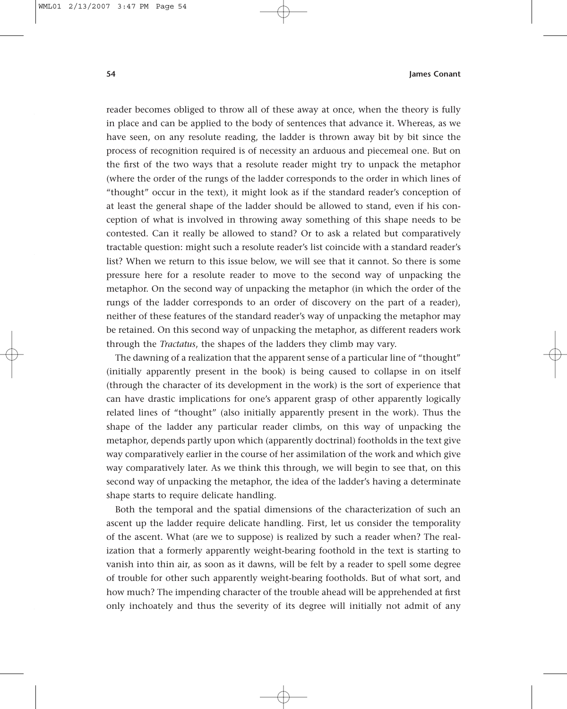reader becomes obliged to throw all of these away at once, when the theory is fully in place and can be applied to the body of sentences that advance it. Whereas, as we have seen, on any resolute reading, the ladder is thrown away bit by bit since the process of recognition required is of necessity an arduous and piecemeal one. But on the first of the two ways that a resolute reader might try to unpack the metaphor (where the order of the rungs of the ladder corresponds to the order in which lines of "thought" occur in the text), it might look as if the standard reader's conception of at least the general shape of the ladder should be allowed to stand, even if his conception of what is involved in throwing away something of this shape needs to be contested. Can it really be allowed to stand? Or to ask a related but comparatively tractable question: might such a resolute reader's list coincide with a standard reader's list? When we return to this issue below, we will see that it cannot. So there is some pressure here for a resolute reader to move to the second way of unpacking the metaphor. On the second way of unpacking the metaphor (in which the order of the rungs of the ladder corresponds to an order of discovery on the part of a reader), neither of these features of the standard reader's way of unpacking the metaphor may be retained. On this second way of unpacking the metaphor, as different readers work through the *Tractatus*, the shapes of the ladders they climb may vary.

The dawning of a realization that the apparent sense of a particular line of "thought" (initially apparently present in the book) is being caused to collapse in on itself (through the character of its development in the work) is the sort of experience that can have drastic implications for one's apparent grasp of other apparently logically related lines of "thought" (also initially apparently present in the work). Thus the shape of the ladder any particular reader climbs, on this way of unpacking the metaphor, depends partly upon which (apparently doctrinal) footholds in the text give way comparatively earlier in the course of her assimilation of the work and which give way comparatively later. As we think this through, we will begin to see that, on this second way of unpacking the metaphor, the idea of the ladder's having a determinate shape starts to require delicate handling.

Both the temporal and the spatial dimensions of the characterization of such an ascent up the ladder require delicate handling. First, let us consider the temporality of the ascent. What (are we to suppose) is realized by such a reader when? The realization that a formerly apparently weight-bearing foothold in the text is starting to vanish into thin air, as soon as it dawns, will be felt by a reader to spell some degree of trouble for other such apparently weight-bearing footholds. But of what sort, and how much? The impending character of the trouble ahead will be apprehended at first only inchoately and thus the severity of its degree will initially not admit of any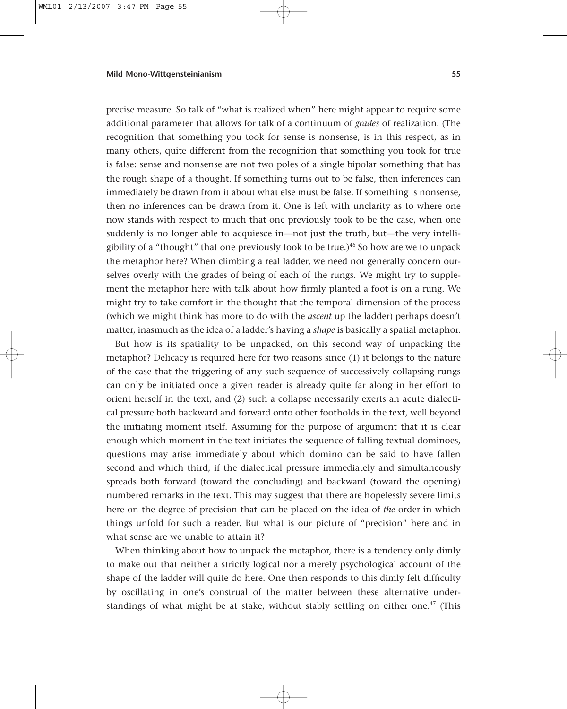precise measure. So talk of "what is realized when" here might appear to require some additional parameter that allows for talk of a continuum of *grades* of realization. (The recognition that something you took for sense is nonsense, is in this respect, as in many others, quite different from the recognition that something you took for true is false: sense and nonsense are not two poles of a single bipolar something that has the rough shape of a thought. If something turns out to be false, then inferences can immediately be drawn from it about what else must be false. If something is nonsense, then no inferences can be drawn from it. One is left with unclarity as to where one now stands with respect to much that one previously took to be the case, when one suddenly is no longer able to acquiesce in—not just the truth, but—the very intelligibility of a "thought" that one previously took to be true.)<sup>46</sup> So how are we to unpack the metaphor here? When climbing a real ladder, we need not generally concern ourselves overly with the grades of being of each of the rungs. We might try to supplement the metaphor here with talk about how firmly planted a foot is on a rung. We might try to take comfort in the thought that the temporal dimension of the process (which we might think has more to do with the *ascent* up the ladder) perhaps doesn't matter, inasmuch as the idea of a ladder's having a *shape* is basically a spatial metaphor.

But how is its spatiality to be unpacked, on this second way of unpacking the metaphor? Delicacy is required here for two reasons since (1) it belongs to the nature of the case that the triggering of any such sequence of successively collapsing rungs can only be initiated once a given reader is already quite far along in her effort to orient herself in the text, and (2) such a collapse necessarily exerts an acute dialectical pressure both backward and forward onto other footholds in the text, well beyond the initiating moment itself. Assuming for the purpose of argument that it is clear enough which moment in the text initiates the sequence of falling textual dominoes, questions may arise immediately about which domino can be said to have fallen second and which third, if the dialectical pressure immediately and simultaneously spreads both forward (toward the concluding) and backward (toward the opening) numbered remarks in the text. This may suggest that there are hopelessly severe limits here on the degree of precision that can be placed on the idea of *the* order in which things unfold for such a reader. But what is our picture of "precision" here and in what sense are we unable to attain it?

When thinking about how to unpack the metaphor, there is a tendency only dimly to make out that neither a strictly logical nor a merely psychological account of the shape of the ladder will quite do here. One then responds to this dimly felt difficulty by oscillating in one's construal of the matter between these alternative understandings of what might be at stake, without stably settling on either one.<sup>47</sup> (This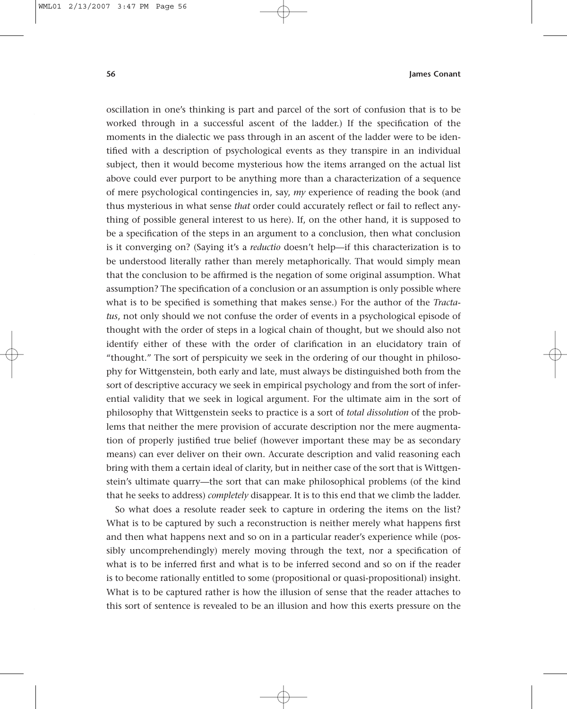oscillation in one's thinking is part and parcel of the sort of confusion that is to be worked through in a successful ascent of the ladder.) If the specification of the moments in the dialectic we pass through in an ascent of the ladder were to be identified with a description of psychological events as they transpire in an individual subject, then it would become mysterious how the items arranged on the actual list above could ever purport to be anything more than a characterization of a sequence of mere psychological contingencies in, say, *my* experience of reading the book (and thus mysterious in what sense *that* order could accurately reflect or fail to reflect anything of possible general interest to us here). If, on the other hand, it is supposed to be a specification of the steps in an argument to a conclusion, then what conclusion is it converging on? (Saying it's a *reductio* doesn't help—if this characterization is to be understood literally rather than merely metaphorically. That would simply mean that the conclusion to be affirmed is the negation of some original assumption. What assumption? The specification of a conclusion or an assumption is only possible where what is to be specified is something that makes sense.) For the author of the *Tractatus*, not only should we not confuse the order of events in a psychological episode of thought with the order of steps in a logical chain of thought, but we should also not identify either of these with the order of clarification in an elucidatory train of "thought." The sort of perspicuity we seek in the ordering of our thought in philosophy for Wittgenstein, both early and late, must always be distinguished both from the sort of descriptive accuracy we seek in empirical psychology and from the sort of inferential validity that we seek in logical argument. For the ultimate aim in the sort of philosophy that Wittgenstein seeks to practice is a sort of *total dissolution* of the problems that neither the mere provision of accurate description nor the mere augmentation of properly justified true belief (however important these may be as secondary means) can ever deliver on their own. Accurate description and valid reasoning each bring with them a certain ideal of clarity, but in neither case of the sort that is Wittgenstein's ultimate quarry—the sort that can make philosophical problems (of the kind that he seeks to address) *completely* disappear. It is to this end that we climb the ladder.

So what does a resolute reader seek to capture in ordering the items on the list? What is to be captured by such a reconstruction is neither merely what happens first and then what happens next and so on in a particular reader's experience while (possibly uncomprehendingly) merely moving through the text, nor a specification of what is to be inferred first and what is to be inferred second and so on if the reader is to become rationally entitled to some (propositional or quasi-propositional) insight. What is to be captured rather is how the illusion of sense that the reader attaches to this sort of sentence is revealed to be an illusion and how this exerts pressure on the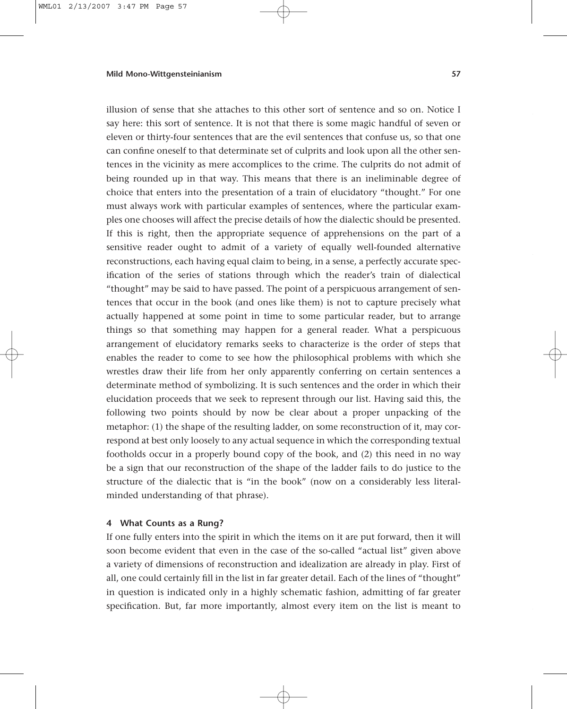illusion of sense that she attaches to this other sort of sentence and so on. Notice I say here: this sort of sentence. It is not that there is some magic handful of seven or eleven or thirty-four sentences that are the evil sentences that confuse us, so that one can confine oneself to that determinate set of culprits and look upon all the other sentences in the vicinity as mere accomplices to the crime. The culprits do not admit of being rounded up in that way. This means that there is an ineliminable degree of choice that enters into the presentation of a train of elucidatory "thought." For one must always work with particular examples of sentences, where the particular examples one chooses will affect the precise details of how the dialectic should be presented. If this is right, then the appropriate sequence of apprehensions on the part of a sensitive reader ought to admit of a variety of equally well-founded alternative reconstructions, each having equal claim to being, in a sense, a perfectly accurate specification of the series of stations through which the reader's train of dialectical "thought" may be said to have passed. The point of a perspicuous arrangement of sentences that occur in the book (and ones like them) is not to capture precisely what actually happened at some point in time to some particular reader, but to arrange things so that something may happen for a general reader. What a perspicuous arrangement of elucidatory remarks seeks to characterize is the order of steps that enables the reader to come to see how the philosophical problems with which she wrestles draw their life from her only apparently conferring on certain sentences a determinate method of symbolizing. It is such sentences and the order in which their elucidation proceeds that we seek to represent through our list. Having said this, the following two points should by now be clear about a proper unpacking of the metaphor: (1) the shape of the resulting ladder, on some reconstruction of it, may correspond at best only loosely to any actual sequence in which the corresponding textual footholds occur in a properly bound copy of the book, and (2) this need in no way be a sign that our reconstruction of the shape of the ladder fails to do justice to the structure of the dialectic that is "in the book" (now on a considerably less literalminded understanding of that phrase).

### **4 What Counts as a Rung?**

If one fully enters into the spirit in which the items on it are put forward, then it will soon become evident that even in the case of the so-called "actual list" given above a variety of dimensions of reconstruction and idealization are already in play. First of all, one could certainly fill in the list in far greater detail. Each of the lines of "thought" in question is indicated only in a highly schematic fashion, admitting of far greater specification. But, far more importantly, almost every item on the list is meant to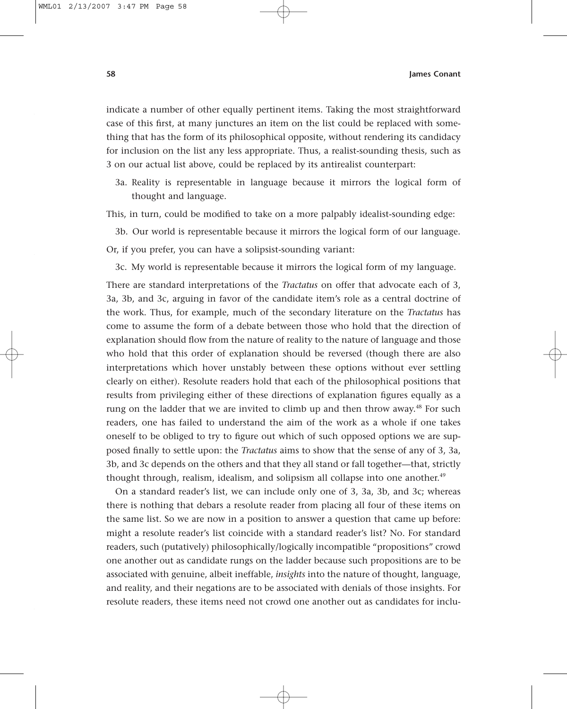indicate a number of other equally pertinent items. Taking the most straightforward case of this first, at many junctures an item on the list could be replaced with something that has the form of its philosophical opposite, without rendering its candidacy for inclusion on the list any less appropriate. Thus, a realist-sounding thesis, such as 3 on our actual list above, could be replaced by its antirealist counterpart:

3a. Reality is representable in language because it mirrors the logical form of thought and language.

This, in turn, could be modified to take on a more palpably idealist-sounding edge:

3b. Our world is representable because it mirrors the logical form of our language.

Or, if you prefer, you can have a solipsist-sounding variant:

3c. My world is representable because it mirrors the logical form of my language.

There are standard interpretations of the *Tractatus* on offer that advocate each of 3, 3a, 3b, and 3c, arguing in favor of the candidate item's role as a central doctrine of the work. Thus, for example, much of the secondary literature on the *Tractatus* has come to assume the form of a debate between those who hold that the direction of explanation should flow from the nature of reality to the nature of language and those who hold that this order of explanation should be reversed (though there are also interpretations which hover unstably between these options without ever settling clearly on either). Resolute readers hold that each of the philosophical positions that results from privileging either of these directions of explanation figures equally as a rung on the ladder that we are invited to climb up and then throw away.<sup>48</sup> For such readers, one has failed to understand the aim of the work as a whole if one takes oneself to be obliged to try to figure out which of such opposed options we are supposed finally to settle upon: the *Tractatus* aims to show that the sense of any of 3, 3a, 3b, and 3c depends on the others and that they all stand or fall together—that, strictly thought through, realism, idealism, and solipsism all collapse into one another.<sup>49</sup>

On a standard reader's list, we can include only one of 3, 3a, 3b, and 3c; whereas there is nothing that debars a resolute reader from placing all four of these items on the same list. So we are now in a position to answer a question that came up before: might a resolute reader's list coincide with a standard reader's list? No. For standard readers, such (putatively) philosophically/logically incompatible "propositions" crowd one another out as candidate rungs on the ladder because such propositions are to be associated with genuine, albeit ineffable, *insights* into the nature of thought, language, and reality, and their negations are to be associated with denials of those insights. For resolute readers, these items need not crowd one another out as candidates for inclu-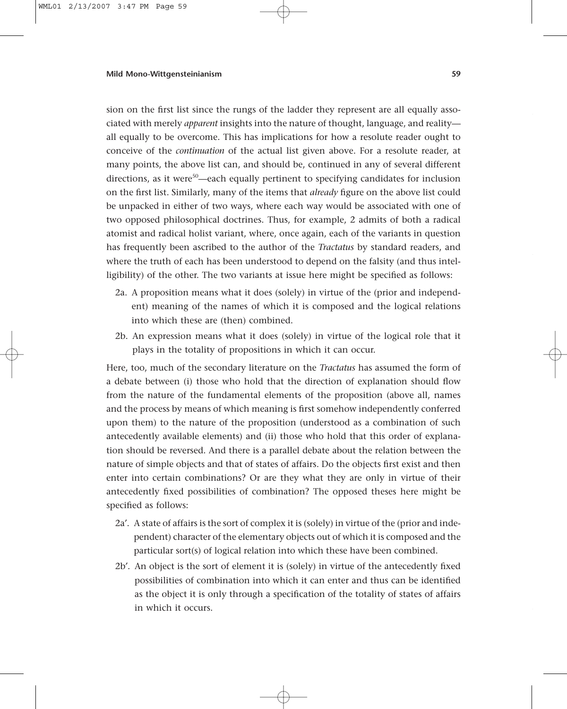sion on the first list since the rungs of the ladder they represent are all equally associated with merely *apparent* insights into the nature of thought, language, and reality all equally to be overcome. This has implications for how a resolute reader ought to conceive of the *continuation* of the actual list given above. For a resolute reader, at many points, the above list can, and should be, continued in any of several different directions, as it were<sup>50</sup>—each equally pertinent to specifying candidates for inclusion on the first list. Similarly, many of the items that *already* figure on the above list could be unpacked in either of two ways, where each way would be associated with one of two opposed philosophical doctrines. Thus, for example, 2 admits of both a radical atomist and radical holist variant, where, once again, each of the variants in question has frequently been ascribed to the author of the *Tractatus* by standard readers, and where the truth of each has been understood to depend on the falsity (and thus intelligibility) of the other. The two variants at issue here might be specified as follows:

- 2a. A proposition means what it does (solely) in virtue of the (prior and independent) meaning of the names of which it is composed and the logical relations into which these are (then) combined.
- 2b. An expression means what it does (solely) in virtue of the logical role that it plays in the totality of propositions in which it can occur.

Here, too, much of the secondary literature on the *Tractatus* has assumed the form of a debate between (i) those who hold that the direction of explanation should flow from the nature of the fundamental elements of the proposition (above all, names and the process by means of which meaning is first somehow independently conferred upon them) to the nature of the proposition (understood as a combination of such antecedently available elements) and (ii) those who hold that this order of explanation should be reversed. And there is a parallel debate about the relation between the nature of simple objects and that of states of affairs. Do the objects first exist and then enter into certain combinations? Or are they what they are only in virtue of their antecedently fixed possibilities of combination? The opposed theses here might be specified as follows:

- 2a′. A state of affairs is the sort of complex it is (solely) in virtue of the (prior and independent) character of the elementary objects out of which it is composed and the particular sort(s) of logical relation into which these have been combined.
- 2b′. An object is the sort of element it is (solely) in virtue of the antecedently fixed possibilities of combination into which it can enter and thus can be identified as the object it is only through a specification of the totality of states of affairs in which it occurs.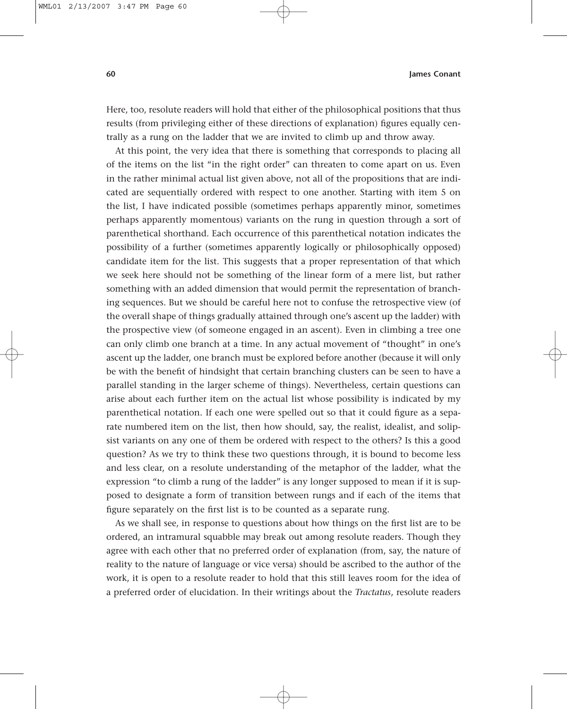Here, too, resolute readers will hold that either of the philosophical positions that thus results (from privileging either of these directions of explanation) figures equally centrally as a rung on the ladder that we are invited to climb up and throw away.

At this point, the very idea that there is something that corresponds to placing all of the items on the list "in the right order" can threaten to come apart on us. Even in the rather minimal actual list given above, not all of the propositions that are indicated are sequentially ordered with respect to one another. Starting with item 5 on the list, I have indicated possible (sometimes perhaps apparently minor, sometimes perhaps apparently momentous) variants on the rung in question through a sort of parenthetical shorthand. Each occurrence of this parenthetical notation indicates the possibility of a further (sometimes apparently logically or philosophically opposed) candidate item for the list. This suggests that a proper representation of that which we seek here should not be something of the linear form of a mere list, but rather something with an added dimension that would permit the representation of branching sequences. But we should be careful here not to confuse the retrospective view (of the overall shape of things gradually attained through one's ascent up the ladder) with the prospective view (of someone engaged in an ascent). Even in climbing a tree one can only climb one branch at a time. In any actual movement of "thought" in one's ascent up the ladder, one branch must be explored before another (because it will only be with the benefit of hindsight that certain branching clusters can be seen to have a parallel standing in the larger scheme of things). Nevertheless, certain questions can arise about each further item on the actual list whose possibility is indicated by my parenthetical notation. If each one were spelled out so that it could figure as a separate numbered item on the list, then how should, say, the realist, idealist, and solipsist variants on any one of them be ordered with respect to the others? Is this a good question? As we try to think these two questions through, it is bound to become less and less clear, on a resolute understanding of the metaphor of the ladder, what the expression "to climb a rung of the ladder" is any longer supposed to mean if it is supposed to designate a form of transition between rungs and if each of the items that figure separately on the first list is to be counted as a separate rung.

As we shall see, in response to questions about how things on the first list are to be ordered, an intramural squabble may break out among resolute readers. Though they agree with each other that no preferred order of explanation (from, say, the nature of reality to the nature of language or vice versa) should be ascribed to the author of the work, it is open to a resolute reader to hold that this still leaves room for the idea of a preferred order of elucidation. In their writings about the *Tractatus*, resolute readers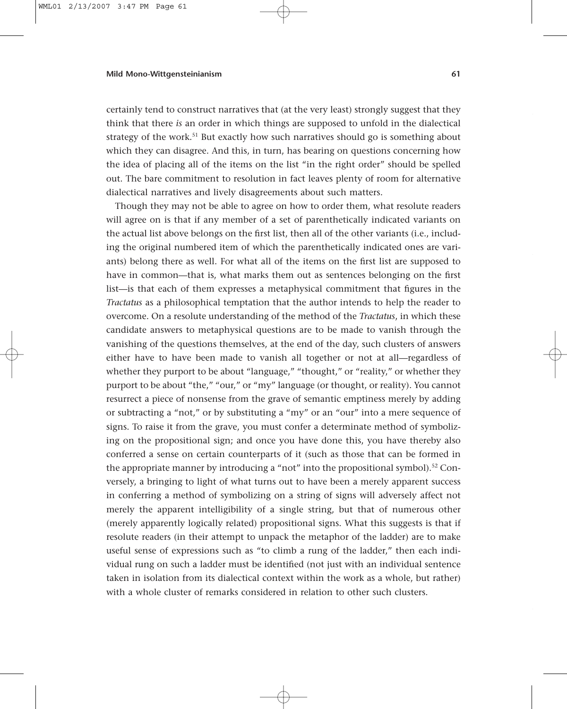certainly tend to construct narratives that (at the very least) strongly suggest that they think that there *is* an order in which things are supposed to unfold in the dialectical strategy of the work. $51$  But exactly how such narratives should go is something about which they can disagree. And this, in turn, has bearing on questions concerning how the idea of placing all of the items on the list "in the right order" should be spelled out. The bare commitment to resolution in fact leaves plenty of room for alternative dialectical narratives and lively disagreements about such matters.

Though they may not be able to agree on how to order them, what resolute readers will agree on is that if any member of a set of parenthetically indicated variants on the actual list above belongs on the first list, then all of the other variants (i.e., including the original numbered item of which the parenthetically indicated ones are variants) belong there as well. For what all of the items on the first list are supposed to have in common—that is, what marks them out as sentences belonging on the first list—is that each of them expresses a metaphysical commitment that figures in the *Tractatus* as a philosophical temptation that the author intends to help the reader to overcome. On a resolute understanding of the method of the *Tractatus*, in which these candidate answers to metaphysical questions are to be made to vanish through the vanishing of the questions themselves, at the end of the day, such clusters of answers either have to have been made to vanish all together or not at all—regardless of whether they purport to be about "language," "thought," or "reality," or whether they purport to be about "the," "our," or "my" language (or thought, or reality). You cannot resurrect a piece of nonsense from the grave of semantic emptiness merely by adding or subtracting a "not," or by substituting a "my" or an "our" into a mere sequence of signs. To raise it from the grave, you must confer a determinate method of symbolizing on the propositional sign; and once you have done this, you have thereby also conferred a sense on certain counterparts of it (such as those that can be formed in the appropriate manner by introducing a "not" into the propositional symbol).<sup>52</sup> Conversely, a bringing to light of what turns out to have been a merely apparent success in conferring a method of symbolizing on a string of signs will adversely affect not merely the apparent intelligibility of a single string, but that of numerous other (merely apparently logically related) propositional signs. What this suggests is that if resolute readers (in their attempt to unpack the metaphor of the ladder) are to make useful sense of expressions such as "to climb a rung of the ladder," then each individual rung on such a ladder must be identified (not just with an individual sentence taken in isolation from its dialectical context within the work as a whole, but rather) with a whole cluster of remarks considered in relation to other such clusters.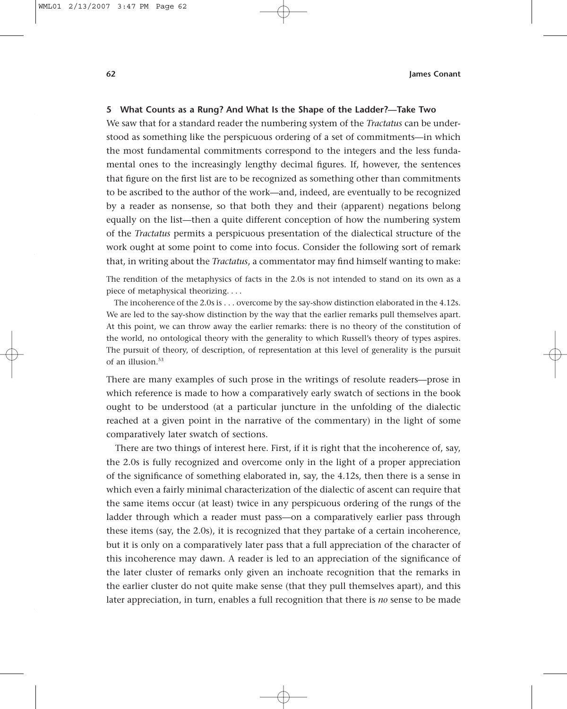### **5 What Counts as a Rung? And What Is the Shape of the Ladder?—Take Two**

We saw that for a standard reader the numbering system of the *Tractatus* can be understood as something like the perspicuous ordering of a set of commitments—in which the most fundamental commitments correspond to the integers and the less fundamental ones to the increasingly lengthy decimal figures. If, however, the sentences that figure on the first list are to be recognized as something other than commitments to be ascribed to the author of the work—and, indeed, are eventually to be recognized by a reader as nonsense, so that both they and their (apparent) negations belong equally on the list—then a quite different conception of how the numbering system of the *Tractatus* permits a perspicuous presentation of the dialectical structure of the work ought at some point to come into focus. Consider the following sort of remark that, in writing about the *Tractatus*, a commentator may find himself wanting to make:

The rendition of the metaphysics of facts in the 2.0s is not intended to stand on its own as a piece of metaphysical theorizing. . . .

The incoherence of the 2.0s is . . . overcome by the say-show distinction elaborated in the 4.12s. We are led to the say-show distinction by the way that the earlier remarks pull themselves apart. At this point, we can throw away the earlier remarks: there is no theory of the constitution of the world, no ontological theory with the generality to which Russell's theory of types aspires. The pursuit of theory, of description, of representation at this level of generality is the pursuit of an illusion.<sup>53</sup>

There are many examples of such prose in the writings of resolute readers—prose in which reference is made to how a comparatively early swatch of sections in the book ought to be understood (at a particular juncture in the unfolding of the dialectic reached at a given point in the narrative of the commentary) in the light of some comparatively later swatch of sections.

There are two things of interest here. First, if it is right that the incoherence of, say, the 2.0s is fully recognized and overcome only in the light of a proper appreciation of the significance of something elaborated in, say, the 4.12s, then there is a sense in which even a fairly minimal characterization of the dialectic of ascent can require that the same items occur (at least) twice in any perspicuous ordering of the rungs of the ladder through which a reader must pass—on a comparatively earlier pass through these items (say, the 2.0s), it is recognized that they partake of a certain incoherence, but it is only on a comparatively later pass that a full appreciation of the character of this incoherence may dawn. A reader is led to an appreciation of the significance of the later cluster of remarks only given an inchoate recognition that the remarks in the earlier cluster do not quite make sense (that they pull themselves apart), and this later appreciation, in turn, enables a full recognition that there is *no* sense to be made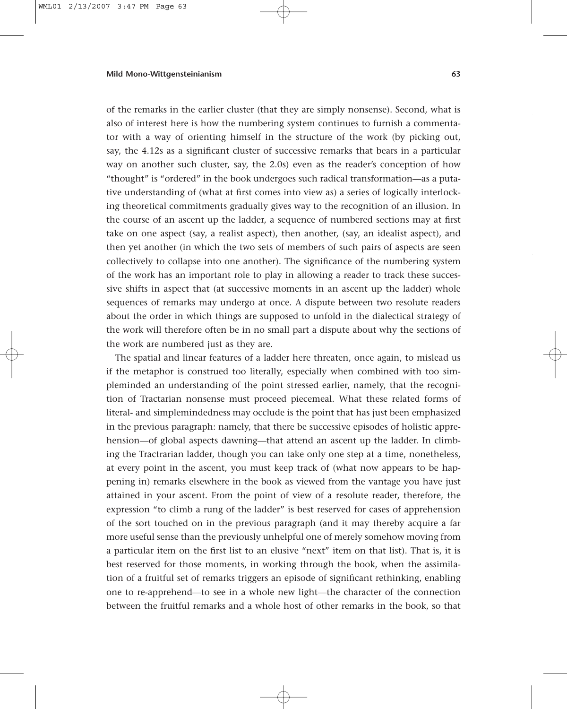of the remarks in the earlier cluster (that they are simply nonsense). Second, what is also of interest here is how the numbering system continues to furnish a commentator with a way of orienting himself in the structure of the work (by picking out, say, the 4.12s as a significant cluster of successive remarks that bears in a particular way on another such cluster, say, the 2.0s) even as the reader's conception of how "thought" is "ordered" in the book undergoes such radical transformation—as a putative understanding of (what at first comes into view as) a series of logically interlocking theoretical commitments gradually gives way to the recognition of an illusion. In the course of an ascent up the ladder, a sequence of numbered sections may at first take on one aspect (say, a realist aspect), then another, (say, an idealist aspect), and then yet another (in which the two sets of members of such pairs of aspects are seen collectively to collapse into one another). The significance of the numbering system of the work has an important role to play in allowing a reader to track these successive shifts in aspect that (at successive moments in an ascent up the ladder) whole sequences of remarks may undergo at once. A dispute between two resolute readers about the order in which things are supposed to unfold in the dialectical strategy of the work will therefore often be in no small part a dispute about why the sections of the work are numbered just as they are.

The spatial and linear features of a ladder here threaten, once again, to mislead us if the metaphor is construed too literally, especially when combined with too simpleminded an understanding of the point stressed earlier, namely, that the recognition of Tractarian nonsense must proceed piecemeal. What these related forms of literal- and simplemindedness may occlude is the point that has just been emphasized in the previous paragraph: namely, that there be successive episodes of holistic apprehension—of global aspects dawning—that attend an ascent up the ladder. In climbing the Tractrarian ladder, though you can take only one step at a time, nonetheless, at every point in the ascent, you must keep track of (what now appears to be happening in) remarks elsewhere in the book as viewed from the vantage you have just attained in your ascent. From the point of view of a resolute reader, therefore, the expression "to climb a rung of the ladder" is best reserved for cases of apprehension of the sort touched on in the previous paragraph (and it may thereby acquire a far more useful sense than the previously unhelpful one of merely somehow moving from a particular item on the first list to an elusive "next" item on that list). That is, it is best reserved for those moments, in working through the book, when the assimilation of a fruitful set of remarks triggers an episode of significant rethinking, enabling one to re-apprehend—to see in a whole new light—the character of the connection between the fruitful remarks and a whole host of other remarks in the book, so that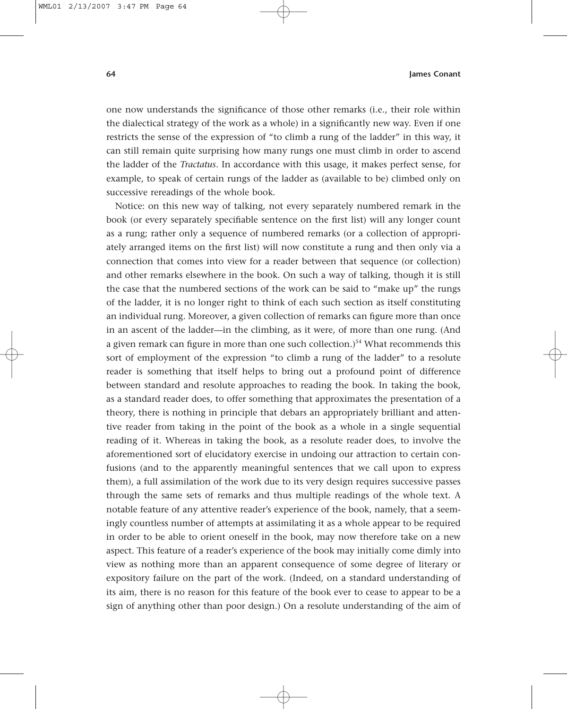one now understands the significance of those other remarks (i.e., their role within the dialectical strategy of the work as a whole) in a significantly new way. Even if one restricts the sense of the expression of "to climb a rung of the ladder" in this way, it can still remain quite surprising how many rungs one must climb in order to ascend the ladder of the *Tractatus*. In accordance with this usage, it makes perfect sense, for example, to speak of certain rungs of the ladder as (available to be) climbed only on successive rereadings of the whole book.

Notice: on this new way of talking, not every separately numbered remark in the book (or every separately specifiable sentence on the first list) will any longer count as a rung; rather only a sequence of numbered remarks (or a collection of appropriately arranged items on the first list) will now constitute a rung and then only via a connection that comes into view for a reader between that sequence (or collection) and other remarks elsewhere in the book. On such a way of talking, though it is still the case that the numbered sections of the work can be said to "make up" the rungs of the ladder, it is no longer right to think of each such section as itself constituting an individual rung. Moreover, a given collection of remarks can figure more than once in an ascent of the ladder—in the climbing, as it were, of more than one rung. (And a given remark can figure in more than one such collection.)<sup>54</sup> What recommends this sort of employment of the expression "to climb a rung of the ladder" to a resolute reader is something that itself helps to bring out a profound point of difference between standard and resolute approaches to reading the book. In taking the book, as a standard reader does, to offer something that approximates the presentation of a theory, there is nothing in principle that debars an appropriately brilliant and attentive reader from taking in the point of the book as a whole in a single sequential reading of it. Whereas in taking the book, as a resolute reader does, to involve the aforementioned sort of elucidatory exercise in undoing our attraction to certain confusions (and to the apparently meaningful sentences that we call upon to express them), a full assimilation of the work due to its very design requires successive passes through the same sets of remarks and thus multiple readings of the whole text. A notable feature of any attentive reader's experience of the book, namely, that a seemingly countless number of attempts at assimilating it as a whole appear to be required in order to be able to orient oneself in the book, may now therefore take on a new aspect. This feature of a reader's experience of the book may initially come dimly into view as nothing more than an apparent consequence of some degree of literary or expository failure on the part of the work. (Indeed, on a standard understanding of its aim, there is no reason for this feature of the book ever to cease to appear to be a sign of anything other than poor design.) On a resolute understanding of the aim of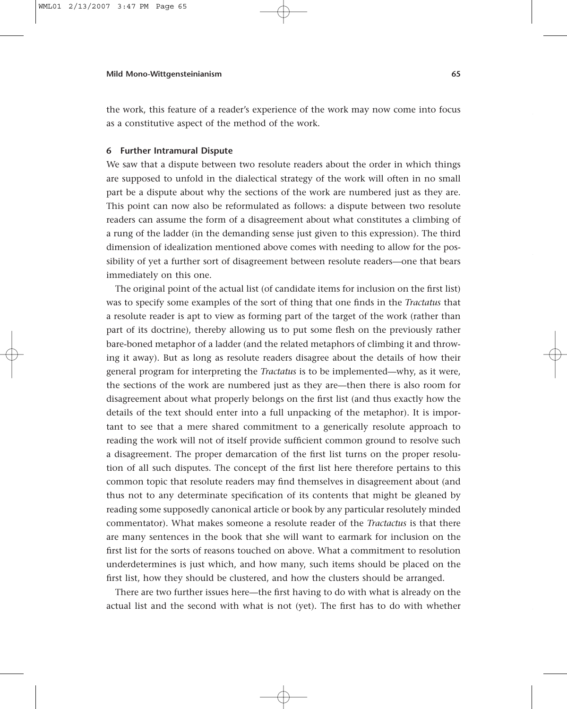the work, this feature of a reader's experience of the work may now come into focus as a constitutive aspect of the method of the work.

## **6 Further Intramural Dispute**

We saw that a dispute between two resolute readers about the order in which things are supposed to unfold in the dialectical strategy of the work will often in no small part be a dispute about why the sections of the work are numbered just as they are. This point can now also be reformulated as follows: a dispute between two resolute readers can assume the form of a disagreement about what constitutes a climbing of a rung of the ladder (in the demanding sense just given to this expression). The third dimension of idealization mentioned above comes with needing to allow for the possibility of yet a further sort of disagreement between resolute readers—one that bears immediately on this one.

The original point of the actual list (of candidate items for inclusion on the first list) was to specify some examples of the sort of thing that one finds in the *Tractatus* that a resolute reader is apt to view as forming part of the target of the work (rather than part of its doctrine), thereby allowing us to put some flesh on the previously rather bare-boned metaphor of a ladder (and the related metaphors of climbing it and throwing it away). But as long as resolute readers disagree about the details of how their general program for interpreting the *Tractatus* is to be implemented—why, as it were, the sections of the work are numbered just as they are—then there is also room for disagreement about what properly belongs on the first list (and thus exactly how the details of the text should enter into a full unpacking of the metaphor). It is important to see that a mere shared commitment to a generically resolute approach to reading the work will not of itself provide sufficient common ground to resolve such a disagreement. The proper demarcation of the first list turns on the proper resolution of all such disputes. The concept of the first list here therefore pertains to this common topic that resolute readers may find themselves in disagreement about (and thus not to any determinate specification of its contents that might be gleaned by reading some supposedly canonical article or book by any particular resolutely minded commentator). What makes someone a resolute reader of the *Tractactus* is that there are many sentences in the book that she will want to earmark for inclusion on the first list for the sorts of reasons touched on above. What a commitment to resolution underdetermines is just which, and how many, such items should be placed on the first list, how they should be clustered, and how the clusters should be arranged.

There are two further issues here—the first having to do with what is already on the actual list and the second with what is not (yet). The first has to do with whether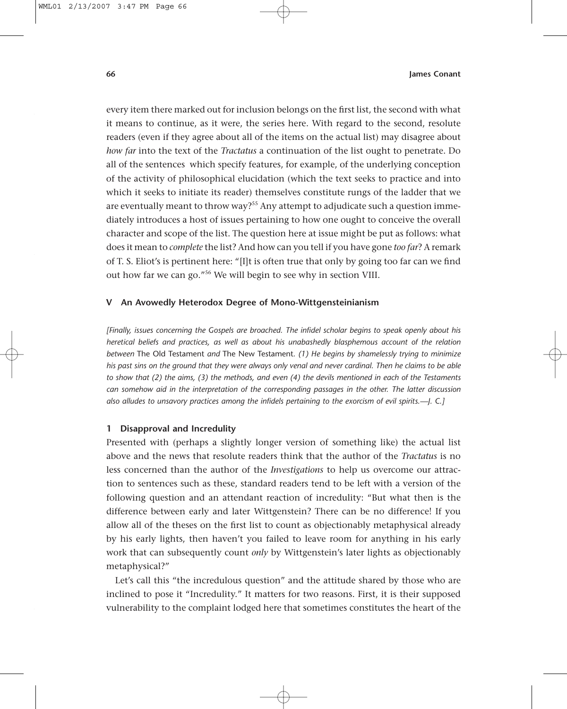every item there marked out for inclusion belongs on the first list, the second with what it means to continue, as it were, the series here. With regard to the second, resolute readers (even if they agree about all of the items on the actual list) may disagree about *how far* into the text of the *Tractatus* a continuation of the list ought to penetrate. Do all of the sentences which specify features, for example, of the underlying conception of the activity of philosophical elucidation (which the text seeks to practice and into which it seeks to initiate its reader) themselves constitute rungs of the ladder that we are eventually meant to throw  $way^{255}$  Any attempt to adjudicate such a question immediately introduces a host of issues pertaining to how one ought to conceive the overall character and scope of the list. The question here at issue might be put as follows: what does it mean to *complete* the list? And how can you tell if you have gone *too far*? A remark of T. S. Eliot's is pertinent here: "[I]t is often true that only by going too far can we find out how far we can go."56 We will begin to see why in section VIII.

## **V An Avowedly Heterodox Degree of Mono-Wittgensteinianism**

*[Finally, issues concerning the Gospels are broached. The infidel scholar begins to speak openly about his heretical beliefs and practices, as well as about his unabashedly blasphemous account of the relation between* The Old Testament *and* The New Testament*. (1) He begins by shamelessly trying to minimize his past sins on the ground that they were always only venal and never cardinal. Then he claims to be able to show that (2) the aims, (3) the methods, and even (4) the devils mentioned in each of the Testaments can somehow aid in the interpretation of the corresponding passages in the other. The latter discussion also alludes to unsavory practices among the infidels pertaining to the exorcism of evil spirits.—J. C.]*

# **1 Disapproval and Incredulity**

Presented with (perhaps a slightly longer version of something like) the actual list above and the news that resolute readers think that the author of the *Tractatus* is no less concerned than the author of the *Investigations* to help us overcome our attraction to sentences such as these, standard readers tend to be left with a version of the following question and an attendant reaction of incredulity: "But what then is the difference between early and later Wittgenstein? There can be no difference! If you allow all of the theses on the first list to count as objectionably metaphysical already by his early lights, then haven't you failed to leave room for anything in his early work that can subsequently count *only* by Wittgenstein's later lights as objectionably metaphysical?"

Let's call this "the incredulous question" and the attitude shared by those who are inclined to pose it "Incredulity." It matters for two reasons. First, it is their supposed vulnerability to the complaint lodged here that sometimes constitutes the heart of the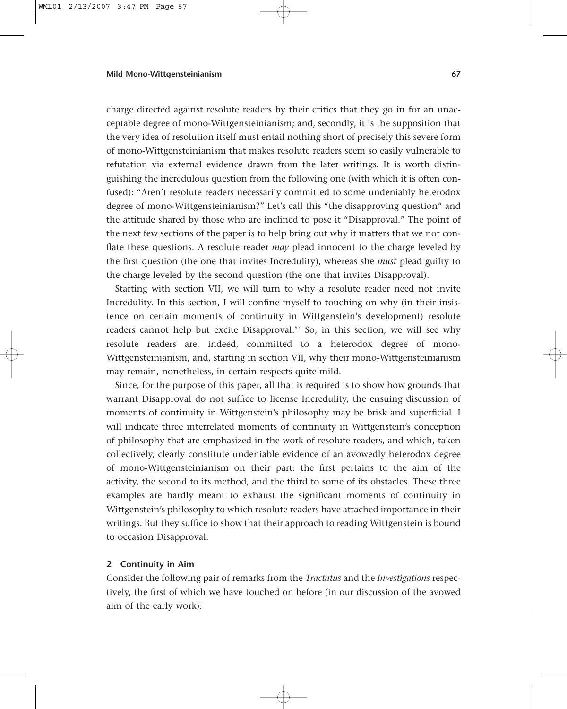charge directed against resolute readers by their critics that they go in for an unacceptable degree of mono-Wittgensteinianism; and, secondly, it is the supposition that the very idea of resolution itself must entail nothing short of precisely this severe form of mono-Wittgensteinianism that makes resolute readers seem so easily vulnerable to refutation via external evidence drawn from the later writings. It is worth distinguishing the incredulous question from the following one (with which it is often confused): "Aren't resolute readers necessarily committed to some undeniably heterodox degree of mono-Wittgensteinianism?" Let's call this "the disapproving question" and the attitude shared by those who are inclined to pose it "Disapproval." The point of the next few sections of the paper is to help bring out why it matters that we not conflate these questions. A resolute reader *may* plead innocent to the charge leveled by the first question (the one that invites Incredulity), whereas she *must* plead guilty to the charge leveled by the second question (the one that invites Disapproval).

Starting with section VII, we will turn to why a resolute reader need not invite Incredulity. In this section, I will confine myself to touching on why (in their insistence on certain moments of continuity in Wittgenstein's development) resolute readers cannot help but excite Disapproval.<sup>57</sup> So, in this section, we will see why resolute readers are, indeed, committed to a heterodox degree of mono-Wittgensteinianism, and, starting in section VII, why their mono-Wittgensteinianism may remain, nonetheless, in certain respects quite mild.

Since, for the purpose of this paper, all that is required is to show how grounds that warrant Disapproval do not suffice to license Incredulity, the ensuing discussion of moments of continuity in Wittgenstein's philosophy may be brisk and superficial. I will indicate three interrelated moments of continuity in Wittgenstein's conception of philosophy that are emphasized in the work of resolute readers, and which, taken collectively, clearly constitute undeniable evidence of an avowedly heterodox degree of mono-Wittgensteinianism on their part: the first pertains to the aim of the activity, the second to its method, and the third to some of its obstacles. These three examples are hardly meant to exhaust the significant moments of continuity in Wittgenstein's philosophy to which resolute readers have attached importance in their writings. But they suffice to show that their approach to reading Wittgenstein is bound to occasion Disapproval.

## **2 Continuity in Aim**

Consider the following pair of remarks from the *Tractatus* and the *Investigations* respectively, the first of which we have touched on before (in our discussion of the avowed aim of the early work):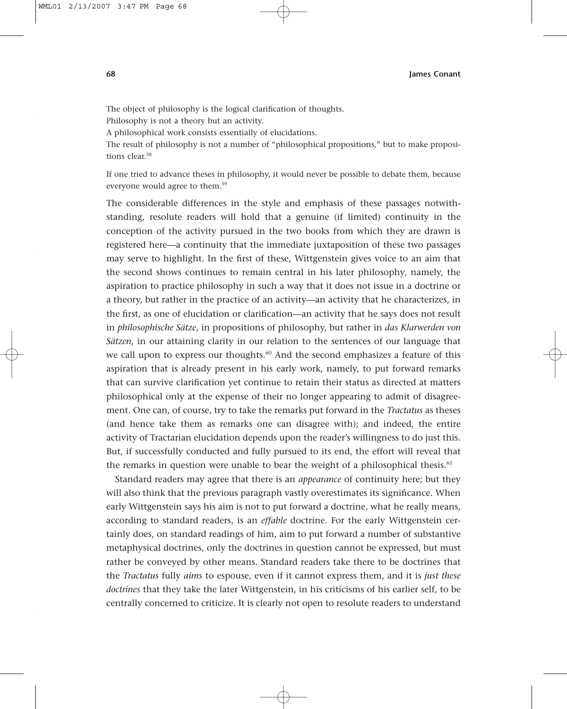The object of philosophy is the logical clarification of thoughts. Philosophy is not a theory but an activity.

A philosophical work consists essentially of elucidations.

The result of philosophy is not a number of "philosophical propositions," but to make propositions clear.<sup>58</sup>

If one tried to advance theses in philosophy, it would never be possible to debate them, because everyone would agree to them.<sup>59</sup>

The considerable differences in the style and emphasis of these passages notwithstanding, resolute readers will hold that a genuine (if limited) continuity in the conception of the activity pursued in the two books from which they are drawn is registered here—a continuity that the immediate juxtaposition of these two passages may serve to highlight. In the first of these, Wittgenstein gives voice to an aim that the second shows continues to remain central in his later philosophy, namely, the aspiration to practice philosophy in such a way that it does not issue in a doctrine or a theory, but rather in the practice of an activity—an activity that he characterizes, in the first, as one of elucidation or clarification—an activity that he says does not result in *philosophische Sätze*, in propositions of philosophy, but rather in *das Klarwerden von Sätzen*, in our attaining clarity in our relation to the sentences of our language that we call upon to express our thoughts.<sup>60</sup> And the second emphasizes a feature of this aspiration that is already present in his early work, namely, to put forward remarks that can survive clarification yet continue to retain their status as directed at matters philosophical only at the expense of their no longer appearing to admit of disagreement. One can, of course, try to take the remarks put forward in the *Tractatus* as theses (and hence take them as remarks one can disagree with); and indeed, the entire activity of Tractarian elucidation depends upon the reader's willingness to do just this. But, if successfully conducted and fully pursued to its end, the effort will reveal that the remarks in question were unable to bear the weight of a philosophical thesis.<sup>61</sup>

Standard readers may agree that there is an *appearance* of continuity here; but they will also think that the previous paragraph vastly overestimates its significance. When early Wittgenstein says his aim is not to put forward a doctrine, what he really means, according to standard readers, is an *effable* doctrine. For the early Wittgenstein certainly does, on standard readings of him, aim to put forward a number of substantive metaphysical doctrines, only the doctrines in question cannot be expressed, but must rather be conveyed by other means. Standard readers take there to be doctrines that the *Tractatus* fully *aims* to espouse, even if it cannot express them, and it is *just these doctrines* that they take the later Wittgenstein, in his criticisms of his earlier self, to be centrally concerned to criticize. It is clearly not open to resolute readers to understand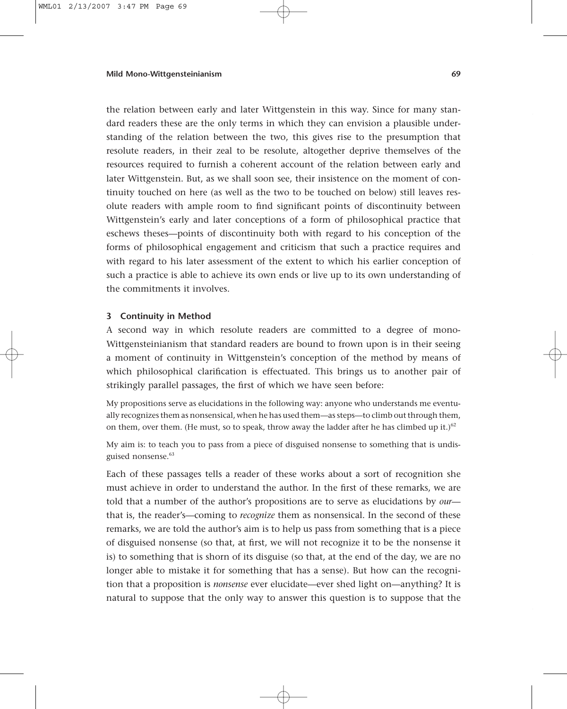the relation between early and later Wittgenstein in this way. Since for many standard readers these are the only terms in which they can envision a plausible understanding of the relation between the two, this gives rise to the presumption that resolute readers, in their zeal to be resolute, altogether deprive themselves of the resources required to furnish a coherent account of the relation between early and later Wittgenstein. But, as we shall soon see, their insistence on the moment of continuity touched on here (as well as the two to be touched on below) still leaves resolute readers with ample room to find significant points of discontinuity between Wittgenstein's early and later conceptions of a form of philosophical practice that eschews theses—points of discontinuity both with regard to his conception of the forms of philosophical engagement and criticism that such a practice requires and with regard to his later assessment of the extent to which his earlier conception of such a practice is able to achieve its own ends or live up to its own understanding of the commitments it involves.

## **3 Continuity in Method**

A second way in which resolute readers are committed to a degree of mono-Wittgensteinianism that standard readers are bound to frown upon is in their seeing a moment of continuity in Wittgenstein's conception of the method by means of which philosophical clarification is effectuated. This brings us to another pair of strikingly parallel passages, the first of which we have seen before:

My propositions serve as elucidations in the following way: anyone who understands me eventually recognizes them as nonsensical, when he has used them—as steps—to climb out through them, on them, over them. (He must, so to speak, throw away the ladder after he has climbed up it.) $62$ 

My aim is: to teach you to pass from a piece of disguised nonsense to something that is undisguised nonsense.<sup>63</sup>

Each of these passages tells a reader of these works about a sort of recognition she must achieve in order to understand the author. In the first of these remarks, we are told that a number of the author's propositions are to serve as elucidations by *our* that is, the reader's—coming to *recognize* them as nonsensical. In the second of these remarks, we are told the author's aim is to help us pass from something that is a piece of disguised nonsense (so that, at first, we will not recognize it to be the nonsense it is) to something that is shorn of its disguise (so that, at the end of the day, we are no longer able to mistake it for something that has a sense). But how can the recognition that a proposition is *nonsense* ever elucidate—ever shed light on—anything? It is natural to suppose that the only way to answer this question is to suppose that the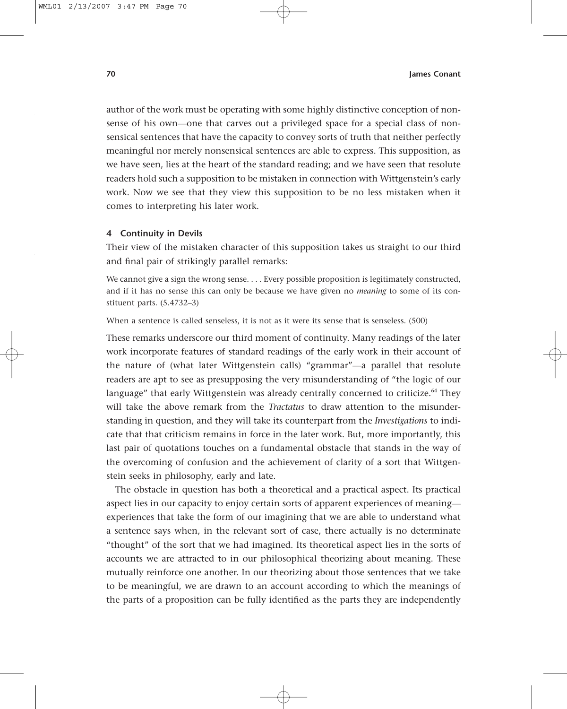author of the work must be operating with some highly distinctive conception of nonsense of his own—one that carves out a privileged space for a special class of nonsensical sentences that have the capacity to convey sorts of truth that neither perfectly meaningful nor merely nonsensical sentences are able to express. This supposition, as we have seen, lies at the heart of the standard reading; and we have seen that resolute readers hold such a supposition to be mistaken in connection with Wittgenstein's early work. Now we see that they view this supposition to be no less mistaken when it comes to interpreting his later work.

#### **4 Continuity in Devils**

Their view of the mistaken character of this supposition takes us straight to our third and final pair of strikingly parallel remarks:

We cannot give a sign the wrong sense. . . . Every possible proposition is legitimately constructed, and if it has no sense this can only be because we have given no *meaning* to some of its constituent parts. (5.4732–3)

When a sentence is called senseless, it is not as it were its sense that is senseless. (500)

These remarks underscore our third moment of continuity. Many readings of the later work incorporate features of standard readings of the early work in their account of the nature of (what later Wittgenstein calls) "grammar"—a parallel that resolute readers are apt to see as presupposing the very misunderstanding of "the logic of our language" that early Wittgenstein was already centrally concerned to criticize.<sup>64</sup> They will take the above remark from the *Tractatus* to draw attention to the misunderstanding in question, and they will take its counterpart from the *Investigations* to indicate that that criticism remains in force in the later work. But, more importantly, this last pair of quotations touches on a fundamental obstacle that stands in the way of the overcoming of confusion and the achievement of clarity of a sort that Wittgenstein seeks in philosophy, early and late.

The obstacle in question has both a theoretical and a practical aspect. Its practical aspect lies in our capacity to enjoy certain sorts of apparent experiences of meaning experiences that take the form of our imagining that we are able to understand what a sentence says when, in the relevant sort of case, there actually is no determinate "thought" of the sort that we had imagined. Its theoretical aspect lies in the sorts of accounts we are attracted to in our philosophical theorizing about meaning. These mutually reinforce one another. In our theorizing about those sentences that we take to be meaningful, we are drawn to an account according to which the meanings of the parts of a proposition can be fully identified as the parts they are independently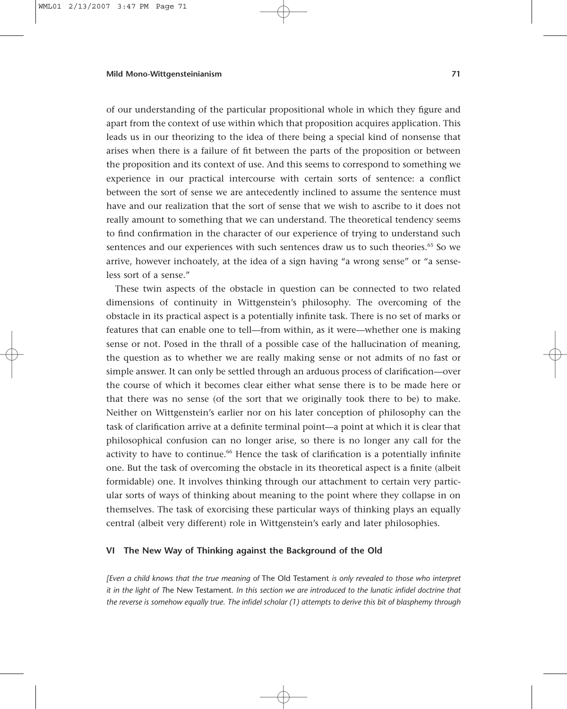of our understanding of the particular propositional whole in which they figure and apart from the context of use within which that proposition acquires application. This leads us in our theorizing to the idea of there being a special kind of nonsense that arises when there is a failure of fit between the parts of the proposition or between the proposition and its context of use. And this seems to correspond to something we experience in our practical intercourse with certain sorts of sentence: a conflict between the sort of sense we are antecedently inclined to assume the sentence must have and our realization that the sort of sense that we wish to ascribe to it does not really amount to something that we can understand. The theoretical tendency seems to find confirmation in the character of our experience of trying to understand such sentences and our experiences with such sentences draw us to such theories.<sup>65</sup> So we arrive, however inchoately, at the idea of a sign having "a wrong sense" or "a senseless sort of a sense."

These twin aspects of the obstacle in question can be connected to two related dimensions of continuity in Wittgenstein's philosophy. The overcoming of the obstacle in its practical aspect is a potentially infinite task. There is no set of marks or features that can enable one to tell—from within, as it were—whether one is making sense or not. Posed in the thrall of a possible case of the hallucination of meaning, the question as to whether we are really making sense or not admits of no fast or simple answer. It can only be settled through an arduous process of clarification—over the course of which it becomes clear either what sense there is to be made here or that there was no sense (of the sort that we originally took there to be) to make. Neither on Wittgenstein's earlier nor on his later conception of philosophy can the task of clarification arrive at a definite terminal point—a point at which it is clear that philosophical confusion can no longer arise, so there is no longer any call for the activity to have to continue.<sup>66</sup> Hence the task of clarification is a potentially infinite one. But the task of overcoming the obstacle in its theoretical aspect is a finite (albeit formidable) one. It involves thinking through our attachment to certain very particular sorts of ways of thinking about meaning to the point where they collapse in on themselves. The task of exorcising these particular ways of thinking plays an equally central (albeit very different) role in Wittgenstein's early and later philosophies.

## **VI The New Way of Thinking against the Background of the Old**

*[Even a child knows that the true meaning of* The Old Testament *is only revealed to those who interpret it in the light of T*he New Testament*. In this section we are introduced to the lunatic infidel doctrine that the reverse is somehow equally true. The infidel scholar (1) attempts to derive this bit of blasphemy through*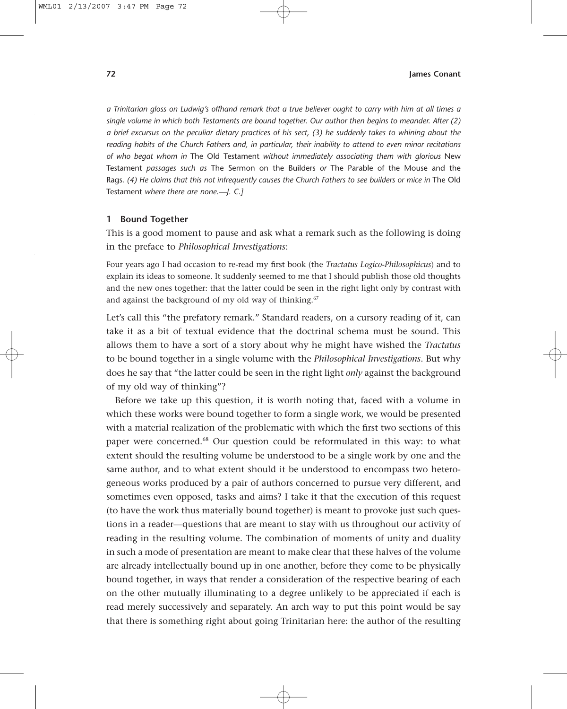*a Trinitarian gloss on Ludwig's offhand remark that a true believer ought to carry with him at all times a single volume in which both Testaments are bound together. Our author then begins to meander. After (2) a brief excursus on the peculiar dietary practices of his sect, (3) he suddenly takes to whining about the reading habits of the Church Fathers and, in particular, their inability to attend to even minor recitations of who begat whom in* The Old Testament *without immediately associating them with glorious* New Testament *passages such as* The Sermon on the Builders *or* The Parable of the Mouse and the Rags*. (4) He claims that this not infrequently causes the Church Fathers to see builders or mice in* The Old Testament *where there are none.—J. C.]*

## **1 Bound Together**

This is a good moment to pause and ask what a remark such as the following is doing in the preface to *Philosophical Investigations*:

Four years ago I had occasion to re-read my first book (the *Tractatus Logico-Philosophicus*) and to explain its ideas to someone. It suddenly seemed to me that I should publish those old thoughts and the new ones together: that the latter could be seen in the right light only by contrast with and against the background of my old way of thinking.<sup>67</sup>

Let's call this "the prefatory remark." Standard readers, on a cursory reading of it, can take it as a bit of textual evidence that the doctrinal schema must be sound. This allows them to have a sort of a story about why he might have wished the *Tractatus* to be bound together in a single volume with the *Philosophical Investigations*. But why does he say that "the latter could be seen in the right light *only* against the background of my old way of thinking"?

Before we take up this question, it is worth noting that, faced with a volume in which these works were bound together to form a single work, we would be presented with a material realization of the problematic with which the first two sections of this paper were concerned.68 Our question could be reformulated in this way: to what extent should the resulting volume be understood to be a single work by one and the same author, and to what extent should it be understood to encompass two heterogeneous works produced by a pair of authors concerned to pursue very different, and sometimes even opposed, tasks and aims? I take it that the execution of this request (to have the work thus materially bound together) is meant to provoke just such questions in a reader—questions that are meant to stay with us throughout our activity of reading in the resulting volume. The combination of moments of unity and duality in such a mode of presentation are meant to make clear that these halves of the volume are already intellectually bound up in one another, before they come to be physically bound together, in ways that render a consideration of the respective bearing of each on the other mutually illuminating to a degree unlikely to be appreciated if each is read merely successively and separately. An arch way to put this point would be say that there is something right about going Trinitarian here: the author of the resulting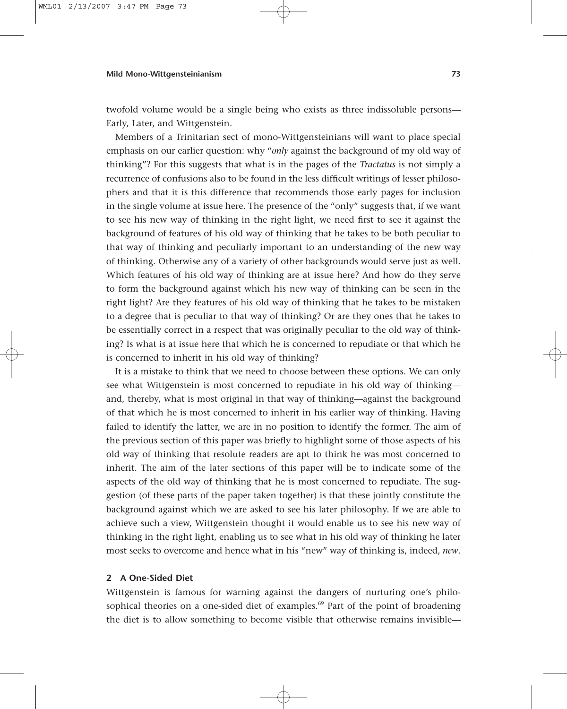twofold volume would be a single being who exists as three indissoluble persons— Early, Later, and Wittgenstein.

Members of a Trinitarian sect of mono-Wittgensteinians will want to place special emphasis on our earlier question: why "*only* against the background of my old way of thinking"? For this suggests that what is in the pages of the *Tractatus* is not simply a recurrence of confusions also to be found in the less difficult writings of lesser philosophers and that it is this difference that recommends those early pages for inclusion in the single volume at issue here. The presence of the "only" suggests that, if we want to see his new way of thinking in the right light, we need first to see it against the background of features of his old way of thinking that he takes to be both peculiar to that way of thinking and peculiarly important to an understanding of the new way of thinking. Otherwise any of a variety of other backgrounds would serve just as well. Which features of his old way of thinking are at issue here? And how do they serve to form the background against which his new way of thinking can be seen in the right light? Are they features of his old way of thinking that he takes to be mistaken to a degree that is peculiar to that way of thinking? Or are they ones that he takes to be essentially correct in a respect that was originally peculiar to the old way of thinking? Is what is at issue here that which he is concerned to repudiate or that which he is concerned to inherit in his old way of thinking?

It is a mistake to think that we need to choose between these options. We can only see what Wittgenstein is most concerned to repudiate in his old way of thinking and, thereby, what is most original in that way of thinking—against the background of that which he is most concerned to inherit in his earlier way of thinking. Having failed to identify the latter, we are in no position to identify the former. The aim of the previous section of this paper was briefly to highlight some of those aspects of his old way of thinking that resolute readers are apt to think he was most concerned to inherit. The aim of the later sections of this paper will be to indicate some of the aspects of the old way of thinking that he is most concerned to repudiate. The suggestion (of these parts of the paper taken together) is that these jointly constitute the background against which we are asked to see his later philosophy. If we are able to achieve such a view, Wittgenstein thought it would enable us to see his new way of thinking in the right light, enabling us to see what in his old way of thinking he later most seeks to overcome and hence what in his "new" way of thinking is, indeed, *new*.

# **2 A One-Sided Diet**

Wittgenstein is famous for warning against the dangers of nurturing one's philosophical theories on a one-sided diet of examples.<sup>69</sup> Part of the point of broadening the diet is to allow something to become visible that otherwise remains invisible—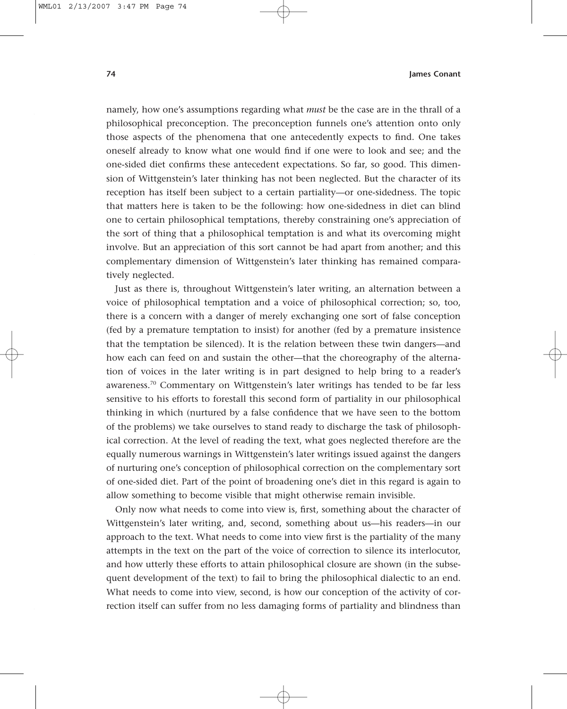namely, how one's assumptions regarding what *must* be the case are in the thrall of a philosophical preconception. The preconception funnels one's attention onto only those aspects of the phenomena that one antecedently expects to find. One takes oneself already to know what one would find if one were to look and see; and the one-sided diet confirms these antecedent expectations. So far, so good. This dimension of Wittgenstein's later thinking has not been neglected. But the character of its reception has itself been subject to a certain partiality—or one-sidedness. The topic that matters here is taken to be the following: how one-sidedness in diet can blind one to certain philosophical temptations, thereby constraining one's appreciation of the sort of thing that a philosophical temptation is and what its overcoming might involve. But an appreciation of this sort cannot be had apart from another; and this complementary dimension of Wittgenstein's later thinking has remained comparatively neglected.

Just as there is, throughout Wittgenstein's later writing, an alternation between a voice of philosophical temptation and a voice of philosophical correction; so, too, there is a concern with a danger of merely exchanging one sort of false conception (fed by a premature temptation to insist) for another (fed by a premature insistence that the temptation be silenced). It is the relation between these twin dangers—and how each can feed on and sustain the other—that the choreography of the alternation of voices in the later writing is in part designed to help bring to a reader's awareness.<sup>70</sup> Commentary on Wittgenstein's later writings has tended to be far less sensitive to his efforts to forestall this second form of partiality in our philosophical thinking in which (nurtured by a false confidence that we have seen to the bottom of the problems) we take ourselves to stand ready to discharge the task of philosophical correction. At the level of reading the text, what goes neglected therefore are the equally numerous warnings in Wittgenstein's later writings issued against the dangers of nurturing one's conception of philosophical correction on the complementary sort of one-sided diet. Part of the point of broadening one's diet in this regard is again to allow something to become visible that might otherwise remain invisible.

Only now what needs to come into view is, first, something about the character of Wittgenstein's later writing, and, second, something about us—his readers—in our approach to the text. What needs to come into view first is the partiality of the many attempts in the text on the part of the voice of correction to silence its interlocutor, and how utterly these efforts to attain philosophical closure are shown (in the subsequent development of the text) to fail to bring the philosophical dialectic to an end. What needs to come into view, second, is how our conception of the activity of correction itself can suffer from no less damaging forms of partiality and blindness than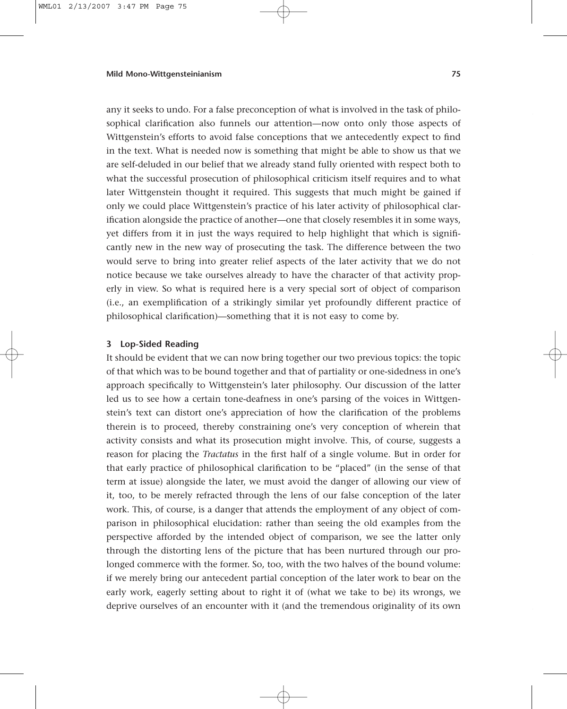any it seeks to undo. For a false preconception of what is involved in the task of philosophical clarification also funnels our attention—now onto only those aspects of Wittgenstein's efforts to avoid false conceptions that we antecedently expect to find in the text. What is needed now is something that might be able to show us that we are self-deluded in our belief that we already stand fully oriented with respect both to what the successful prosecution of philosophical criticism itself requires and to what later Wittgenstein thought it required. This suggests that much might be gained if only we could place Wittgenstein's practice of his later activity of philosophical clarification alongside the practice of another—one that closely resembles it in some ways, yet differs from it in just the ways required to help highlight that which is significantly new in the new way of prosecuting the task. The difference between the two would serve to bring into greater relief aspects of the later activity that we do not notice because we take ourselves already to have the character of that activity properly in view. So what is required here is a very special sort of object of comparison (i.e., an exemplification of a strikingly similar yet profoundly different practice of philosophical clarification)—something that it is not easy to come by.

# **3 Lop-Sided Reading**

It should be evident that we can now bring together our two previous topics: the topic of that which was to be bound together and that of partiality or one-sidedness in one's approach specifically to Wittgenstein's later philosophy. Our discussion of the latter led us to see how a certain tone-deafness in one's parsing of the voices in Wittgenstein's text can distort one's appreciation of how the clarification of the problems therein is to proceed, thereby constraining one's very conception of wherein that activity consists and what its prosecution might involve. This, of course, suggests a reason for placing the *Tractatus* in the first half of a single volume. But in order for that early practice of philosophical clarification to be "placed" (in the sense of that term at issue) alongside the later, we must avoid the danger of allowing our view of it, too, to be merely refracted through the lens of our false conception of the later work. This, of course, is a danger that attends the employment of any object of comparison in philosophical elucidation: rather than seeing the old examples from the perspective afforded by the intended object of comparison, we see the latter only through the distorting lens of the picture that has been nurtured through our prolonged commerce with the former. So, too, with the two halves of the bound volume: if we merely bring our antecedent partial conception of the later work to bear on the early work, eagerly setting about to right it of (what we take to be) its wrongs, we deprive ourselves of an encounter with it (and the tremendous originality of its own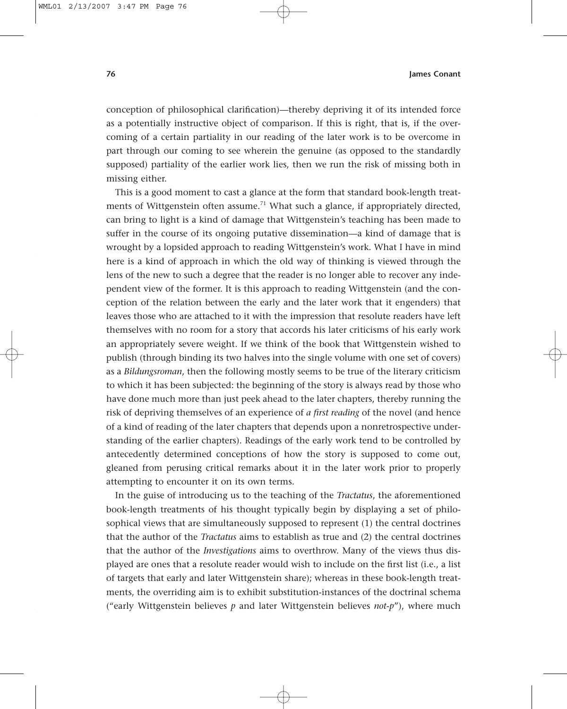conception of philosophical clarification)—thereby depriving it of its intended force as a potentially instructive object of comparison. If this is right, that is, if the overcoming of a certain partiality in our reading of the later work is to be overcome in part through our coming to see wherein the genuine (as opposed to the standardly supposed) partiality of the earlier work lies, then we run the risk of missing both in missing either.

This is a good moment to cast a glance at the form that standard book-length treatments of Wittgenstein often assume.<sup>71</sup> What such a glance, if appropriately directed, can bring to light is a kind of damage that Wittgenstein's teaching has been made to suffer in the course of its ongoing putative dissemination—a kind of damage that is wrought by a lopsided approach to reading Wittgenstein's work. What I have in mind here is a kind of approach in which the old way of thinking is viewed through the lens of the new to such a degree that the reader is no longer able to recover any independent view of the former. It is this approach to reading Wittgenstein (and the conception of the relation between the early and the later work that it engenders) that leaves those who are attached to it with the impression that resolute readers have left themselves with no room for a story that accords his later criticisms of his early work an appropriately severe weight. If we think of the book that Wittgenstein wished to publish (through binding its two halves into the single volume with one set of covers) as a *Bildungsroman*, then the following mostly seems to be true of the literary criticism to which it has been subjected: the beginning of the story is always read by those who have done much more than just peek ahead to the later chapters, thereby running the risk of depriving themselves of an experience of *a first reading* of the novel (and hence of a kind of reading of the later chapters that depends upon a nonretrospective understanding of the earlier chapters). Readings of the early work tend to be controlled by antecedently determined conceptions of how the story is supposed to come out, gleaned from perusing critical remarks about it in the later work prior to properly attempting to encounter it on its own terms.

In the guise of introducing us to the teaching of the *Tractatus*, the aforementioned book-length treatments of his thought typically begin by displaying a set of philosophical views that are simultaneously supposed to represent (1) the central doctrines that the author of the *Tractatus* aims to establish as true and (2) the central doctrines that the author of the *Investigations* aims to overthrow. Many of the views thus displayed are ones that a resolute reader would wish to include on the first list (i.e., a list of targets that early and later Wittgenstein share); whereas in these book-length treatments, the overriding aim is to exhibit substitution-instances of the doctrinal schema ("early Wittgenstein believes  $p$  and later Wittgenstein believes  $not$ - $p$ "), where much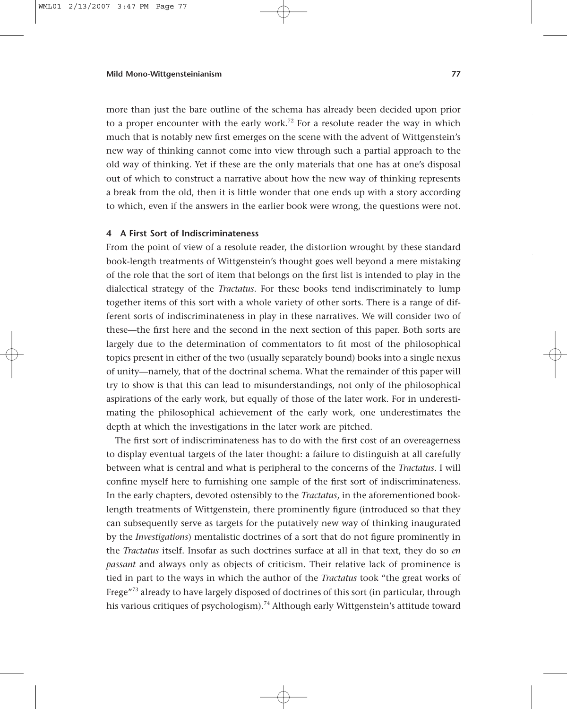more than just the bare outline of the schema has already been decided upon prior to a proper encounter with the early work.<sup>72</sup> For a resolute reader the way in which much that is notably new first emerges on the scene with the advent of Wittgenstein's new way of thinking cannot come into view through such a partial approach to the old way of thinking. Yet if these are the only materials that one has at one's disposal out of which to construct a narrative about how the new way of thinking represents a break from the old, then it is little wonder that one ends up with a story according to which, even if the answers in the earlier book were wrong, the questions were not.

## **4 A First Sort of Indiscriminateness**

From the point of view of a resolute reader, the distortion wrought by these standard book-length treatments of Wittgenstein's thought goes well beyond a mere mistaking of the role that the sort of item that belongs on the first list is intended to play in the dialectical strategy of the *Tractatus*. For these books tend indiscriminately to lump together items of this sort with a whole variety of other sorts. There is a range of different sorts of indiscriminateness in play in these narratives. We will consider two of these—the first here and the second in the next section of this paper. Both sorts are largely due to the determination of commentators to fit most of the philosophical topics present in either of the two (usually separately bound) books into a single nexus of unity—namely, that of the doctrinal schema. What the remainder of this paper will try to show is that this can lead to misunderstandings, not only of the philosophical aspirations of the early work, but equally of those of the later work. For in underestimating the philosophical achievement of the early work, one underestimates the depth at which the investigations in the later work are pitched.

The first sort of indiscriminateness has to do with the first cost of an overeagerness to display eventual targets of the later thought: a failure to distinguish at all carefully between what is central and what is peripheral to the concerns of the *Tractatus*. I will confine myself here to furnishing one sample of the first sort of indiscriminateness. In the early chapters, devoted ostensibly to the *Tractatus*, in the aforementioned booklength treatments of Wittgenstein, there prominently figure (introduced so that they can subsequently serve as targets for the putatively new way of thinking inaugurated by the *Investigations*) mentalistic doctrines of a sort that do not figure prominently in the *Tractatus* itself. Insofar as such doctrines surface at all in that text, they do so *en passant* and always only as objects of criticism. Their relative lack of prominence is tied in part to the ways in which the author of the *Tractatus* took "the great works of Frege"<sup>73</sup> already to have largely disposed of doctrines of this sort (in particular, through his various critiques of psychologism).<sup>74</sup> Although early Wittgenstein's attitude toward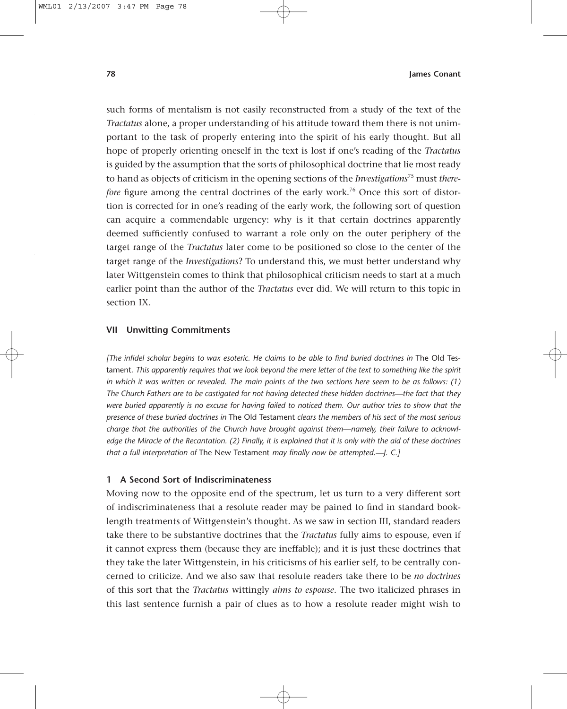such forms of mentalism is not easily reconstructed from a study of the text of the *Tractatus* alone, a proper understanding of his attitude toward them there is not unimportant to the task of properly entering into the spirit of his early thought. But all hope of properly orienting oneself in the text is lost if one's reading of the *Tractatus* is guided by the assumption that the sorts of philosophical doctrine that lie most ready to hand as objects of criticism in the opening sections of the *Investigations*<sup>75</sup> must *therefore* figure among the central doctrines of the early work.<sup>76</sup> Once this sort of distortion is corrected for in one's reading of the early work, the following sort of question can acquire a commendable urgency: why is it that certain doctrines apparently deemed sufficiently confused to warrant a role only on the outer periphery of the target range of the *Tractatus* later come to be positioned so close to the center of the target range of the *Investigations*? To understand this, we must better understand why later Wittgenstein comes to think that philosophical criticism needs to start at a much earlier point than the author of the *Tractatus* ever did. We will return to this topic in section IX.

## **VII Unwitting Commitments**

*[The infidel scholar begins to wax esoteric. He claims to be able to find buried doctrines in* The Old Testament*. This apparently requires that we look beyond the mere letter of the text to something like the spirit in which it was written or revealed. The main points of the two sections here seem to be as follows: (1) The Church Fathers are to be castigated for not having detected these hidden doctrines—the fact that they were buried apparently is no excuse for having failed to noticed them. Our author tries to show that the presence of these buried doctrines in* The Old Testament *clears the members of his sect of the most serious charge that the authorities of the Church have brought against them—namely, their failure to acknowledge the Miracle of the Recantation. (2) Finally, it is explained that it is only with the aid of these doctrines that a full interpretation of* The New Testament *may finally now be attempted.—J. C.]*

# **1 A Second Sort of Indiscriminateness**

Moving now to the opposite end of the spectrum, let us turn to a very different sort of indiscriminateness that a resolute reader may be pained to find in standard booklength treatments of Wittgenstein's thought. As we saw in section III, standard readers take there to be substantive doctrines that the *Tractatus* fully aims to espouse, even if it cannot express them (because they are ineffable); and it is just these doctrines that they take the later Wittgenstein, in his criticisms of his earlier self, to be centrally concerned to criticize. And we also saw that resolute readers take there to be *no doctrines* of this sort that the *Tractatus* wittingly *aims to espouse*. The two italicized phrases in this last sentence furnish a pair of clues as to how a resolute reader might wish to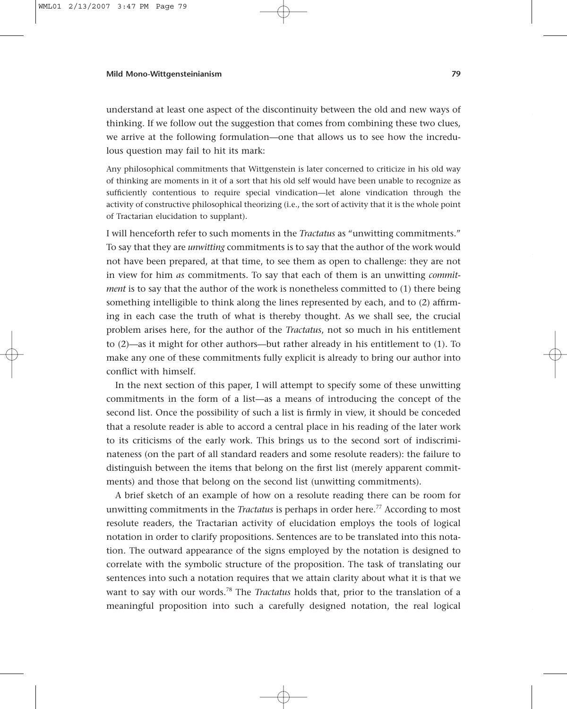understand at least one aspect of the discontinuity between the old and new ways of thinking. If we follow out the suggestion that comes from combining these two clues, we arrive at the following formulation—one that allows us to see how the incredulous question may fail to hit its mark:

Any philosophical commitments that Wittgenstein is later concerned to criticize in his old way of thinking are moments in it of a sort that his old self would have been unable to recognize as sufficiently contentious to require special vindication—let alone vindication through the activity of constructive philosophical theorizing (i.e., the sort of activity that it is the whole point of Tractarian elucidation to supplant).

I will henceforth refer to such moments in the *Tractatus* as "unwitting commitments." To say that they are *unwitting* commitments is to say that the author of the work would not have been prepared, at that time, to see them as open to challenge: they are not in view for him *as* commitments. To say that each of them is an unwitting *commitment* is to say that the author of the work is nonetheless committed to (1) there being something intelligible to think along the lines represented by each, and to (2) affirming in each case the truth of what is thereby thought. As we shall see, the crucial problem arises here, for the author of the *Tractatus*, not so much in his entitlement to (2)—as it might for other authors—but rather already in his entitlement to (1). To make any one of these commitments fully explicit is already to bring our author into conflict with himself.

In the next section of this paper, I will attempt to specify some of these unwitting commitments in the form of a list—as a means of introducing the concept of the second list. Once the possibility of such a list is firmly in view, it should be conceded that a resolute reader is able to accord a central place in his reading of the later work to its criticisms of the early work. This brings us to the second sort of indiscriminateness (on the part of all standard readers and some resolute readers): the failure to distinguish between the items that belong on the first list (merely apparent commitments) and those that belong on the second list (unwitting commitments).

A brief sketch of an example of how on a resolute reading there can be room for unwitting commitments in the *Tractatus* is perhaps in order here.<sup>77</sup> According to most resolute readers, the Tractarian activity of elucidation employs the tools of logical notation in order to clarify propositions. Sentences are to be translated into this notation. The outward appearance of the signs employed by the notation is designed to correlate with the symbolic structure of the proposition. The task of translating our sentences into such a notation requires that we attain clarity about what it is that we want to say with our words.78 The *Tractatus* holds that, prior to the translation of a meaningful proposition into such a carefully designed notation, the real logical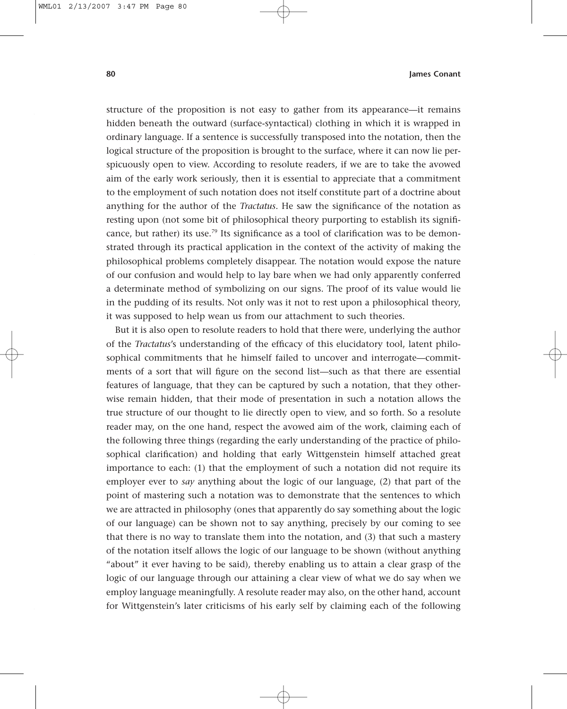structure of the proposition is not easy to gather from its appearance—it remains hidden beneath the outward (surface-syntactical) clothing in which it is wrapped in ordinary language. If a sentence is successfully transposed into the notation, then the logical structure of the proposition is brought to the surface, where it can now lie perspicuously open to view. According to resolute readers, if we are to take the avowed aim of the early work seriously, then it is essential to appreciate that a commitment to the employment of such notation does not itself constitute part of a doctrine about anything for the author of the *Tractatus*. He saw the significance of the notation as resting upon (not some bit of philosophical theory purporting to establish its significance, but rather) its use.<sup>79</sup> Its significance as a tool of clarification was to be demonstrated through its practical application in the context of the activity of making the philosophical problems completely disappear. The notation would expose the nature of our confusion and would help to lay bare when we had only apparently conferred a determinate method of symbolizing on our signs. The proof of its value would lie in the pudding of its results. Not only was it not to rest upon a philosophical theory, it was supposed to help wean us from our attachment to such theories.

But it is also open to resolute readers to hold that there were, underlying the author of the *Tractatus*'s understanding of the efficacy of this elucidatory tool, latent philosophical commitments that he himself failed to uncover and interrogate—commitments of a sort that will figure on the second list—such as that there are essential features of language, that they can be captured by such a notation, that they otherwise remain hidden, that their mode of presentation in such a notation allows the true structure of our thought to lie directly open to view, and so forth. So a resolute reader may, on the one hand, respect the avowed aim of the work, claiming each of the following three things (regarding the early understanding of the practice of philosophical clarification) and holding that early Wittgenstein himself attached great importance to each: (1) that the employment of such a notation did not require its employer ever to *say* anything about the logic of our language, (2) that part of the point of mastering such a notation was to demonstrate that the sentences to which we are attracted in philosophy (ones that apparently do say something about the logic of our language) can be shown not to say anything, precisely by our coming to see that there is no way to translate them into the notation, and (3) that such a mastery of the notation itself allows the logic of our language to be shown (without anything "about" it ever having to be said), thereby enabling us to attain a clear grasp of the logic of our language through our attaining a clear view of what we do say when we employ language meaningfully. A resolute reader may also, on the other hand, account for Wittgenstein's later criticisms of his early self by claiming each of the following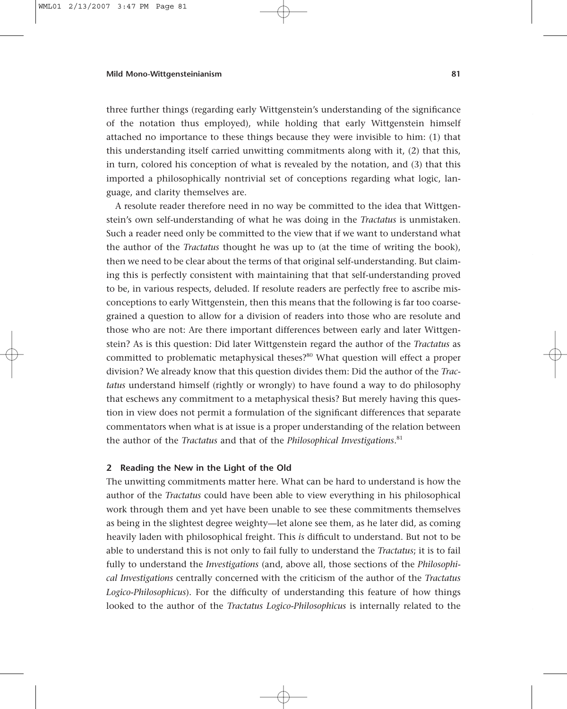three further things (regarding early Wittgenstein's understanding of the significance of the notation thus employed), while holding that early Wittgenstein himself attached no importance to these things because they were invisible to him: (1) that this understanding itself carried unwitting commitments along with it, (2) that this, in turn, colored his conception of what is revealed by the notation, and (3) that this imported a philosophically nontrivial set of conceptions regarding what logic, language, and clarity themselves are.

A resolute reader therefore need in no way be committed to the idea that Wittgenstein's own self-understanding of what he was doing in the *Tractatus* is unmistaken. Such a reader need only be committed to the view that if we want to understand what the author of the *Tractatus* thought he was up to (at the time of writing the book), then we need to be clear about the terms of that original self-understanding. But claiming this is perfectly consistent with maintaining that that self-understanding proved to be, in various respects, deluded. If resolute readers are perfectly free to ascribe misconceptions to early Wittgenstein, then this means that the following is far too coarsegrained a question to allow for a division of readers into those who are resolute and those who are not: Are there important differences between early and later Wittgenstein? As is this question: Did later Wittgenstein regard the author of the *Tractatus* as committed to problematic metaphysical theses?<sup>80</sup> What question will effect a proper division? We already know that this question divides them: Did the author of the *Tractatus* understand himself (rightly or wrongly) to have found a way to do philosophy that eschews any commitment to a metaphysical thesis? But merely having this question in view does not permit a formulation of the significant differences that separate commentators when what is at issue is a proper understanding of the relation between the author of the *Tractatus* and that of the *Philosophical Investigations*. 81

## **2 Reading the New in the Light of the Old**

The unwitting commitments matter here. What can be hard to understand is how the author of the *Tractatus* could have been able to view everything in his philosophical work through them and yet have been unable to see these commitments themselves as being in the slightest degree weighty—let alone see them, as he later did, as coming heavily laden with philosophical freight. This *is* difficult to understand. But not to be able to understand this is not only to fail fully to understand the *Tractatus*; it is to fail fully to understand the *Investigations* (and, above all, those sections of the *Philosophical Investigations* centrally concerned with the criticism of the author of the *Tractatus Logico-Philosophicus*). For the difficulty of understanding this feature of how things looked to the author of the *Tractatus Logico-Philosophicus* is internally related to the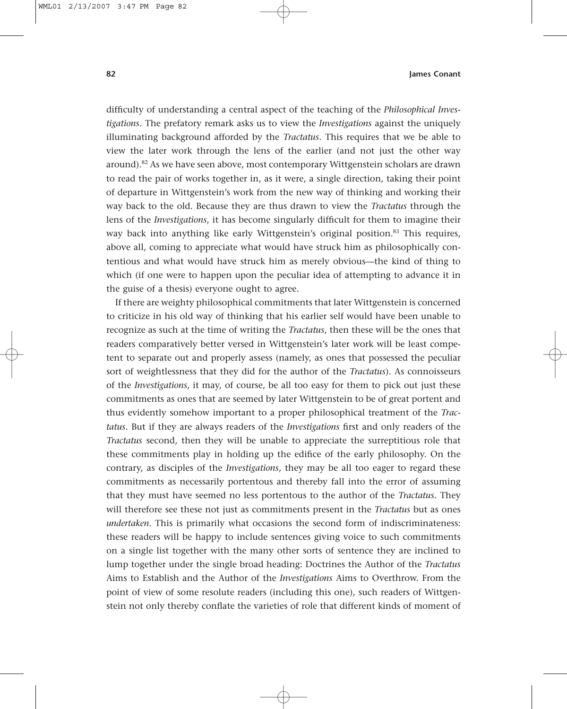difficulty of understanding a central aspect of the teaching of the *Philosophical Investigations*. The prefatory remark asks us to view the *Investigations* against the uniquely illuminating background afforded by the *Tractatus*. This requires that we be able to view the later work through the lens of the earlier (and not just the other way around).82 As we have seen above, most contemporary Wittgenstein scholars are drawn to read the pair of works together in, as it were, a single direction, taking their point of departure in Wittgenstein's work from the new way of thinking and working their way back to the old. Because they are thus drawn to view the *Tractatus* through the lens of the *Investigations*, it has become singularly difficult for them to imagine their way back into anything like early Wittgenstein's original position. $83$  This requires, above all, coming to appreciate what would have struck him as philosophically contentious and what would have struck him as merely obvious—the kind of thing to which (if one were to happen upon the peculiar idea of attempting to advance it in the guise of a thesis) everyone ought to agree.

If there are weighty philosophical commitments that later Wittgenstein is concerned to criticize in his old way of thinking that his earlier self would have been unable to recognize as such at the time of writing the *Tractatus*, then these will be the ones that readers comparatively better versed in Wittgenstein's later work will be least competent to separate out and properly assess (namely, as ones that possessed the peculiar sort of weightlessness that they did for the author of the *Tractatus*). As connoisseurs of the *Investigations*, it may, of course, be all too easy for them to pick out just these commitments as ones that are seemed by later Wittgenstein to be of great portent and thus evidently somehow important to a proper philosophical treatment of the *Tractatus*. But if they are always readers of the *Investigations* first and only readers of the *Tractatus* second, then they will be unable to appreciate the surreptitious role that these commitments play in holding up the edifice of the early philosophy. On the contrary, as disciples of the *Investigations*, they may be all too eager to regard these commitments as necessarily portentous and thereby fall into the error of assuming that they must have seemed no less portentous to the author of the *Tractatus*. They will therefore see these not just as commitments present in the *Tractatus* but as ones *undertaken*. This is primarily what occasions the second form of indiscriminateness: these readers will be happy to include sentences giving voice to such commitments on a single list together with the many other sorts of sentence they are inclined to lump together under the single broad heading: Doctrines the Author of the *Tractatus* Aims to Establish and the Author of the *Investigations* Aims to Overthrow. From the point of view of some resolute readers (including this one), such readers of Wittgenstein not only thereby conflate the varieties of role that different kinds of moment of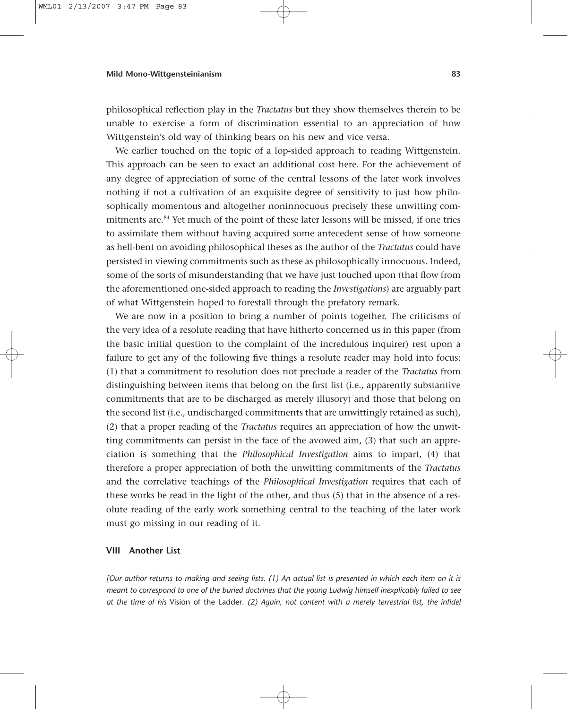philosophical reflection play in the *Tractatus* but they show themselves therein to be unable to exercise a form of discrimination essential to an appreciation of how Wittgenstein's old way of thinking bears on his new and vice versa.

We earlier touched on the topic of a lop-sided approach to reading Wittgenstein. This approach can be seen to exact an additional cost here. For the achievement of any degree of appreciation of some of the central lessons of the later work involves nothing if not a cultivation of an exquisite degree of sensitivity to just how philosophically momentous and altogether noninnocuous precisely these unwitting commitments are.<sup>84</sup> Yet much of the point of these later lessons will be missed, if one tries to assimilate them without having acquired some antecedent sense of how someone as hell-bent on avoiding philosophical theses as the author of the *Tractatus* could have persisted in viewing commitments such as these as philosophically innocuous. Indeed, some of the sorts of misunderstanding that we have just touched upon (that flow from the aforementioned one-sided approach to reading the *Investigations*) are arguably part of what Wittgenstein hoped to forestall through the prefatory remark.

We are now in a position to bring a number of points together. The criticisms of the very idea of a resolute reading that have hitherto concerned us in this paper (from the basic initial question to the complaint of the incredulous inquirer) rest upon a failure to get any of the following five things a resolute reader may hold into focus: (1) that a commitment to resolution does not preclude a reader of the *Tractatus* from distinguishing between items that belong on the first list (i.e., apparently substantive commitments that are to be discharged as merely illusory) and those that belong on the second list (i.e., undischarged commitments that are unwittingly retained as such), (2) that a proper reading of the *Tractatus* requires an appreciation of how the unwitting commitments can persist in the face of the avowed aim, (3) that such an appreciation is something that the *Philosophical Investigation* aims to impart, (4) that therefore a proper appreciation of both the unwitting commitments of the *Tractatus* and the correlative teachings of the *Philosophical Investigation* requires that each of these works be read in the light of the other, and thus (5) that in the absence of a resolute reading of the early work something central to the teaching of the later work must go missing in our reading of it.

## **VIII Another List**

*[Our author returns to making and seeing lists. (1) An actual list is presented in which each item on it is meant to correspond to one of the buried doctrines that the young Ludwig himself inexplicably failed to see at the time of his* Vision of the Ladder*. (2) Again, not content with a merely terrestrial list, the infidel*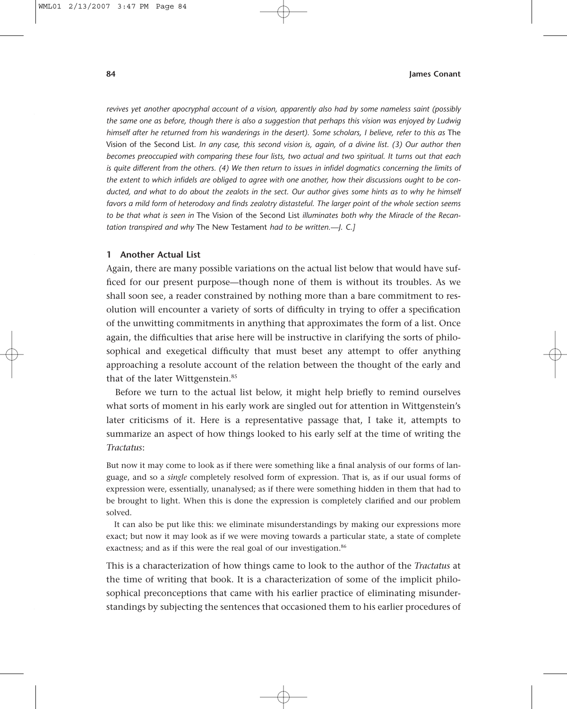**84 James Conant But Constant James Conant James Conant** 

*revives yet another apocryphal account of a vision, apparently also had by some nameless saint (possibly the same one as before, though there is also a suggestion that perhaps this vision was enjoyed by Ludwig himself after he returned from his wanderings in the desert). Some scholars, I believe, refer to this as* The Vision of the Second List*. In any case, this second vision is, again, of a divine list. (3) Our author then becomes preoccupied with comparing these four lists, two actual and two spiritual. It turns out that each is quite different from the others. (4) We then return to issues in infidel dogmatics concerning the limits of the extent to which infidels are obliged to agree with one another, how their discussions ought to be conducted, and what to do about the zealots in the sect. Our author gives some hints as to why he himself favors a mild form of heterodoxy and finds zealotry distasteful. The larger point of the whole section seems to be that what is seen in* The Vision of the Second List *illuminates both why the Miracle of the Recantation transpired and why* The New Testament *had to be written.—J. C.]*

## **1 Another Actual List**

Again, there are many possible variations on the actual list below that would have sufficed for our present purpose—though none of them is without its troubles. As we shall soon see, a reader constrained by nothing more than a bare commitment to resolution will encounter a variety of sorts of difficulty in trying to offer a specification of the unwitting commitments in anything that approximates the form of a list. Once again, the difficulties that arise here will be instructive in clarifying the sorts of philosophical and exegetical difficulty that must beset any attempt to offer anything approaching a resolute account of the relation between the thought of the early and that of the later Wittgenstein.<sup>85</sup>

Before we turn to the actual list below, it might help briefly to remind ourselves what sorts of moment in his early work are singled out for attention in Wittgenstein's later criticisms of it. Here is a representative passage that, I take it, attempts to summarize an aspect of how things looked to his early self at the time of writing the *Tractatus*:

But now it may come to look as if there were something like a final analysis of our forms of language, and so a *single* completely resolved form of expression. That is, as if our usual forms of expression were, essentially, unanalysed; as if there were something hidden in them that had to be brought to light. When this is done the expression is completely clarified and our problem solved.

It can also be put like this: we eliminate misunderstandings by making our expressions more exact; but now it may look as if we were moving towards a particular state, a state of complete exactness; and as if this were the real goal of our investigation.<sup>86</sup>

This is a characterization of how things came to look to the author of the *Tractatus* at the time of writing that book. It is a characterization of some of the implicit philosophical preconceptions that came with his earlier practice of eliminating misunderstandings by subjecting the sentences that occasioned them to his earlier procedures of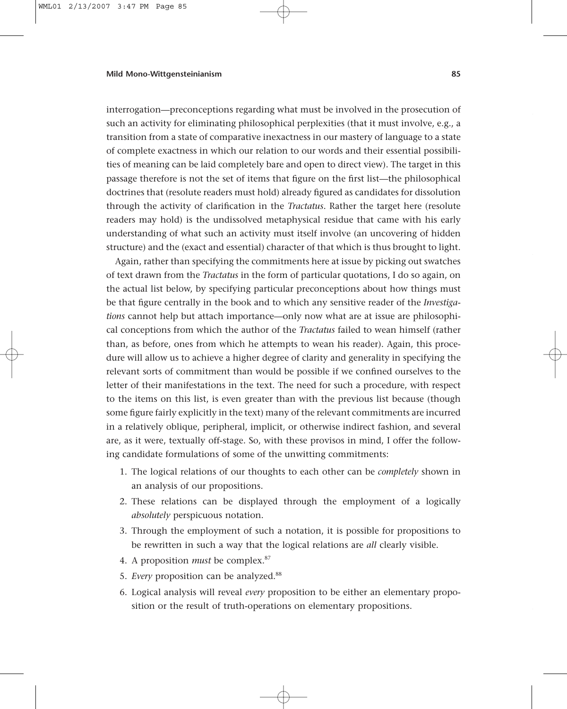interrogation—preconceptions regarding what must be involved in the prosecution of such an activity for eliminating philosophical perplexities (that it must involve, e.g., a transition from a state of comparative inexactness in our mastery of language to a state of complete exactness in which our relation to our words and their essential possibilities of meaning can be laid completely bare and open to direct view). The target in this passage therefore is not the set of items that figure on the first list—the philosophical doctrines that (resolute readers must hold) already figured as candidates for dissolution through the activity of clarification in the *Tractatus*. Rather the target here (resolute readers may hold) is the undissolved metaphysical residue that came with his early understanding of what such an activity must itself involve (an uncovering of hidden structure) and the (exact and essential) character of that which is thus brought to light.

Again, rather than specifying the commitments here at issue by picking out swatches of text drawn from the *Tractatus* in the form of particular quotations, I do so again, on the actual list below, by specifying particular preconceptions about how things must be that figure centrally in the book and to which any sensitive reader of the *Investigations* cannot help but attach importance—only now what are at issue are philosophical conceptions from which the author of the *Tractatus* failed to wean himself (rather than, as before, ones from which he attempts to wean his reader). Again, this procedure will allow us to achieve a higher degree of clarity and generality in specifying the relevant sorts of commitment than would be possible if we confined ourselves to the letter of their manifestations in the text. The need for such a procedure, with respect to the items on this list, is even greater than with the previous list because (though some figure fairly explicitly in the text) many of the relevant commitments are incurred in a relatively oblique, peripheral, implicit, or otherwise indirect fashion, and several are, as it were, textually off-stage. So, with these provisos in mind, I offer the following candidate formulations of some of the unwitting commitments:

- 1. The logical relations of our thoughts to each other can be *completely* shown in an analysis of our propositions.
- 2. These relations can be displayed through the employment of a logically *absolutely* perspicuous notation.
- 3. Through the employment of such a notation, it is possible for propositions to be rewritten in such a way that the logical relations are *all* clearly visible.
- 4. A proposition *must* be complex.87
- 5. *Every* proposition can be analyzed.88
- 6. Logical analysis will reveal *every* proposition to be either an elementary proposition or the result of truth-operations on elementary propositions.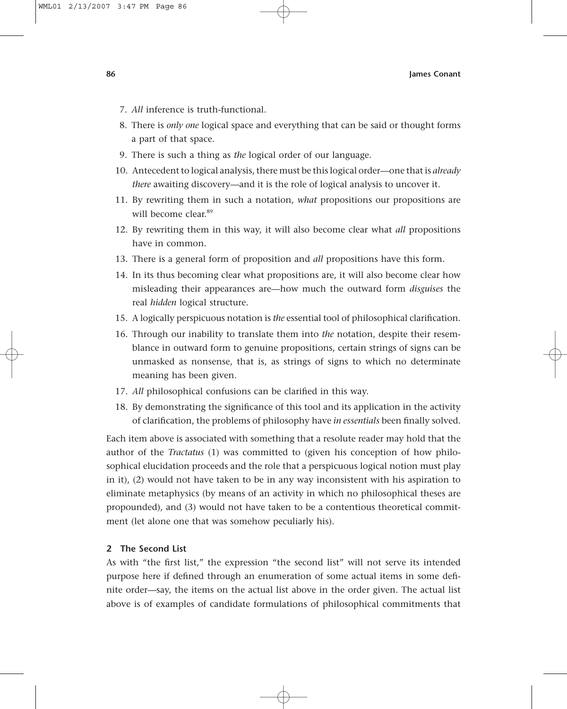- 7. *All* inference is truth-functional.
- 8. There is *only one* logical space and everything that can be said or thought forms a part of that space.
- 9. There is such a thing as *the* logical order of our language.
- 10. Antecedent to logical analysis, there must be this logical order—one that is *already there* awaiting discovery—and it is the role of logical analysis to uncover it.
- 11. By rewriting them in such a notation, *what* propositions our propositions are will become clear.<sup>89</sup>
- 12. By rewriting them in this way, it will also become clear what *all* propositions have in common.
- 13. There is a general form of proposition and *all* propositions have this form.
- 14. In its thus becoming clear what propositions are, it will also become clear how misleading their appearances are—how much the outward form *disguises* the real *hidden* logical structure.
- 15. A logically perspicuous notation is *the* essential tool of philosophical clarification.
- 16. Through our inability to translate them into *the* notation, despite their resemblance in outward form to genuine propositions, certain strings of signs can be unmasked as nonsense, that is, as strings of signs to which no determinate meaning has been given.
- 17. *All* philosophical confusions can be clarified in this way.
- 18. By demonstrating the significance of this tool and its application in the activity of clarification, the problems of philosophy have *in essentials* been finally solved.

Each item above is associated with something that a resolute reader may hold that the author of the *Tractatus* (1) was committed to (given his conception of how philosophical elucidation proceeds and the role that a perspicuous logical notion must play in it), (2) would not have taken to be in any way inconsistent with his aspiration to eliminate metaphysics (by means of an activity in which no philosophical theses are propounded), and (3) would not have taken to be a contentious theoretical commitment (let alone one that was somehow peculiarly his).

# **2 The Second List**

As with "the first list," the expression "the second list" will not serve its intended purpose here if defined through an enumeration of some actual items in some definite order—say, the items on the actual list above in the order given. The actual list above is of examples of candidate formulations of philosophical commitments that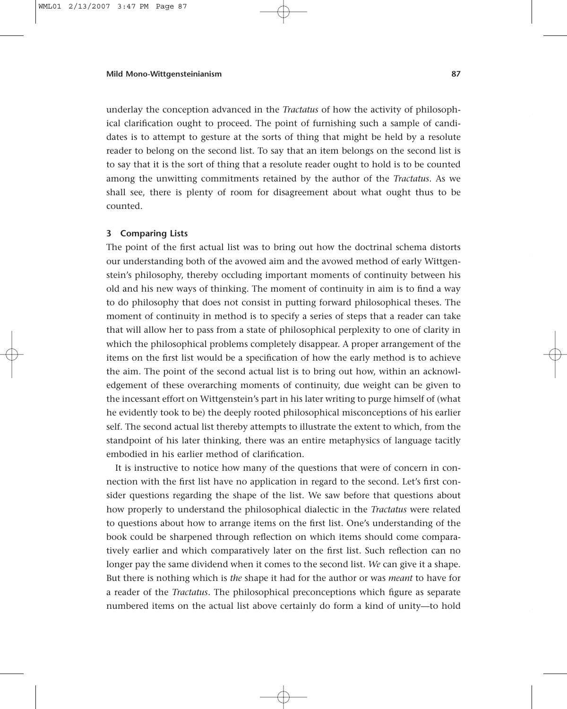underlay the conception advanced in the *Tractatus* of how the activity of philosophical clarification ought to proceed. The point of furnishing such a sample of candidates is to attempt to gesture at the sorts of thing that might be held by a resolute reader to belong on the second list. To say that an item belongs on the second list is to say that it is the sort of thing that a resolute reader ought to hold is to be counted among the unwitting commitments retained by the author of the *Tractatus*. As we shall see, there is plenty of room for disagreement about what ought thus to be counted.

## **3 Comparing Lists**

The point of the first actual list was to bring out how the doctrinal schema distorts our understanding both of the avowed aim and the avowed method of early Wittgenstein's philosophy, thereby occluding important moments of continuity between his old and his new ways of thinking. The moment of continuity in aim is to find a way to do philosophy that does not consist in putting forward philosophical theses. The moment of continuity in method is to specify a series of steps that a reader can take that will allow her to pass from a state of philosophical perplexity to one of clarity in which the philosophical problems completely disappear. A proper arrangement of the items on the first list would be a specification of how the early method is to achieve the aim. The point of the second actual list is to bring out how, within an acknowledgement of these overarching moments of continuity, due weight can be given to the incessant effort on Wittgenstein's part in his later writing to purge himself of (what he evidently took to be) the deeply rooted philosophical misconceptions of his earlier self. The second actual list thereby attempts to illustrate the extent to which, from the standpoint of his later thinking, there was an entire metaphysics of language tacitly embodied in his earlier method of clarification.

It is instructive to notice how many of the questions that were of concern in connection with the first list have no application in regard to the second. Let's first consider questions regarding the shape of the list. We saw before that questions about how properly to understand the philosophical dialectic in the *Tractatus* were related to questions about how to arrange items on the first list. One's understanding of the book could be sharpened through reflection on which items should come comparatively earlier and which comparatively later on the first list. Such reflection can no longer pay the same dividend when it comes to the second list. *We* can give it a shape. But there is nothing which is *the* shape it had for the author or was *meant* to have for a reader of the *Tractatus*. The philosophical preconceptions which figure as separate numbered items on the actual list above certainly do form a kind of unity—to hold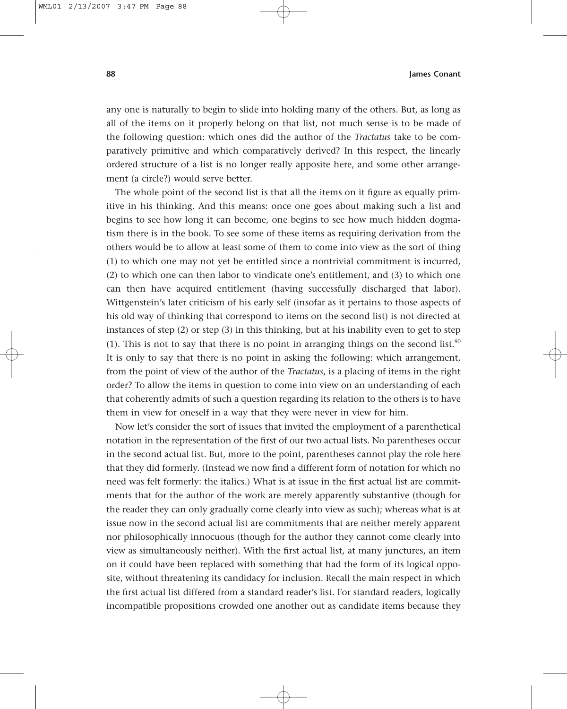#### **88 James Conant 188 James Conant 188 James Conant 188 James Conant**

any one is naturally to begin to slide into holding many of the others. But, as long as all of the items on it properly belong on that list, not much sense is to be made of the following question: which ones did the author of the *Tractatus* take to be comparatively primitive and which comparatively derived? In this respect, the linearly ordered structure of a list is no longer really apposite here, and some other arrangement (a circle?) would serve better.

The whole point of the second list is that all the items on it figure as equally primitive in his thinking. And this means: once one goes about making such a list and begins to see how long it can become, one begins to see how much hidden dogmatism there is in the book. To see some of these items as requiring derivation from the others would be to allow at least some of them to come into view as the sort of thing (1) to which one may not yet be entitled since a nontrivial commitment is incurred, (2) to which one can then labor to vindicate one's entitlement, and (3) to which one can then have acquired entitlement (having successfully discharged that labor). Wittgenstein's later criticism of his early self (insofar as it pertains to those aspects of his old way of thinking that correspond to items on the second list) is not directed at instances of step (2) or step (3) in this thinking, but at his inability even to get to step (1). This is not to say that there is no point in arranging things on the second list.<sup>90</sup> It is only to say that there is no point in asking the following: which arrangement, from the point of view of the author of the *Tractatus*, is a placing of items in the right order? To allow the items in question to come into view on an understanding of each that coherently admits of such a question regarding its relation to the others is to have them in view for oneself in a way that they were never in view for him.

Now let's consider the sort of issues that invited the employment of a parenthetical notation in the representation of the first of our two actual lists. No parentheses occur in the second actual list. But, more to the point, parentheses cannot play the role here that they did formerly. (Instead we now find a different form of notation for which no need was felt formerly: the italics.) What is at issue in the first actual list are commitments that for the author of the work are merely apparently substantive (though for the reader they can only gradually come clearly into view as such); whereas what is at issue now in the second actual list are commitments that are neither merely apparent nor philosophically innocuous (though for the author they cannot come clearly into view as simultaneously neither). With the first actual list, at many junctures, an item on it could have been replaced with something that had the form of its logical opposite, without threatening its candidacy for inclusion. Recall the main respect in which the first actual list differed from a standard reader's list. For standard readers, logically incompatible propositions crowded one another out as candidate items because they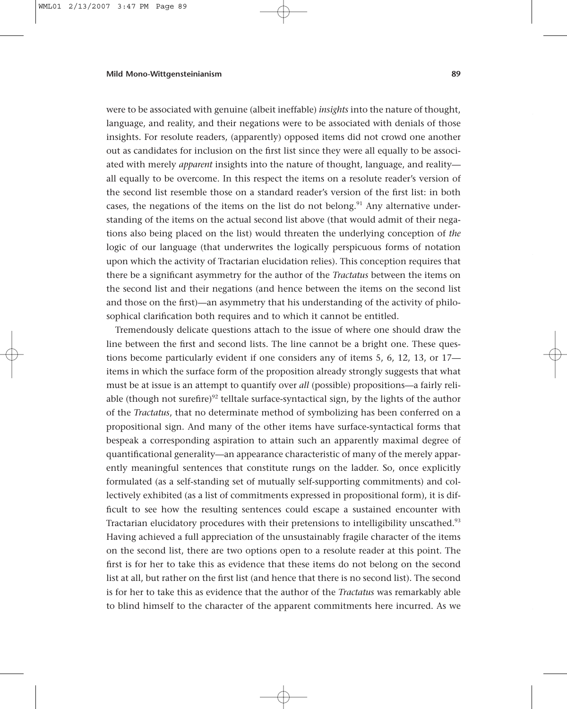were to be associated with genuine (albeit ineffable) *insights* into the nature of thought, language, and reality, and their negations were to be associated with denials of those insights. For resolute readers, (apparently) opposed items did not crowd one another out as candidates for inclusion on the first list since they were all equally to be associated with merely *apparent* insights into the nature of thought, language, and reality all equally to be overcome. In this respect the items on a resolute reader's version of the second list resemble those on a standard reader's version of the first list: in both cases, the negations of the items on the list do not belong.<sup>91</sup> Any alternative understanding of the items on the actual second list above (that would admit of their negations also being placed on the list) would threaten the underlying conception of *the* logic of our language (that underwrites the logically perspicuous forms of notation upon which the activity of Tractarian elucidation relies). This conception requires that there be a significant asymmetry for the author of the *Tractatus* between the items on the second list and their negations (and hence between the items on the second list and those on the first)—an asymmetry that his understanding of the activity of philosophical clarification both requires and to which it cannot be entitled.

Tremendously delicate questions attach to the issue of where one should draw the line between the first and second lists. The line cannot be a bright one. These questions become particularly evident if one considers any of items 5, 6, 12, 13, or 17 items in which the surface form of the proposition already strongly suggests that what must be at issue is an attempt to quantify over *all* (possible) propositions—a fairly reliable (though not surefire)<sup>92</sup> telltale surface-syntactical sign, by the lights of the author of the *Tractatus*, that no determinate method of symbolizing has been conferred on a propositional sign. And many of the other items have surface-syntactical forms that bespeak a corresponding aspiration to attain such an apparently maximal degree of quantificational generality—an appearance characteristic of many of the merely apparently meaningful sentences that constitute rungs on the ladder. So, once explicitly formulated (as a self-standing set of mutually self-supporting commitments) and collectively exhibited (as a list of commitments expressed in propositional form), it is difficult to see how the resulting sentences could escape a sustained encounter with Tractarian elucidatory procedures with their pretensions to intelligibility unscathed.<sup>93</sup> Having achieved a full appreciation of the unsustainably fragile character of the items on the second list, there are two options open to a resolute reader at this point. The first is for her to take this as evidence that these items do not belong on the second list at all, but rather on the first list (and hence that there is no second list). The second is for her to take this as evidence that the author of the *Tractatus* was remarkably able to blind himself to the character of the apparent commitments here incurred. As we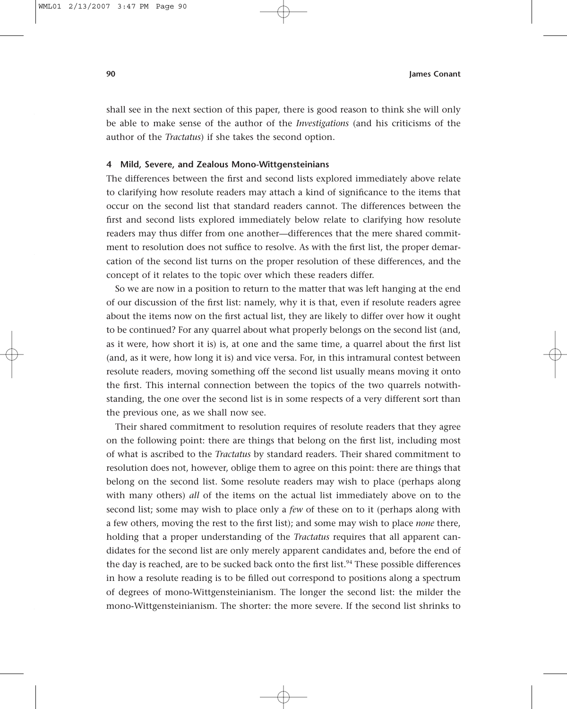shall see in the next section of this paper, there is good reason to think she will only be able to make sense of the author of the *Investigations* (and his criticisms of the author of the *Tractatus*) if she takes the second option.

## **4 Mild, Severe, and Zealous Mono-Wittgensteinians**

The differences between the first and second lists explored immediately above relate to clarifying how resolute readers may attach a kind of significance to the items that occur on the second list that standard readers cannot. The differences between the first and second lists explored immediately below relate to clarifying how resolute readers may thus differ from one another—differences that the mere shared commitment to resolution does not suffice to resolve. As with the first list, the proper demarcation of the second list turns on the proper resolution of these differences, and the concept of it relates to the topic over which these readers differ.

So we are now in a position to return to the matter that was left hanging at the end of our discussion of the first list: namely, why it is that, even if resolute readers agree about the items now on the first actual list, they are likely to differ over how it ought to be continued? For any quarrel about what properly belongs on the second list (and, as it were, how short it is) is, at one and the same time, a quarrel about the first list (and, as it were, how long it is) and vice versa. For, in this intramural contest between resolute readers, moving something off the second list usually means moving it onto the first. This internal connection between the topics of the two quarrels notwithstanding, the one over the second list is in some respects of a very different sort than the previous one, as we shall now see.

Their shared commitment to resolution requires of resolute readers that they agree on the following point: there are things that belong on the first list, including most of what is ascribed to the *Tractatus* by standard readers. Their shared commitment to resolution does not, however, oblige them to agree on this point: there are things that belong on the second list. Some resolute readers may wish to place (perhaps along with many others) *all* of the items on the actual list immediately above on to the second list; some may wish to place only a *few* of these on to it (perhaps along with a few others, moving the rest to the first list); and some may wish to place *none* there, holding that a proper understanding of the *Tractatus* requires that all apparent candidates for the second list are only merely apparent candidates and, before the end of the day is reached, are to be sucked back onto the first list.<sup>94</sup> These possible differences in how a resolute reading is to be filled out correspond to positions along a spectrum of degrees of mono-Wittgensteinianism. The longer the second list: the milder the mono-Wittgensteinianism. The shorter: the more severe. If the second list shrinks to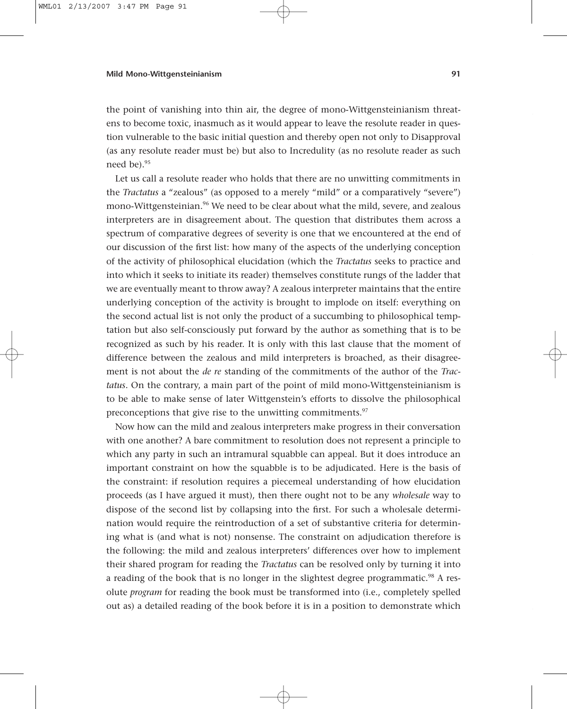the point of vanishing into thin air, the degree of mono-Wittgensteinianism threatens to become toxic, inasmuch as it would appear to leave the resolute reader in question vulnerable to the basic initial question and thereby open not only to Disapproval (as any resolute reader must be) but also to Incredulity (as no resolute reader as such need be).<sup>95</sup>

Let us call a resolute reader who holds that there are no unwitting commitments in the *Tractatus* a "zealous" (as opposed to a merely "mild" or a comparatively "severe") mono-Wittgensteinian.96 We need to be clear about what the mild, severe, and zealous interpreters are in disagreement about. The question that distributes them across a spectrum of comparative degrees of severity is one that we encountered at the end of our discussion of the first list: how many of the aspects of the underlying conception of the activity of philosophical elucidation (which the *Tractatus* seeks to practice and into which it seeks to initiate its reader) themselves constitute rungs of the ladder that we are eventually meant to throw away? A zealous interpreter maintains that the entire underlying conception of the activity is brought to implode on itself: everything on the second actual list is not only the product of a succumbing to philosophical temptation but also self-consciously put forward by the author as something that is to be recognized as such by his reader. It is only with this last clause that the moment of difference between the zealous and mild interpreters is broached, as their disagreement is not about the *de re* standing of the commitments of the author of the *Tractatus*. On the contrary, a main part of the point of mild mono-Wittgensteinianism is to be able to make sense of later Wittgenstein's efforts to dissolve the philosophical preconceptions that give rise to the unwitting commitments.<sup>97</sup>

Now how can the mild and zealous interpreters make progress in their conversation with one another? A bare commitment to resolution does not represent a principle to which any party in such an intramural squabble can appeal. But it does introduce an important constraint on how the squabble is to be adjudicated. Here is the basis of the constraint: if resolution requires a piecemeal understanding of how elucidation proceeds (as I have argued it must), then there ought not to be any *wholesale* way to dispose of the second list by collapsing into the first. For such a wholesale determination would require the reintroduction of a set of substantive criteria for determining what is (and what is not) nonsense. The constraint on adjudication therefore is the following: the mild and zealous interpreters' differences over how to implement their shared program for reading the *Tractatus* can be resolved only by turning it into a reading of the book that is no longer in the slightest degree programmatic.<sup>98</sup> A resolute *program* for reading the book must be transformed into (i.e., completely spelled out as) a detailed reading of the book before it is in a position to demonstrate which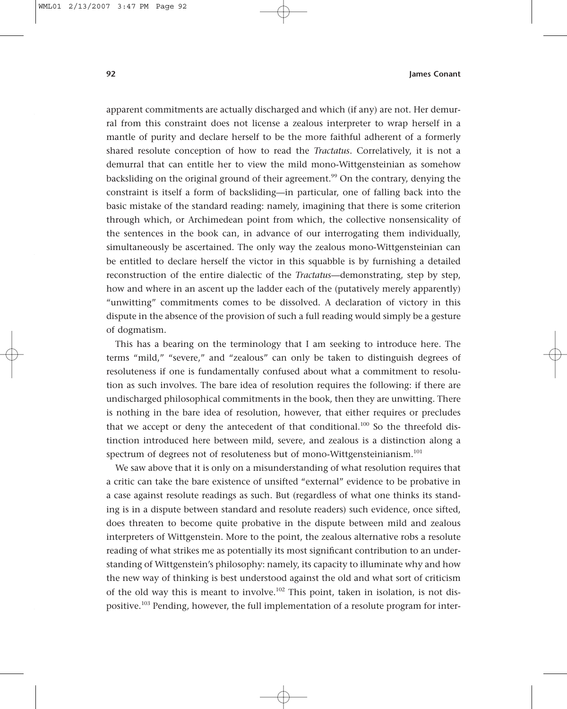apparent commitments are actually discharged and which (if any) are not. Her demurral from this constraint does not license a zealous interpreter to wrap herself in a mantle of purity and declare herself to be the more faithful adherent of a formerly shared resolute conception of how to read the *Tractatus*. Correlatively, it is not a demurral that can entitle her to view the mild mono-Wittgensteinian as somehow backsliding on the original ground of their agreement.99 On the contrary, denying the constraint is itself a form of backsliding—in particular, one of falling back into the basic mistake of the standard reading: namely, imagining that there is some criterion through which, or Archimedean point from which, the collective nonsensicality of the sentences in the book can, in advance of our interrogating them individually, simultaneously be ascertained. The only way the zealous mono-Wittgensteinian can be entitled to declare herself the victor in this squabble is by furnishing a detailed reconstruction of the entire dialectic of the *Tractatus*—demonstrating, step by step, how and where in an ascent up the ladder each of the (putatively merely apparently) "unwitting" commitments comes to be dissolved. A declaration of victory in this dispute in the absence of the provision of such a full reading would simply be a gesture of dogmatism.

This has a bearing on the terminology that I am seeking to introduce here. The terms "mild," "severe," and "zealous" can only be taken to distinguish degrees of resoluteness if one is fundamentally confused about what a commitment to resolution as such involves. The bare idea of resolution requires the following: if there are undischarged philosophical commitments in the book, then they are unwitting. There is nothing in the bare idea of resolution, however, that either requires or precludes that we accept or deny the antecedent of that conditional.<sup>100</sup> So the threefold distinction introduced here between mild, severe, and zealous is a distinction along a spectrum of degrees not of resoluteness but of mono-Wittgensteinianism.<sup>101</sup>

We saw above that it is only on a misunderstanding of what resolution requires that a critic can take the bare existence of unsifted "external" evidence to be probative in a case against resolute readings as such. But (regardless of what one thinks its standing is in a dispute between standard and resolute readers) such evidence, once sifted, does threaten to become quite probative in the dispute between mild and zealous interpreters of Wittgenstein. More to the point, the zealous alternative robs a resolute reading of what strikes me as potentially its most significant contribution to an understanding of Wittgenstein's philosophy: namely, its capacity to illuminate why and how the new way of thinking is best understood against the old and what sort of criticism of the old way this is meant to involve.<sup>102</sup> This point, taken in isolation, is not dispositive.<sup>103</sup> Pending, however, the full implementation of a resolute program for inter-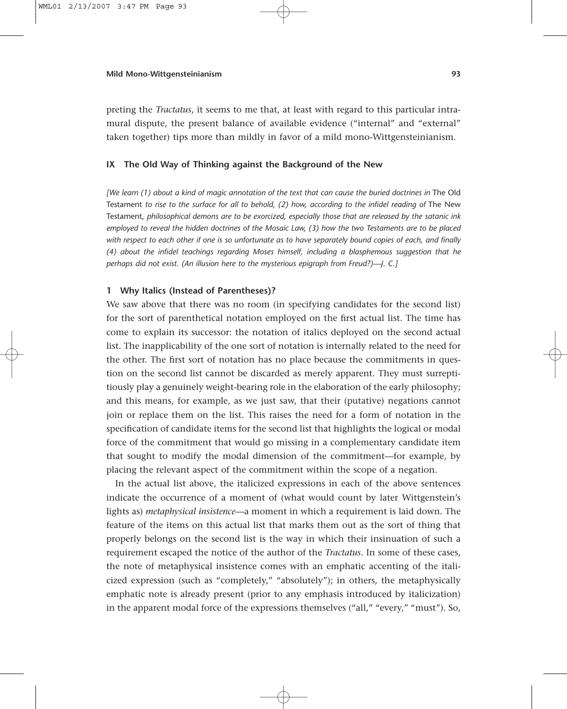preting the *Tractatus*, it seems to me that, at least with regard to this particular intramural dispute, the present balance of available evidence ("internal" and "external" taken together) tips more than mildly in favor of a mild mono-Wittgensteinianism.

## **IX The Old Way of Thinking against the Background of the New**

*[We learn (1) about a kind of magic annotation of the text that can cause the buried doctrines in* The Old Testament to rise to the surface for all to behold, (2) how, according to the infidel reading of The New Testament*, philosophical demons are to be exorcized, especially those that are released by the satanic ink employed to reveal the hidden doctrines of the Mosaic Law, (3) how the two Testaments are to be placed with respect to each other if one is so unfortunate as to have separately bound copies of each, and finally (4) about the infidel teachings regarding Moses himself, including a blasphemous suggestion that he perhaps did not exist. (An illusion here to the mysterious epigraph from Freud?)—J. C.]*

## **1 Why Italics (Instead of Parentheses)?**

We saw above that there was no room (in specifying candidates for the second list) for the sort of parenthetical notation employed on the first actual list. The time has come to explain its successor: the notation of italics deployed on the second actual list. The inapplicability of the one sort of notation is internally related to the need for the other. The first sort of notation has no place because the commitments in question on the second list cannot be discarded as merely apparent. They must surreptitiously play a genuinely weight-bearing role in the elaboration of the early philosophy; and this means, for example, as we just saw, that their (putative) negations cannot join or replace them on the list. This raises the need for a form of notation in the specification of candidate items for the second list that highlights the logical or modal force of the commitment that would go missing in a complementary candidate item that sought to modify the modal dimension of the commitment—for example, by placing the relevant aspect of the commitment within the scope of a negation.

In the actual list above, the italicized expressions in each of the above sentences indicate the occurrence of a moment of (what would count by later Wittgenstein's lights as) *metaphysical insistence*—a moment in which a requirement is laid down. The feature of the items on this actual list that marks them out as the sort of thing that properly belongs on the second list is the way in which their insinuation of such a requirement escaped the notice of the author of the *Tractatus*. In some of these cases, the note of metaphysical insistence comes with an emphatic accenting of the italicized expression (such as "completely," "absolutely"); in others, the metaphysically emphatic note is already present (prior to any emphasis introduced by italicization) in the apparent modal force of the expressions themselves ("all," "every," "must"). So,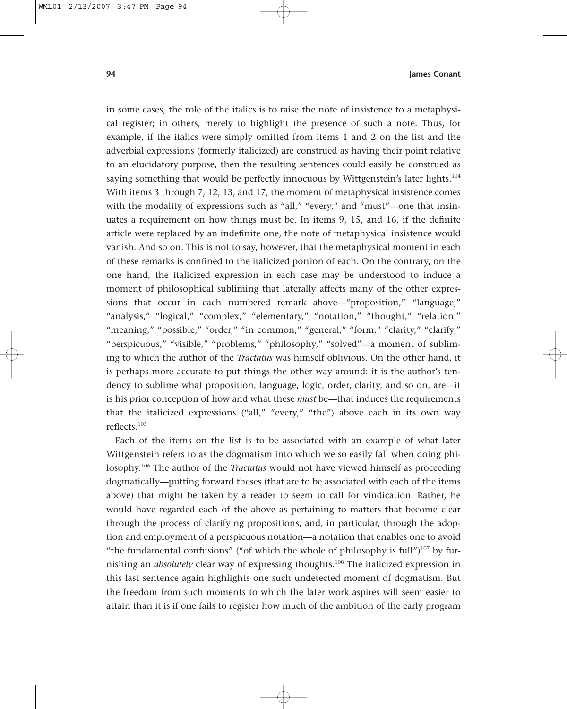in some cases, the role of the italics is to raise the note of insistence to a metaphysical register; in others, merely to highlight the presence of such a note. Thus, for example, if the italics were simply omitted from items 1 and 2 on the list and the adverbial expressions (formerly italicized) are construed as having their point relative to an elucidatory purpose, then the resulting sentences could easily be construed as saying something that would be perfectly innocuous by Wittgenstein's later lights.<sup>104</sup> With items 3 through 7, 12, 13, and 17, the moment of metaphysical insistence comes with the modality of expressions such as "all," "every," and "must"—one that insinuates a requirement on how things must be. In items 9, 15, and 16, if the definite article were replaced by an indefinite one, the note of metaphysical insistence would vanish. And so on. This is not to say, however, that the metaphysical moment in each of these remarks is confined to the italicized portion of each. On the contrary, on the one hand, the italicized expression in each case may be understood to induce a moment of philosophical subliming that laterally affects many of the other expressions that occur in each numbered remark above—"proposition," "language," "analysis," "logical," "complex," "elementary," "notation," "thought," "relation," "meaning," "possible," "order," "in common," "general," "form," "clarity," "clarify," "perspicuous," "visible," "problems," "philosophy," "solved"—a moment of subliming to which the author of the *Tractatus* was himself oblivious. On the other hand, it is perhaps more accurate to put things the other way around: it is the author's tendency to sublime what proposition, language, logic, order, clarity, and so on, are—it is his prior conception of how and what these *must* be—that induces the requirements that the italicized expressions ("all," "every," "the") above each in its own way reflects.105

Each of the items on the list is to be associated with an example of what later Wittgenstein refers to as the dogmatism into which we so easily fall when doing philosophy.106 The author of the *Tractatus* would not have viewed himself as proceeding dogmatically—putting forward theses (that are to be associated with each of the items above) that might be taken by a reader to seem to call for vindication. Rather, he would have regarded each of the above as pertaining to matters that become clear through the process of clarifying propositions, and, in particular, through the adoption and employment of a perspicuous notation—a notation that enables one to avoid "the fundamental confusions" ("of which the whole of philosophy is full")<sup>107</sup> by furnishing an *absolutely* clear way of expressing thoughts.108 The italicized expression in this last sentence again highlights one such undetected moment of dogmatism. But the freedom from such moments to which the later work aspires will seem easier to attain than it is if one fails to register how much of the ambition of the early program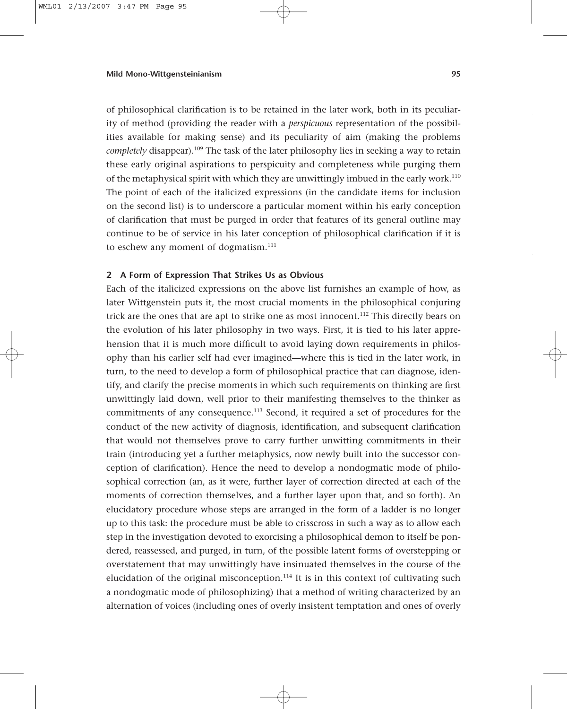of philosophical clarification is to be retained in the later work, both in its peculiarity of method (providing the reader with a *perspicuous* representation of the possibilities available for making sense) and its peculiarity of aim (making the problems *completely* disappear).<sup>109</sup> The task of the later philosophy lies in seeking a way to retain these early original aspirations to perspicuity and completeness while purging them of the metaphysical spirit with which they are unwittingly imbued in the early work.<sup>110</sup> The point of each of the italicized expressions (in the candidate items for inclusion on the second list) is to underscore a particular moment within his early conception of clarification that must be purged in order that features of its general outline may continue to be of service in his later conception of philosophical clarification if it is to eschew any moment of dogmatism.<sup>111</sup>

# **2 A Form of Expression That Strikes Us as Obvious**

Each of the italicized expressions on the above list furnishes an example of how, as later Wittgenstein puts it, the most crucial moments in the philosophical conjuring trick are the ones that are apt to strike one as most innocent.<sup>112</sup> This directly bears on the evolution of his later philosophy in two ways. First, it is tied to his later apprehension that it is much more difficult to avoid laying down requirements in philosophy than his earlier self had ever imagined—where this is tied in the later work, in turn, to the need to develop a form of philosophical practice that can diagnose, identify, and clarify the precise moments in which such requirements on thinking are first unwittingly laid down, well prior to their manifesting themselves to the thinker as commitments of any consequence.113 Second, it required a set of procedures for the conduct of the new activity of diagnosis, identification, and subsequent clarification that would not themselves prove to carry further unwitting commitments in their train (introducing yet a further metaphysics, now newly built into the successor conception of clarification). Hence the need to develop a nondogmatic mode of philosophical correction (an, as it were, further layer of correction directed at each of the moments of correction themselves, and a further layer upon that, and so forth). An elucidatory procedure whose steps are arranged in the form of a ladder is no longer up to this task: the procedure must be able to crisscross in such a way as to allow each step in the investigation devoted to exorcising a philosophical demon to itself be pondered, reassessed, and purged, in turn, of the possible latent forms of overstepping or overstatement that may unwittingly have insinuated themselves in the course of the elucidation of the original misconception.<sup>114</sup> It is in this context (of cultivating such a nondogmatic mode of philosophizing) that a method of writing characterized by an alternation of voices (including ones of overly insistent temptation and ones of overly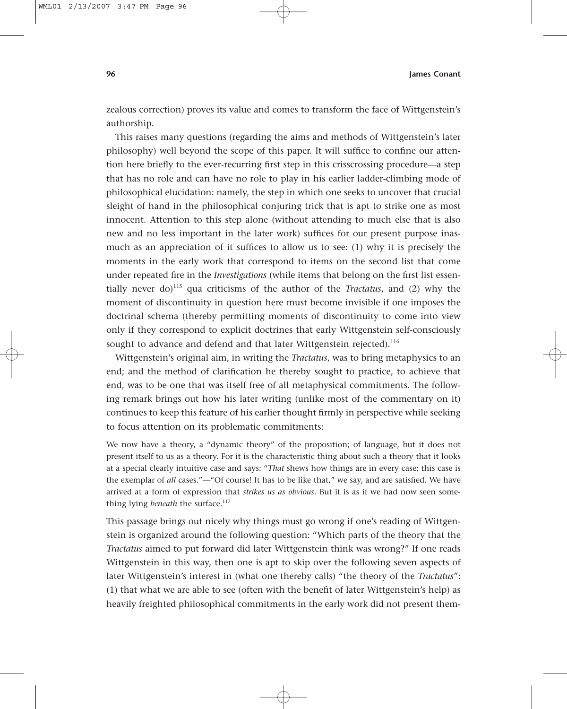zealous correction) proves its value and comes to transform the face of Wittgenstein's authorship.

This raises many questions (regarding the aims and methods of Wittgenstein's later philosophy) well beyond the scope of this paper. It will suffice to confine our attention here briefly to the ever-recurring first step in this crisscrossing procedure—a step that has no role and can have no role to play in his earlier ladder-climbing mode of philosophical elucidation: namely, the step in which one seeks to uncover that crucial sleight of hand in the philosophical conjuring trick that is apt to strike one as most innocent. Attention to this step alone (without attending to much else that is also new and no less important in the later work) suffices for our present purpose inasmuch as an appreciation of it suffices to allow us to see: (1) why it is precisely the moments in the early work that correspond to items on the second list that come under repeated fire in the *Investigations* (while items that belong on the first list essentially never do)<sup>115</sup> qua criticisms of the author of the *Tractatus*, and (2) why the moment of discontinuity in question here must become invisible if one imposes the doctrinal schema (thereby permitting moments of discontinuity to come into view only if they correspond to explicit doctrines that early Wittgenstein self-consciously sought to advance and defend and that later Wittgenstein rejected).<sup>116</sup>

Wittgenstein's original aim, in writing the *Tractatus*, was to bring metaphysics to an end; and the method of clarification he thereby sought to practice, to achieve that end, was to be one that was itself free of all metaphysical commitments. The following remark brings out how his later writing (unlike most of the commentary on it) continues to keep this feature of his earlier thought firmly in perspective while seeking to focus attention on its problematic commitments:

We now have a theory, a "dynamic theory" of the proposition; of language, but it does not present itself to us as a theory. For it is the characteristic thing about such a theory that it looks at a special clearly intuitive case and says: "*That* shews how things are in every case; this case is the exemplar of *all* cases."—"Of course! It has to be like that," we say, and are satisfied. We have arrived at a form of expression that *strikes us as obvious*. But it is as if we had now seen something lying *beneath* the surface.<sup>117</sup>

This passage brings out nicely why things must go wrong if one's reading of Wittgenstein is organized around the following question: "Which parts of the theory that the *Tractatus* aimed to put forward did later Wittgenstein think was wrong?" If one reads Wittgenstein in this way, then one is apt to skip over the following seven aspects of later Wittgenstein's interest in (what one thereby calls) "the theory of the *Tractatus*": (1) that what we are able to see (often with the benefit of later Wittgenstein's help) as heavily freighted philosophical commitments in the early work did not present them-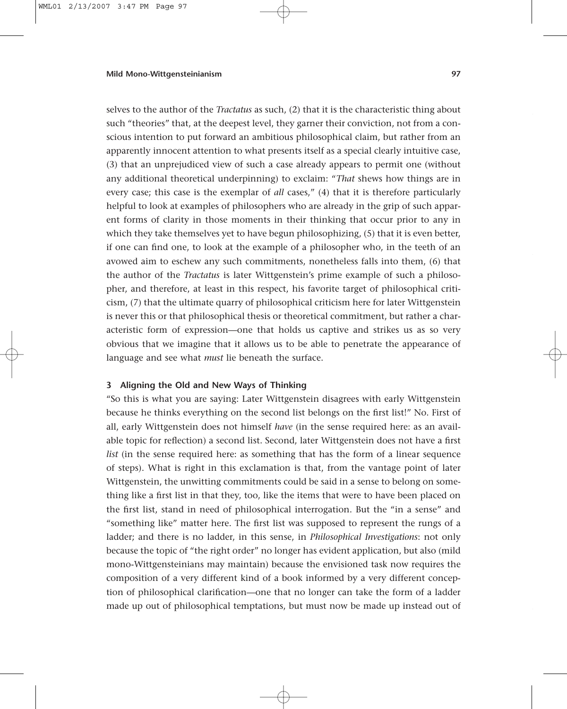selves to the author of the *Tractatus* as such, (2) that it is the characteristic thing about such "theories" that, at the deepest level, they garner their conviction, not from a conscious intention to put forward an ambitious philosophical claim, but rather from an apparently innocent attention to what presents itself as a special clearly intuitive case, (3) that an unprejudiced view of such a case already appears to permit one (without any additional theoretical underpinning) to exclaim: "*That* shews how things are in every case; this case is the exemplar of *all* cases," (4) that it is therefore particularly helpful to look at examples of philosophers who are already in the grip of such apparent forms of clarity in those moments in their thinking that occur prior to any in which they take themselves yet to have begun philosophizing, (5) that it is even better, if one can find one, to look at the example of a philosopher who, in the teeth of an avowed aim to eschew any such commitments, nonetheless falls into them, (6) that the author of the *Tractatus* is later Wittgenstein's prime example of such a philosopher, and therefore, at least in this respect, his favorite target of philosophical criticism, (7) that the ultimate quarry of philosophical criticism here for later Wittgenstein is never this or that philosophical thesis or theoretical commitment, but rather a characteristic form of expression—one that holds us captive and strikes us as so very obvious that we imagine that it allows us to be able to penetrate the appearance of language and see what *must* lie beneath the surface.

## **3 Aligning the Old and New Ways of Thinking**

"So this is what you are saying: Later Wittgenstein disagrees with early Wittgenstein because he thinks everything on the second list belongs on the first list!" No. First of all, early Wittgenstein does not himself *have* (in the sense required here: as an available topic for reflection) a second list. Second, later Wittgenstein does not have a first *list* (in the sense required here: as something that has the form of a linear sequence of steps). What is right in this exclamation is that, from the vantage point of later Wittgenstein, the unwitting commitments could be said in a sense to belong on something like a first list in that they, too, like the items that were to have been placed on the first list, stand in need of philosophical interrogation. But the "in a sense" and "something like" matter here. The first list was supposed to represent the rungs of a ladder; and there is no ladder, in this sense, in *Philosophical Investigations*: not only because the topic of "the right order" no longer has evident application, but also (mild mono-Wittgensteinians may maintain) because the envisioned task now requires the composition of a very different kind of a book informed by a very different conception of philosophical clarification—one that no longer can take the form of a ladder made up out of philosophical temptations, but must now be made up instead out of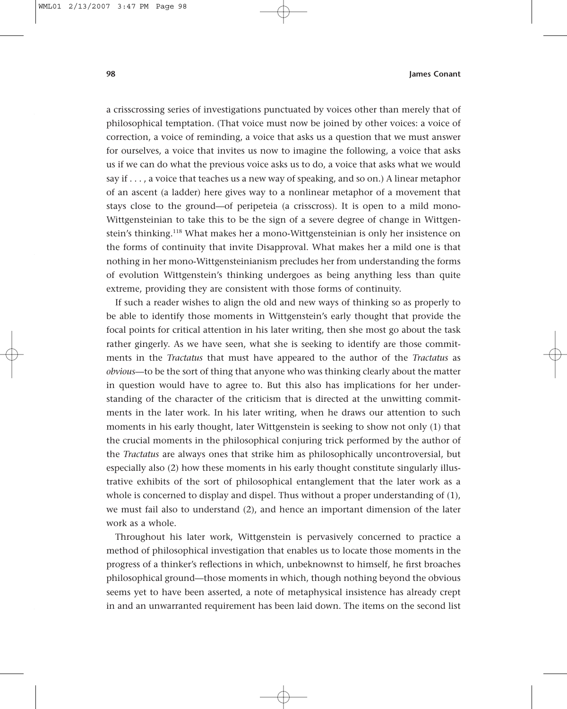**98 James Conant James Conant James Conant James Conant** 

a crisscrossing series of investigations punctuated by voices other than merely that of philosophical temptation. (That voice must now be joined by other voices: a voice of correction, a voice of reminding, a voice that asks us a question that we must answer for ourselves, a voice that invites us now to imagine the following, a voice that asks us if we can do what the previous voice asks us to do, a voice that asks what we would say if  $\dots$ , a voice that teaches us a new way of speaking, and so on.) A linear metaphor of an ascent (a ladder) here gives way to a nonlinear metaphor of a movement that stays close to the ground—of peripeteia (a crisscross). It is open to a mild mono-Wittgensteinian to take this to be the sign of a severe degree of change in Wittgenstein's thinking.118 What makes her a mono-Wittgensteinian is only her insistence on the forms of continuity that invite Disapproval. What makes her a mild one is that nothing in her mono-Wittgensteinianism precludes her from understanding the forms of evolution Wittgenstein's thinking undergoes as being anything less than quite extreme, providing they are consistent with those forms of continuity.

If such a reader wishes to align the old and new ways of thinking so as properly to be able to identify those moments in Wittgenstein's early thought that provide the focal points for critical attention in his later writing, then she most go about the task rather gingerly. As we have seen, what she is seeking to identify are those commitments in the *Tractatus* that must have appeared to the author of the *Tractatus* as *obvious*—to be the sort of thing that anyone who was thinking clearly about the matter in question would have to agree to. But this also has implications for her understanding of the character of the criticism that is directed at the unwitting commitments in the later work. In his later writing, when he draws our attention to such moments in his early thought, later Wittgenstein is seeking to show not only (1) that the crucial moments in the philosophical conjuring trick performed by the author of the *Tractatus* are always ones that strike him as philosophically uncontroversial, but especially also (2) how these moments in his early thought constitute singularly illustrative exhibits of the sort of philosophical entanglement that the later work as a whole is concerned to display and dispel. Thus without a proper understanding of (1), we must fail also to understand (2), and hence an important dimension of the later work as a whole.

Throughout his later work, Wittgenstein is pervasively concerned to practice a method of philosophical investigation that enables us to locate those moments in the progress of a thinker's reflections in which, unbeknownst to himself, he first broaches philosophical ground—those moments in which, though nothing beyond the obvious seems yet to have been asserted, a note of metaphysical insistence has already crept in and an unwarranted requirement has been laid down. The items on the second list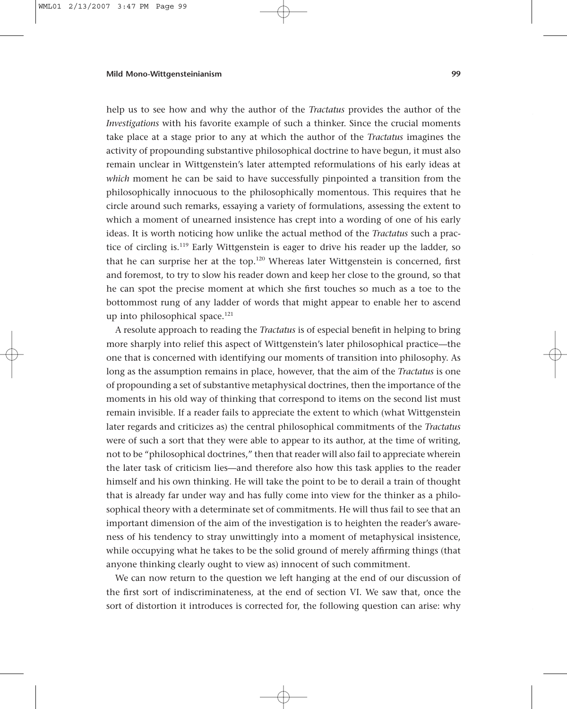help us to see how and why the author of the *Tractatus* provides the author of the *Investigations* with his favorite example of such a thinker. Since the crucial moments take place at a stage prior to any at which the author of the *Tractatus* imagines the activity of propounding substantive philosophical doctrine to have begun, it must also remain unclear in Wittgenstein's later attempted reformulations of his early ideas at *which* moment he can be said to have successfully pinpointed a transition from the philosophically innocuous to the philosophically momentous. This requires that he circle around such remarks, essaying a variety of formulations, assessing the extent to which a moment of unearned insistence has crept into a wording of one of his early ideas. It is worth noticing how unlike the actual method of the *Tractatus* such a practice of circling is.<sup>119</sup> Early Wittgenstein is eager to drive his reader up the ladder, so that he can surprise her at the top.<sup>120</sup> Whereas later Wittgenstein is concerned, first and foremost, to try to slow his reader down and keep her close to the ground, so that he can spot the precise moment at which she first touches so much as a toe to the bottommost rung of any ladder of words that might appear to enable her to ascend up into philosophical space. $121$ 

A resolute approach to reading the *Tractatus* is of especial benefit in helping to bring more sharply into relief this aspect of Wittgenstein's later philosophical practice—the one that is concerned with identifying our moments of transition into philosophy. As long as the assumption remains in place, however, that the aim of the *Tractatus* is one of propounding a set of substantive metaphysical doctrines, then the importance of the moments in his old way of thinking that correspond to items on the second list must remain invisible. If a reader fails to appreciate the extent to which (what Wittgenstein later regards and criticizes as) the central philosophical commitments of the *Tractatus* were of such a sort that they were able to appear to its author, at the time of writing, not to be "philosophical doctrines," then that reader will also fail to appreciate wherein the later task of criticism lies—and therefore also how this task applies to the reader himself and his own thinking. He will take the point to be to derail a train of thought that is already far under way and has fully come into view for the thinker as a philosophical theory with a determinate set of commitments. He will thus fail to see that an important dimension of the aim of the investigation is to heighten the reader's awareness of his tendency to stray unwittingly into a moment of metaphysical insistence, while occupying what he takes to be the solid ground of merely affirming things (that anyone thinking clearly ought to view as) innocent of such commitment.

We can now return to the question we left hanging at the end of our discussion of the first sort of indiscriminateness, at the end of section VI. We saw that, once the sort of distortion it introduces is corrected for, the following question can arise: why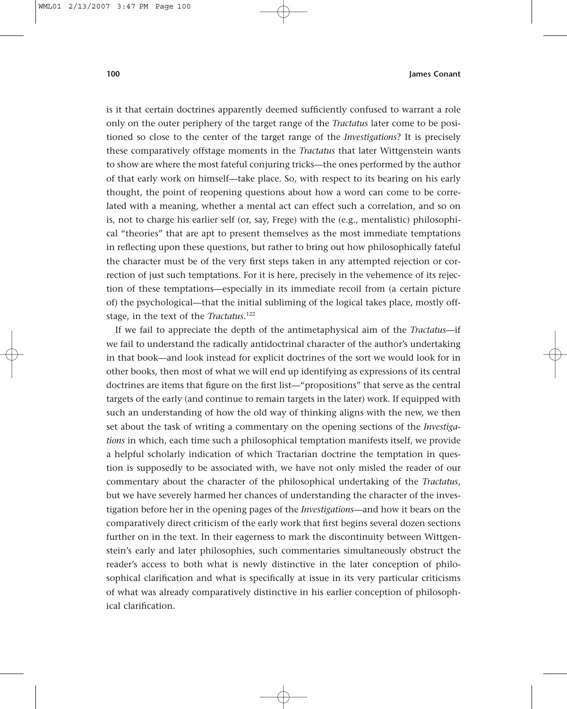is it that certain doctrines apparently deemed sufficiently confused to warrant a role only on the outer periphery of the target range of the *Tractatus* later come to be positioned so close to the center of the target range of the *Investigations*? It is precisely these comparatively offstage moments in the *Tractatus* that later Wittgenstein wants to show are where the most fateful conjuring tricks—the ones performed by the author of that early work on himself—take place. So, with respect to its bearing on his early thought, the point of reopening questions about how a word can come to be correlated with a meaning, whether a mental act can effect such a correlation, and so on is, not to charge his earlier self (or, say, Frege) with the (e.g., mentalistic) philosophical "theories" that are apt to present themselves as the most immediate temptations in reflecting upon these questions, but rather to bring out how philosophically fateful the character must be of the very first steps taken in any attempted rejection or correction of just such temptations. For it is here, precisely in the vehemence of its rejection of these temptations—especially in its immediate recoil from (a certain picture of) the psychological—that the initial subliming of the logical takes place, mostly offstage, in the text of the *Tractatus.*<sup>122</sup>

If we fail to appreciate the depth of the antimetaphysical aim of the *Tractatus*—if we fail to understand the radically antidoctrinal character of the author's undertaking in that book—and look instead for explicit doctrines of the sort we would look for in other books, then most of what we will end up identifying as expressions of its central doctrines are items that figure on the first list—"propositions" that serve as the central targets of the early (and continue to remain targets in the later) work. If equipped with such an understanding of how the old way of thinking aligns with the new, we then set about the task of writing a commentary on the opening sections of the *Investigations* in which, each time such a philosophical temptation manifests itself, we provide a helpful scholarly indication of which Tractarian doctrine the temptation in question is supposedly to be associated with, we have not only misled the reader of our commentary about the character of the philosophical undertaking of the *Tractatus*, but we have severely harmed her chances of understanding the character of the investigation before her in the opening pages of the *Investigations*—and how it bears on the comparatively direct criticism of the early work that first begins several dozen sections further on in the text. In their eagerness to mark the discontinuity between Wittgenstein's early and later philosophies, such commentaries simultaneously obstruct the reader's access to both what is newly distinctive in the later conception of philosophical clarification and what is specifically at issue in its very particular criticisms of what was already comparatively distinctive in his earlier conception of philosophical clarification.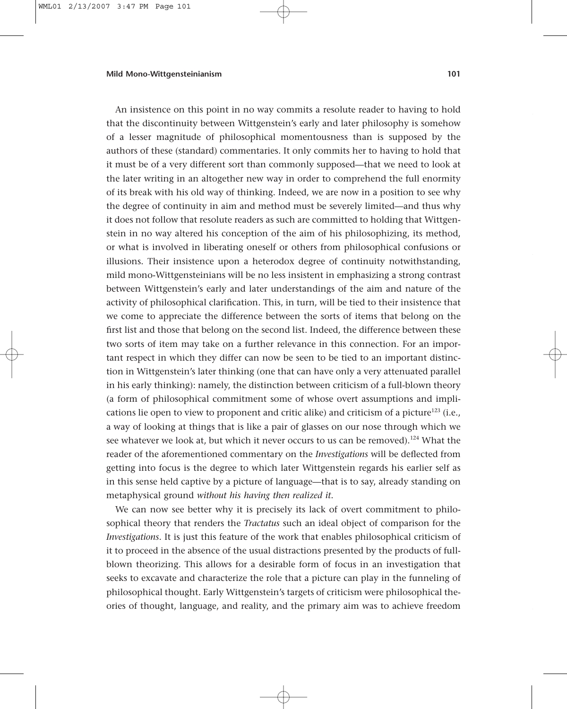An insistence on this point in no way commits a resolute reader to having to hold that the discontinuity between Wittgenstein's early and later philosophy is somehow of a lesser magnitude of philosophical momentousness than is supposed by the authors of these (standard) commentaries. It only commits her to having to hold that it must be of a very different sort than commonly supposed—that we need to look at the later writing in an altogether new way in order to comprehend the full enormity of its break with his old way of thinking. Indeed, we are now in a position to see why the degree of continuity in aim and method must be severely limited—and thus why it does not follow that resolute readers as such are committed to holding that Wittgenstein in no way altered his conception of the aim of his philosophizing, its method, or what is involved in liberating oneself or others from philosophical confusions or illusions. Their insistence upon a heterodox degree of continuity notwithstanding, mild mono-Wittgensteinians will be no less insistent in emphasizing a strong contrast between Wittgenstein's early and later understandings of the aim and nature of the activity of philosophical clarification. This, in turn, will be tied to their insistence that we come to appreciate the difference between the sorts of items that belong on the first list and those that belong on the second list. Indeed, the difference between these two sorts of item may take on a further relevance in this connection. For an important respect in which they differ can now be seen to be tied to an important distinction in Wittgenstein's later thinking (one that can have only a very attenuated parallel in his early thinking): namely, the distinction between criticism of a full-blown theory (a form of philosophical commitment some of whose overt assumptions and implications lie open to view to proponent and critic alike) and criticism of a picture<sup>123</sup> (i.e., a way of looking at things that is like a pair of glasses on our nose through which we see whatever we look at, but which it never occurs to us can be removed).<sup>124</sup> What the reader of the aforementioned commentary on the *Investigations* will be deflected from getting into focus is the degree to which later Wittgenstein regards his earlier self as in this sense held captive by a picture of language—that is to say, already standing on

We can now see better why it is precisely its lack of overt commitment to philosophical theory that renders the *Tractatus* such an ideal object of comparison for the *Investigations*. It is just this feature of the work that enables philosophical criticism of it to proceed in the absence of the usual distractions presented by the products of fullblown theorizing. This allows for a desirable form of focus in an investigation that seeks to excavate and characterize the role that a picture can play in the funneling of philosophical thought. Early Wittgenstein's targets of criticism were philosophical theories of thought, language, and reality, and the primary aim was to achieve freedom

metaphysical ground *without his having then realized it*.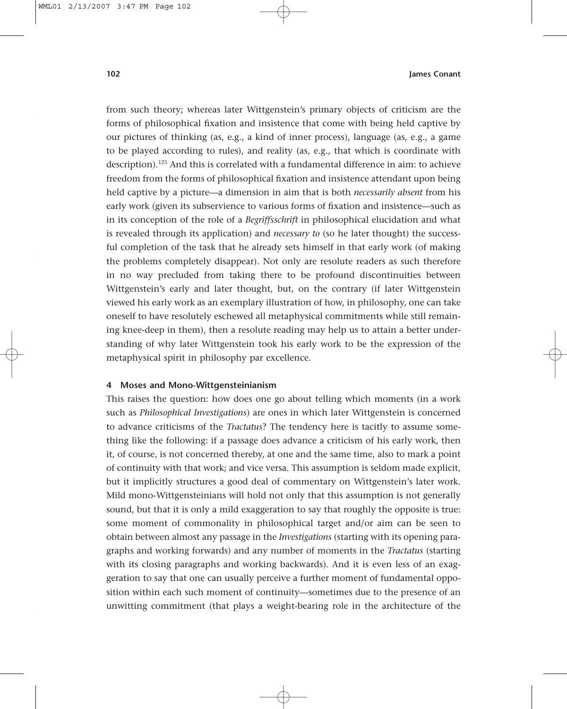from such theory; whereas later Wittgenstein's primary objects of criticism are the forms of philosophical fixation and insistence that come with being held captive by our pictures of thinking (as, e.g., a kind of inner process), language (as, e.g., a game to be played according to rules), and reality (as, e.g., that which is coordinate with description).<sup>125</sup> And this is correlated with a fundamental difference in aim: to achieve freedom from the forms of philosophical fixation and insistence attendant upon being held captive by a picture—a dimension in aim that is both *necessarily absent* from his early work (given its subservience to various forms of fixation and insistence—such as in its conception of the role of a *Begriffsschrift* in philosophical elucidation and what is revealed through its application) and *necessary to* (so he later thought) the successful completion of the task that he already sets himself in that early work (of making the problems completely disappear). Not only are resolute readers as such therefore in no way precluded from taking there to be profound discontinuities between Wittgenstein's early and later thought, but, on the contrary (if later Wittgenstein viewed his early work as an exemplary illustration of how, in philosophy, one can take oneself to have resolutely eschewed all metaphysical commitments while still remaining knee-deep in them), then a resolute reading may help us to attain a better understanding of why later Wittgenstein took his early work to be the expression of the metaphysical spirit in philosophy par excellence.

## **4 Moses and Mono-Wittgensteinianism**

This raises the question: how does one go about telling which moments (in a work such as *Philosophical Investigations*) are ones in which later Wittgenstein is concerned to advance criticisms of the *Tractatus*? The tendency here is tacitly to assume something like the following: if a passage does advance a criticism of his early work, then it, of course, is not concerned thereby, at one and the same time, also to mark a point of continuity with that work; and vice versa. This assumption is seldom made explicit, but it implicitly structures a good deal of commentary on Wittgenstein's later work. Mild mono-Wittgensteinians will hold not only that this assumption is not generally sound, but that it is only a mild exaggeration to say that roughly the opposite is true: some moment of commonality in philosophical target and/or aim can be seen to obtain between almost any passage in the *Investigations* (starting with its opening paragraphs and working forwards) and any number of moments in the *Tractatus* (starting with its closing paragraphs and working backwards). And it is even less of an exaggeration to say that one can usually perceive a further moment of fundamental opposition within each such moment of continuity—sometimes due to the presence of an unwitting commitment (that plays a weight-bearing role in the architecture of the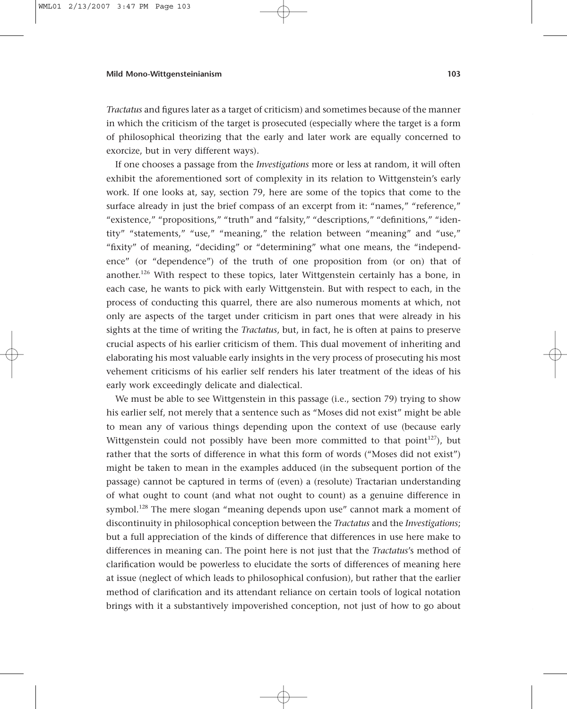*Tractatus* and figures later as a target of criticism) and sometimes because of the manner in which the criticism of the target is prosecuted (especially where the target is a form of philosophical theorizing that the early and later work are equally concerned to exorcize, but in very different ways).

If one chooses a passage from the *Investigations* more or less at random, it will often exhibit the aforementioned sort of complexity in its relation to Wittgenstein's early work. If one looks at, say, section 79, here are some of the topics that come to the surface already in just the brief compass of an excerpt from it: "names," "reference," "existence," "propositions," "truth" and "falsity," "descriptions," "definitions," "identity" "statements," "use," "meaning," the relation between "meaning" and "use," "fixity" of meaning, "deciding" or "determining" what one means, the "independence" (or "dependence") of the truth of one proposition from (or on) that of another.<sup>126</sup> With respect to these topics, later Wittgenstein certainly has a bone, in each case, he wants to pick with early Wittgenstein. But with respect to each, in the process of conducting this quarrel, there are also numerous moments at which, not only are aspects of the target under criticism in part ones that were already in his sights at the time of writing the *Tractatus*, but, in fact, he is often at pains to preserve crucial aspects of his earlier criticism of them. This dual movement of inheriting and elaborating his most valuable early insights in the very process of prosecuting his most vehement criticisms of his earlier self renders his later treatment of the ideas of his early work exceedingly delicate and dialectical.

We must be able to see Wittgenstein in this passage (i.e., section 79) trying to show his earlier self, not merely that a sentence such as "Moses did not exist" might be able to mean any of various things depending upon the context of use (because early Wittgenstein could not possibly have been more committed to that point<sup>127</sup>), but rather that the sorts of difference in what this form of words ("Moses did not exist") might be taken to mean in the examples adduced (in the subsequent portion of the passage) cannot be captured in terms of (even) a (resolute) Tractarian understanding of what ought to count (and what not ought to count) as a genuine difference in symbol.<sup>128</sup> The mere slogan "meaning depends upon use" cannot mark a moment of discontinuity in philosophical conception between the *Tractatus* and the *Investigations*; but a full appreciation of the kinds of difference that differences in use here make to differences in meaning can. The point here is not just that the *Tractatus*'s method of clarification would be powerless to elucidate the sorts of differences of meaning here at issue (neglect of which leads to philosophical confusion), but rather that the earlier method of clarification and its attendant reliance on certain tools of logical notation brings with it a substantively impoverished conception, not just of how to go about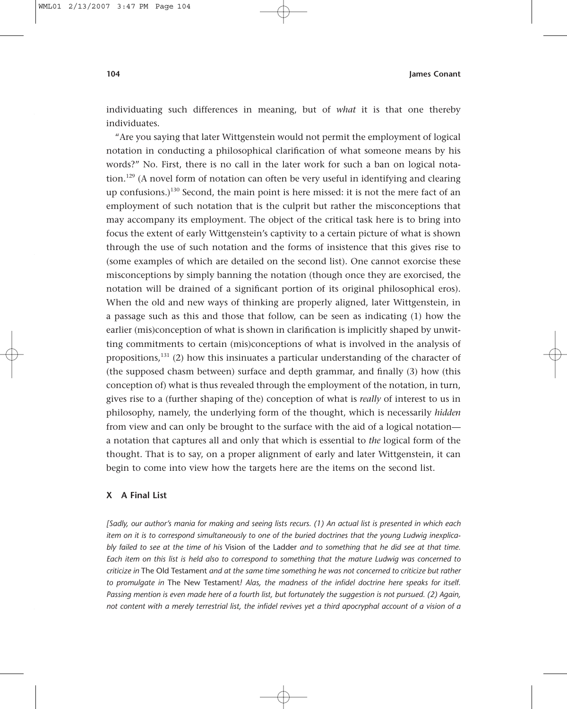individuating such differences in meaning, but of *what* it is that one thereby individuates.

"Are you saying that later Wittgenstein would not permit the employment of logical notation in conducting a philosophical clarification of what someone means by his words?" No. First, there is no call in the later work for such a ban on logical notation.<sup>129</sup> (A novel form of notation can often be very useful in identifying and clearing up confusions.)<sup>130</sup> Second, the main point is here missed: it is not the mere fact of an employment of such notation that is the culprit but rather the misconceptions that may accompany its employment. The object of the critical task here is to bring into focus the extent of early Wittgenstein's captivity to a certain picture of what is shown through the use of such notation and the forms of insistence that this gives rise to (some examples of which are detailed on the second list). One cannot exorcise these misconceptions by simply banning the notation (though once they are exorcised, the notation will be drained of a significant portion of its original philosophical eros). When the old and new ways of thinking are properly aligned, later Wittgenstein, in a passage such as this and those that follow, can be seen as indicating (1) how the earlier (mis)conception of what is shown in clarification is implicitly shaped by unwitting commitments to certain (mis)conceptions of what is involved in the analysis of propositions, $131$  (2) how this insinuates a particular understanding of the character of (the supposed chasm between) surface and depth grammar, and finally (3) how (this conception of) what is thus revealed through the employment of the notation, in turn, gives rise to a (further shaping of the) conception of what is *really* of interest to us in philosophy, namely, the underlying form of the thought, which is necessarily *hidden* from view and can only be brought to the surface with the aid of a logical notation a notation that captures all and only that which is essential to *the* logical form of the thought. That is to say, on a proper alignment of early and later Wittgenstein, it can begin to come into view how the targets here are the items on the second list.

## **X A Final List**

*[Sadly, our author's mania for making and seeing lists recurs. (1) An actual list is presented in which each item on it is to correspond simultaneously to one of the buried doctrines that the young Ludwig inexplicably failed to see at the time of his* Vision of the Ladder *and to something that he did see at that time. Each item on this list is held also to correspond to something that the mature Ludwig was concerned to criticize in* The Old Testament *and at the same time something he was not concerned to criticize but rather to promulgate in* The New Testament*! Alas, the madness of the infidel doctrine here speaks for itself. Passing mention is even made here of a fourth list, but fortunately the suggestion is not pursued. (2) Again, not content with a merely terrestrial list, the infidel revives yet a third apocryphal account of a vision of a*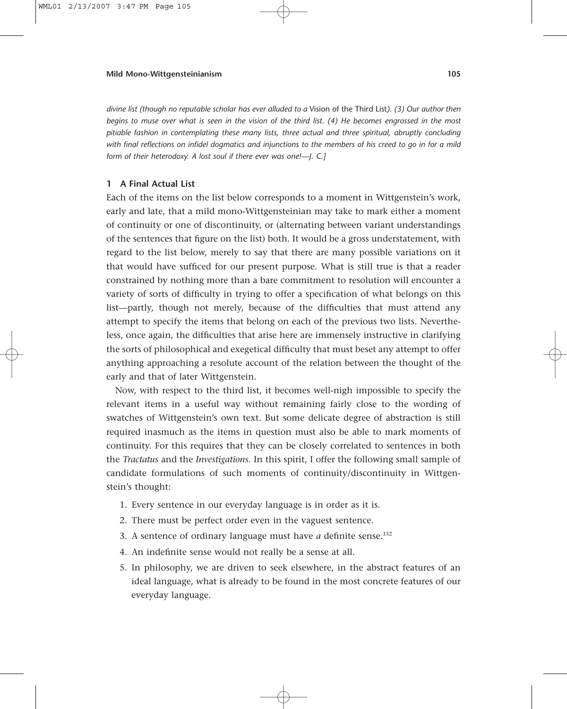*divine list (though no reputable scholar has ever alluded to a* Vision of the Third List*). (3) Our author then begins to muse over what is seen in the vision of the third list. (4) He becomes engrossed in the most pitiable fashion in contemplating these many lists, three actual and three spiritual, abruptly concluding with final reflections on infidel dogmatics and injunctions to the members of his creed to go in for a mild form of their heterodoxy. A lost soul if there ever was one!—J. C.]*

## **1 A Final Actual List**

Each of the items on the list below corresponds to a moment in Wittgenstein's work, early and late, that a mild mono-Wittgensteinian may take to mark either a moment of continuity or one of discontinuity, or (alternating between variant understandings of the sentences that figure on the list) both. It would be a gross understatement, with regard to the list below, merely to say that there are many possible variations on it that would have sufficed for our present purpose. What is still true is that a reader constrained by nothing more than a bare commitment to resolution will encounter a variety of sorts of difficulty in trying to offer a specification of what belongs on this list—partly, though not merely, because of the difficulties that must attend any attempt to specify the items that belong on each of the previous two lists. Nevertheless, once again, the difficulties that arise here are immensely instructive in clarifying the sorts of philosophical and exegetical difficulty that must beset any attempt to offer anything approaching a resolute account of the relation between the thought of the early and that of later Wittgenstein.

Now, with respect to the third list, it becomes well-nigh impossible to specify the relevant items in a useful way without remaining fairly close to the wording of swatches of Wittgenstein's own text. But some delicate degree of abstraction is still required inasmuch as the items in question must also be able to mark moments of continuity. For this requires that they can be closely correlated to sentences in both the *Tractatus* and the *Investigations*. In this spirit, I offer the following small sample of candidate formulations of such moments of continuity/discontinuity in Wittgenstein's thought:

- 1. Every sentence in our everyday language is in order as it is.
- 2. There must be perfect order even in the vaguest sentence.
- 3. A sentence of ordinary language must have *a* definite sense.132
- 4. An indefinite sense would not really be a sense at all.
- 5. In philosophy, we are driven to seek elsewhere, in the abstract features of an ideal language, what is already to be found in the most concrete features of our everyday language.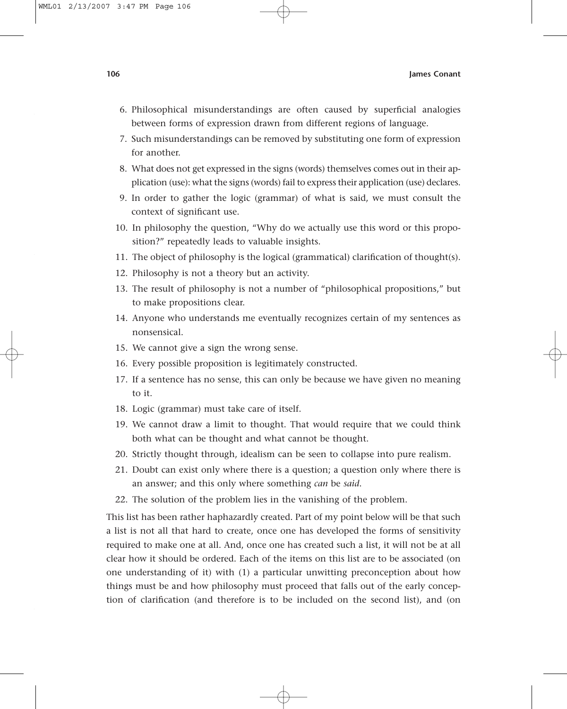- 6. Philosophical misunderstandings are often caused by superficial analogies between forms of expression drawn from different regions of language.
- 7. Such misunderstandings can be removed by substituting one form of expression for another.
- 8. What does not get expressed in the signs (words) themselves comes out in their application (use): what the signs (words) fail to express their application (use) declares.
- 9. In order to gather the logic (grammar) of what is said, we must consult the context of significant use.
- 10. In philosophy the question, "Why do we actually use this word or this proposition?" repeatedly leads to valuable insights.
- 11. The object of philosophy is the logical (grammatical) clarification of thought(s).
- 12. Philosophy is not a theory but an activity.
- 13. The result of philosophy is not a number of "philosophical propositions," but to make propositions clear.
- 14. Anyone who understands me eventually recognizes certain of my sentences as nonsensical.
- 15. We cannot give a sign the wrong sense.
- 16. Every possible proposition is legitimately constructed.
- 17. If a sentence has no sense, this can only be because we have given no meaning to it.
- 18. Logic (grammar) must take care of itself.
- 19. We cannot draw a limit to thought. That would require that we could think both what can be thought and what cannot be thought.
- 20. Strictly thought through, idealism can be seen to collapse into pure realism.
- 21. Doubt can exist only where there is a question; a question only where there is an answer; and this only where something *can* be *said*.
- 22. The solution of the problem lies in the vanishing of the problem.

This list has been rather haphazardly created. Part of my point below will be that such a list is not all that hard to create, once one has developed the forms of sensitivity required to make one at all. And, once one has created such a list, it will not be at all clear how it should be ordered. Each of the items on this list are to be associated (on one understanding of it) with (1) a particular unwitting preconception about how things must be and how philosophy must proceed that falls out of the early conception of clarification (and therefore is to be included on the second list), and (on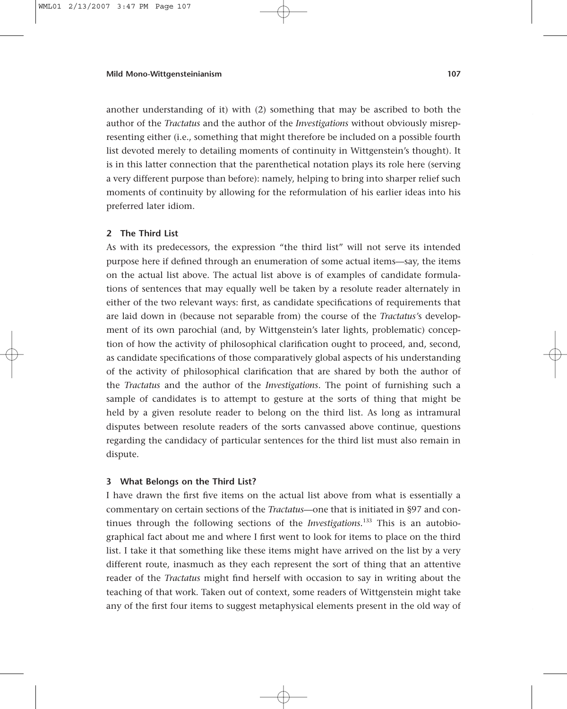another understanding of it) with (2) something that may be ascribed to both the author of the *Tractatus* and the author of the *Investigations* without obviously misrepresenting either (i.e., something that might therefore be included on a possible fourth list devoted merely to detailing moments of continuity in Wittgenstein's thought). It is in this latter connection that the parenthetical notation plays its role here (serving a very different purpose than before): namely, helping to bring into sharper relief such moments of continuity by allowing for the reformulation of his earlier ideas into his preferred later idiom.

## **2 The Third List**

As with its predecessors, the expression "the third list" will not serve its intended purpose here if defined through an enumeration of some actual items—say, the items on the actual list above. The actual list above is of examples of candidate formulations of sentences that may equally well be taken by a resolute reader alternately in either of the two relevant ways: first, as candidate specifications of requirements that are laid down in (because not separable from) the course of the *Tractatus'*s development of its own parochial (and, by Wittgenstein's later lights, problematic) conception of how the activity of philosophical clarification ought to proceed, and, second, as candidate specifications of those comparatively global aspects of his understanding of the activity of philosophical clarification that are shared by both the author of the *Tractatus* and the author of the *Investigations*. The point of furnishing such a sample of candidates is to attempt to gesture at the sorts of thing that might be held by a given resolute reader to belong on the third list. As long as intramural disputes between resolute readers of the sorts canvassed above continue, questions regarding the candidacy of particular sentences for the third list must also remain in dispute.

# **3 What Belongs on the Third List?**

I have drawn the first five items on the actual list above from what is essentially a commentary on certain sections of the *Tractatus*—one that is initiated in §97 and continues through the following sections of the *Investigations.*<sup>133</sup> This is an autobiographical fact about me and where I first went to look for items to place on the third list. I take it that something like these items might have arrived on the list by a very different route, inasmuch as they each represent the sort of thing that an attentive reader of the *Tractatus* might find herself with occasion to say in writing about the teaching of that work. Taken out of context, some readers of Wittgenstein might take any of the first four items to suggest metaphysical elements present in the old way of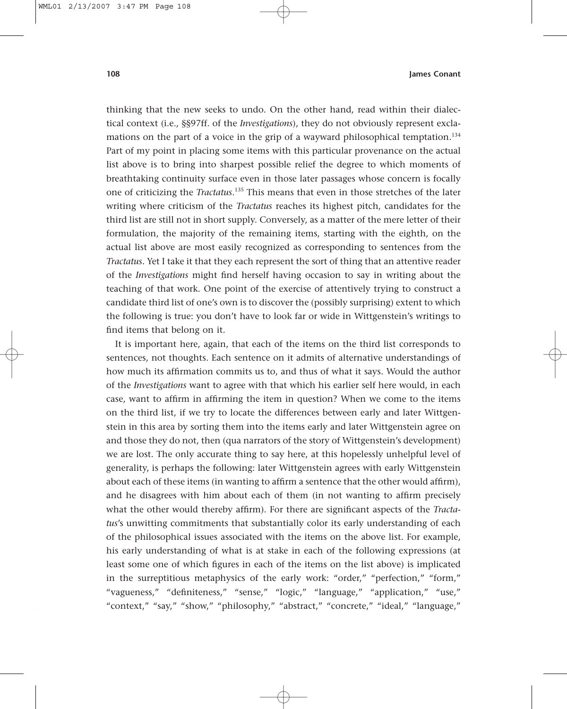thinking that the new seeks to undo. On the other hand, read within their dialectical context (i.e., §§97ff. of the *Investigations*), they do not obviously represent exclamations on the part of a voice in the grip of a wayward philosophical temptation.<sup>134</sup> Part of my point in placing some items with this particular provenance on the actual list above is to bring into sharpest possible relief the degree to which moments of breathtaking continuity surface even in those later passages whose concern is focally one of criticizing the *Tractatus*. <sup>135</sup> This means that even in those stretches of the later writing where criticism of the *Tractatus* reaches its highest pitch, candidates for the third list are still not in short supply. Conversely, as a matter of the mere letter of their formulation, the majority of the remaining items, starting with the eighth, on the actual list above are most easily recognized as corresponding to sentences from the *Tractatus.* Yet I take it that they each represent the sort of thing that an attentive reader of the *Investigations* might find herself having occasion to say in writing about the teaching of that work. One point of the exercise of attentively trying to construct a candidate third list of one's own is to discover the (possibly surprising) extent to which the following is true: you don't have to look far or wide in Wittgenstein's writings to find items that belong on it.

It is important here, again, that each of the items on the third list corresponds to sentences, not thoughts. Each sentence on it admits of alternative understandings of how much its affirmation commits us to, and thus of what it says. Would the author of the *Investigations* want to agree with that which his earlier self here would, in each case, want to affirm in affirming the item in question? When we come to the items on the third list, if we try to locate the differences between early and later Wittgenstein in this area by sorting them into the items early and later Wittgenstein agree on and those they do not, then (qua narrators of the story of Wittgenstein's development) we are lost. The only accurate thing to say here, at this hopelessly unhelpful level of generality, is perhaps the following: later Wittgenstein agrees with early Wittgenstein about each of these items (in wanting to affirm a sentence that the other would affirm), and he disagrees with him about each of them (in not wanting to affirm precisely what the other would thereby affirm). For there are significant aspects of the *Tractatus*'s unwitting commitments that substantially color its early understanding of each of the philosophical issues associated with the items on the above list. For example, his early understanding of what is at stake in each of the following expressions (at least some one of which figures in each of the items on the list above) is implicated in the surreptitious metaphysics of the early work: "order," "perfection," "form," "vagueness," "definiteness," "sense," "logic," "language," "application," "use," "context," "say," "show," "philosophy," "abstract," "concrete," "ideal," "language,"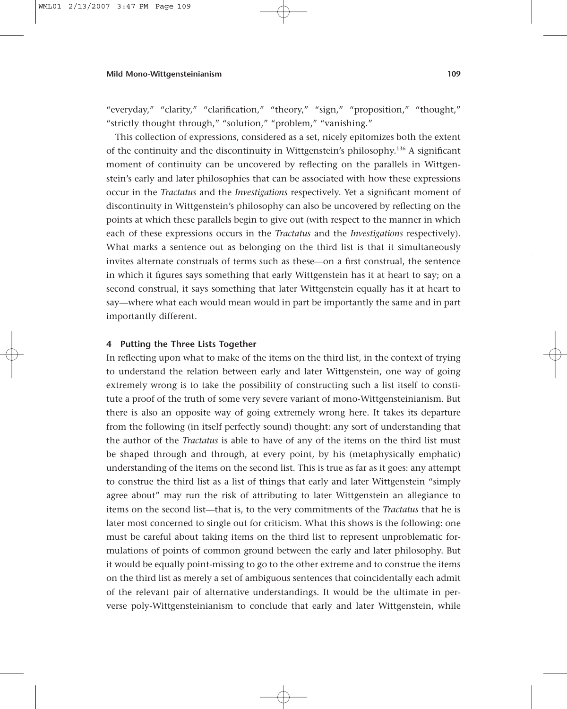"everyday," "clarity," "clarification," "theory," "sign," "proposition," "thought," "strictly thought through," "solution," "problem," "vanishing."

This collection of expressions, considered as a set, nicely epitomizes both the extent of the continuity and the discontinuity in Wittgenstein's philosophy.136 A significant moment of continuity can be uncovered by reflecting on the parallels in Wittgenstein's early and later philosophies that can be associated with how these expressions occur in the *Tractatus* and the *Investigations* respectively. Yet a significant moment of discontinuity in Wittgenstein's philosophy can also be uncovered by reflecting on the points at which these parallels begin to give out (with respect to the manner in which each of these expressions occurs in the *Tractatus* and the *Investigations* respectively). What marks a sentence out as belonging on the third list is that it simultaneously invites alternate construals of terms such as these—on a first construal, the sentence in which it figures says something that early Wittgenstein has it at heart to say; on a second construal, it says something that later Wittgenstein equally has it at heart to say—where what each would mean would in part be importantly the same and in part importantly different.

# **4 Putting the Three Lists Together**

In reflecting upon what to make of the items on the third list, in the context of trying to understand the relation between early and later Wittgenstein, one way of going extremely wrong is to take the possibility of constructing such a list itself to constitute a proof of the truth of some very severe variant of mono-Wittgensteinianism. But there is also an opposite way of going extremely wrong here. It takes its departure from the following (in itself perfectly sound) thought: any sort of understanding that the author of the *Tractatus* is able to have of any of the items on the third list must be shaped through and through, at every point, by his (metaphysically emphatic) understanding of the items on the second list. This is true as far as it goes: any attempt to construe the third list as a list of things that early and later Wittgenstein "simply agree about" may run the risk of attributing to later Wittgenstein an allegiance to items on the second list—that is, to the very commitments of the *Tractatus* that he is later most concerned to single out for criticism. What this shows is the following: one must be careful about taking items on the third list to represent unproblematic formulations of points of common ground between the early and later philosophy. But it would be equally point-missing to go to the other extreme and to construe the items on the third list as merely a set of ambiguous sentences that coincidentally each admit of the relevant pair of alternative understandings. It would be the ultimate in perverse poly-Wittgensteinianism to conclude that early and later Wittgenstein, while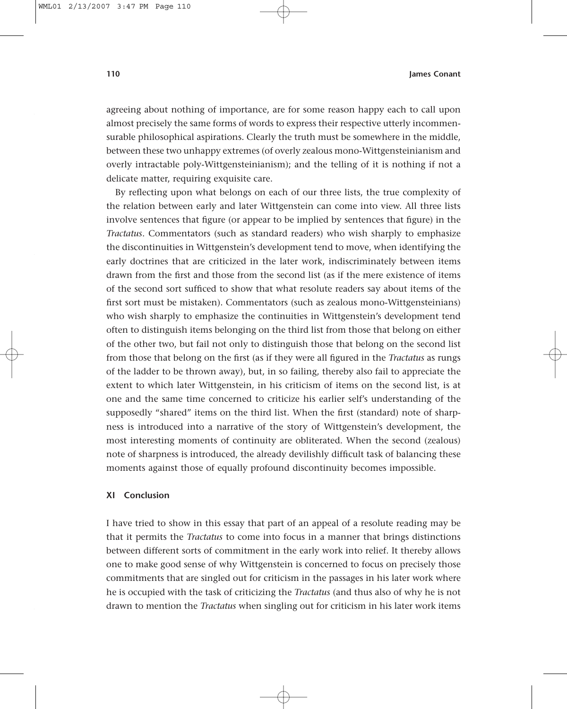WML01 2/13/2007 3:47 PM Page 110

agreeing about nothing of importance, are for some reason happy each to call upon almost precisely the same forms of words to express their respective utterly incommensurable philosophical aspirations. Clearly the truth must be somewhere in the middle, between these two unhappy extremes (of overly zealous mono-Wittgensteinianism and overly intractable poly-Wittgensteinianism); and the telling of it is nothing if not a delicate matter, requiring exquisite care.

By reflecting upon what belongs on each of our three lists, the true complexity of the relation between early and later Wittgenstein can come into view. All three lists involve sentences that figure (or appear to be implied by sentences that figure) in the *Tractatus*. Commentators (such as standard readers) who wish sharply to emphasize the discontinuities in Wittgenstein's development tend to move, when identifying the early doctrines that are criticized in the later work, indiscriminately between items drawn from the first and those from the second list (as if the mere existence of items of the second sort sufficed to show that what resolute readers say about items of the first sort must be mistaken). Commentators (such as zealous mono-Wittgensteinians) who wish sharply to emphasize the continuities in Wittgenstein's development tend often to distinguish items belonging on the third list from those that belong on either of the other two, but fail not only to distinguish those that belong on the second list from those that belong on the first (as if they were all figured in the *Tractatus* as rungs of the ladder to be thrown away), but, in so failing, thereby also fail to appreciate the extent to which later Wittgenstein, in his criticism of items on the second list, is at one and the same time concerned to criticize his earlier self's understanding of the supposedly "shared" items on the third list. When the first (standard) note of sharpness is introduced into a narrative of the story of Wittgenstein's development, the most interesting moments of continuity are obliterated. When the second (zealous) note of sharpness is introduced, the already devilishly difficult task of balancing these moments against those of equally profound discontinuity becomes impossible.

# **XI Conclusion**

I have tried to show in this essay that part of an appeal of a resolute reading may be that it permits the *Tractatus* to come into focus in a manner that brings distinctions between different sorts of commitment in the early work into relief. It thereby allows one to make good sense of why Wittgenstein is concerned to focus on precisely those commitments that are singled out for criticism in the passages in his later work where he is occupied with the task of criticizing the *Tractatus* (and thus also of why he is not drawn to mention the *Tractatus* when singling out for criticism in his later work items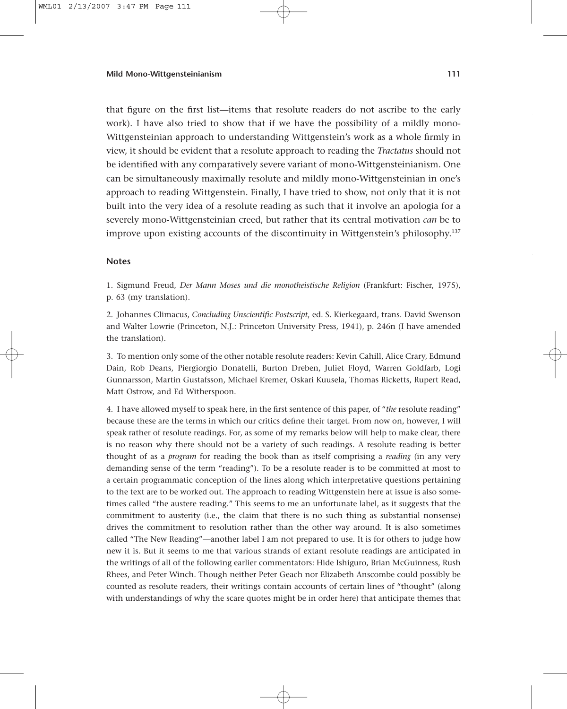that figure on the first list—items that resolute readers do not ascribe to the early work). I have also tried to show that if we have the possibility of a mildly mono-Wittgensteinian approach to understanding Wittgenstein's work as a whole firmly in view, it should be evident that a resolute approach to reading the *Tractatus* should not be identified with any comparatively severe variant of mono-Wittgensteinianism. One can be simultaneously maximally resolute and mildly mono-Wittgensteinian in one's approach to reading Wittgenstein. Finally, I have tried to show, not only that it is not built into the very idea of a resolute reading as such that it involve an apologia for a severely mono-Wittgensteinian creed, but rather that its central motivation *can* be to improve upon existing accounts of the discontinuity in Wittgenstein's philosophy.137

# **Notes**

1. Sigmund Freud, *Der Mann Moses und die monotheistische Religion* (Frankfurt: Fischer, 1975), p. 63 (my translation).

2. Johannes Climacus, *Concluding Unscientific Postscript*, ed. S. Kierkegaard, trans. David Swenson and Walter Lowrie (Princeton, N.J.: Princeton University Press, 1941), p. 246n (I have amended the translation).

3. To mention only some of the other notable resolute readers: Kevin Cahill, Alice Crary, Edmund Dain, Rob Deans, Piergiorgio Donatelli, Burton Dreben, Juliet Floyd, Warren Goldfarb, Logi Gunnarsson, Martin Gustafsson, Michael Kremer, Oskari Kuusela, Thomas Ricketts, Rupert Read, Matt Ostrow, and Ed Witherspoon.

4. I have allowed myself to speak here, in the first sentence of this paper, of "*the* resolute reading" because these are the terms in which our critics define their target. From now on, however, I will speak rather of resolute reading*s*. For, as some of my remarks below will help to make clear, there is no reason why there should not be a variety of such readings. A resolute reading is better thought of as a *program* for reading the book than as itself comprising a *reading* (in any very demanding sense of the term "reading"). To be a resolute reader is to be committed at most to a certain programmatic conception of the lines along which interpretative questions pertaining to the text are to be worked out. The approach to reading Wittgenstein here at issue is also sometimes called "the austere reading." This seems to me an unfortunate label, as it suggests that the commitment to austerity (i.e., the claim that there is no such thing as substantial nonsense) drives the commitment to resolution rather than the other way around. It is also sometimes called "The New Reading"—another label I am not prepared to use. It is for others to judge how new it is. But it seems to me that various strands of extant resolute readings are anticipated in the writings of all of the following earlier commentators: Hide Ishiguro, Brian McGuinness, Rush Rhees, and Peter Winch. Though neither Peter Geach nor Elizabeth Anscombe could possibly be counted as resolute readers, their writings contain accounts of certain lines of "thought" (along with understandings of why the scare quotes might be in order here) that anticipate themes that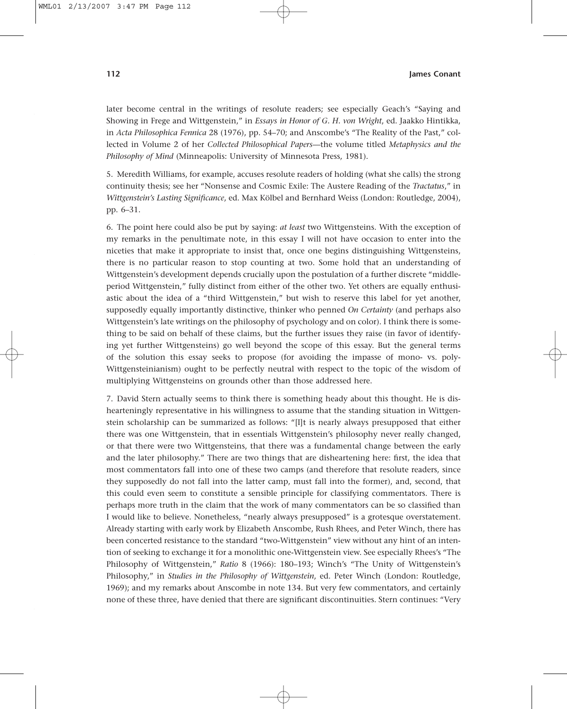later become central in the writings of resolute readers; see especially Geach's "Saying and Showing in Frege and Wittgenstein," in *Essays in Honor of G. H. von Wright*, ed. Jaakko Hintikka, in *Acta Philosophica Fennica* 28 (1976), pp. 54–70; and Anscombe's "The Reality of the Past," collected in Volume 2 of her *Collected Philosophical Papers*—the volume titled *Metaphysics and the Philosophy of Mind* (Minneapolis: University of Minnesota Press, 1981).

5. Meredith Williams, for example, accuses resolute readers of holding (what she calls) the strong continuity thesis; see her "Nonsense and Cosmic Exile: The Austere Reading of the *Tractatus*," in *Wittgenstein's Lasting Significance*, ed. Max Kölbel and Bernhard Weiss (London: Routledge, 2004), pp. 6–31.

6. The point here could also be put by saying: *at least* two Wittgensteins. With the exception of my remarks in the penultimate note, in this essay I will not have occasion to enter into the niceties that make it appropriate to insist that, once one begins distinguishing Wittgensteins, there is no particular reason to stop counting at two. Some hold that an understanding of Wittgenstein's development depends crucially upon the postulation of a further discrete "middleperiod Wittgenstein," fully distinct from either of the other two. Yet others are equally enthusiastic about the idea of a "third Wittgenstein," but wish to reserve this label for yet another, supposedly equally importantly distinctive, thinker who penned *On Certainty* (and perhaps also Wittgenstein's late writings on the philosophy of psychology and on color). I think there is something to be said on behalf of these claims, but the further issues they raise (in favor of identifying yet further Wittgensteins) go well beyond the scope of this essay. But the general terms of the solution this essay seeks to propose (for avoiding the impasse of mono- vs. poly-Wittgensteinianism) ought to be perfectly neutral with respect to the topic of the wisdom of multiplying Wittgensteins on grounds other than those addressed here.

7. David Stern actually seems to think there is something heady about this thought. He is dishearteningly representative in his willingness to assume that the standing situation in Wittgenstein scholarship can be summarized as follows: "[I]t is nearly always presupposed that either there was one Wittgenstein, that in essentials Wittgenstein's philosophy never really changed, or that there were two Wittgensteins, that there was a fundamental change between the early and the later philosophy." There are two things that are disheartening here: first, the idea that most commentators fall into one of these two camps (and therefore that resolute readers, since they supposedly do not fall into the latter camp, must fall into the former), and, second, that this could even seem to constitute a sensible principle for classifying commentators. There is perhaps more truth in the claim that the work of many commentators can be so classified than I would like to believe. Nonetheless, "nearly always presupposed" is a grotesque overstatement. Already starting with early work by Elizabeth Anscombe, Rush Rhees, and Peter Winch, there has been concerted resistance to the standard "two-Wittgenstein" view without any hint of an intention of seeking to exchange it for a monolithic one-Wittgenstein view. See especially Rhees's "The Philosophy of Wittgenstein," *Ratio* 8 (1966): 180–193; Winch's "The Unity of Wittgenstein's Philosophy," in *Studies in the Philosophy of Wittgenstein*, ed. Peter Winch (London: Routledge, 1969); and my remarks about Anscombe in note 134. But very few commentators, and certainly none of these three, have denied that there are significant discontinuities. Stern continues: "Very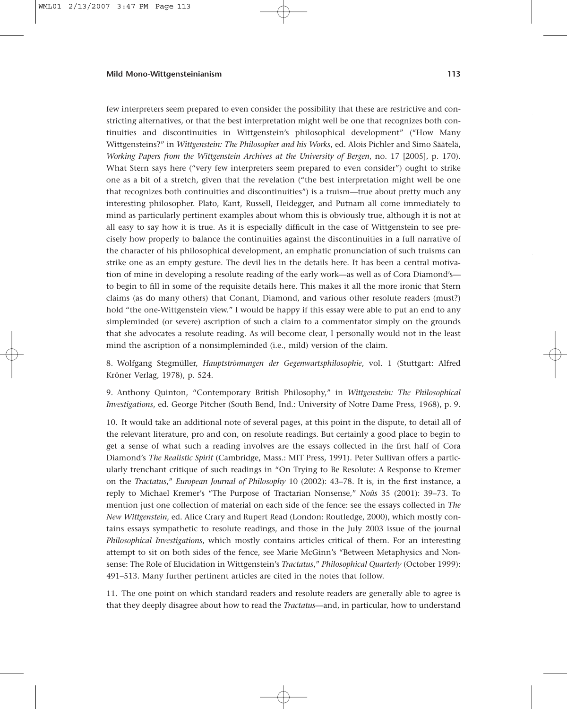few interpreters seem prepared to even consider the possibility that these are restrictive and constricting alternatives, or that the best interpretation might well be one that recognizes both continuities and discontinuities in Wittgenstein's philosophical development" ("How Many Wittgensteins?" in *Wittgenstein: The Philosopher and his Works*, ed. Alois Pichler and Simo Säätelä, *Working Papers from the Wittgenstein Archives at the University of Bergen*, no. 17 [2005], p. 170).

What Stern says here ("very few interpreters seem prepared to even consider") ought to strike one as a bit of a stretch, given that the revelation ("the best interpretation might well be one that recognizes both continuities and discontinuities") is a truism—true about pretty much any interesting philosopher. Plato, Kant, Russell, Heidegger, and Putnam all come immediately to mind as particularly pertinent examples about whom this is obviously true, although it is not at all easy to say how it is true. As it is especially difficult in the case of Wittgenstein to see precisely how properly to balance the continuities against the discontinuities in a full narrative of the character of his philosophical development, an emphatic pronunciation of such truisms can strike one as an empty gesture. The devil lies in the details here. It has been a central motivation of mine in developing a resolute reading of the early work—as well as of Cora Diamond's to begin to fill in some of the requisite details here. This makes it all the more ironic that Stern claims (as do many others) that Conant, Diamond, and various other resolute readers (must?) hold "the one-Wittgenstein view." I would be happy if this essay were able to put an end to any simpleminded (or severe) ascription of such a claim to a commentator simply on the grounds that she advocates a resolute reading. As will become clear, I personally would not in the least mind the ascription of a nonsimpleminded (i.e., mild) version of the claim.

8. Wolfgang Stegmüller, *Hauptströmungen der Gegenwartsphilosophie*, vol. 1 (Stuttgart: Alfred Kröner Verlag, 1978), p. 524.

9. Anthony Quinton, "Contemporary British Philosophy," in *Wittgenstein: The Philosophical Investigations*, ed. George Pitcher (South Bend, Ind.: University of Notre Dame Press, 1968), p. 9.

10. It would take an additional note of several pages, at this point in the dispute, to detail all of the relevant literature, pro and con, on resolute readings. But certainly a good place to begin to get a sense of what such a reading involves are the essays collected in the first half of Cora Diamond's *The Realistic Spirit* (Cambridge, Mass.: MIT Press, 1991). Peter Sullivan offers a particularly trenchant critique of such readings in "On Trying to Be Resolute: A Response to Kremer on the *Tractatus*," *European Journal of Philosophy* 10 (2002): 43–78. It is, in the first instance, a reply to Michael Kremer's "The Purpose of Tractarian Nonsense," *Noûs* 35 (2001): 39–73. To mention just one collection of material on each side of the fence: see the essays collected in *The New Wittgenstein*, ed. Alice Crary and Rupert Read (London: Routledge, 2000), which mostly contains essays sympathetic to resolute readings, and those in the July 2003 issue of the journal *Philosophical Investigations*, which mostly contains articles critical of them. For an interesting attempt to sit on both sides of the fence, see Marie McGinn's "Between Metaphysics and Nonsense: The Role of Elucidation in Wittgenstein's *Tractatus*," *Philosophical Quarterly* (October 1999): 491–513. Many further pertinent articles are cited in the notes that follow.

11. The one point on which standard readers and resolute readers are generally able to agree is that they deeply disagree about how to read the *Tractatus*—and, in particular, how to understand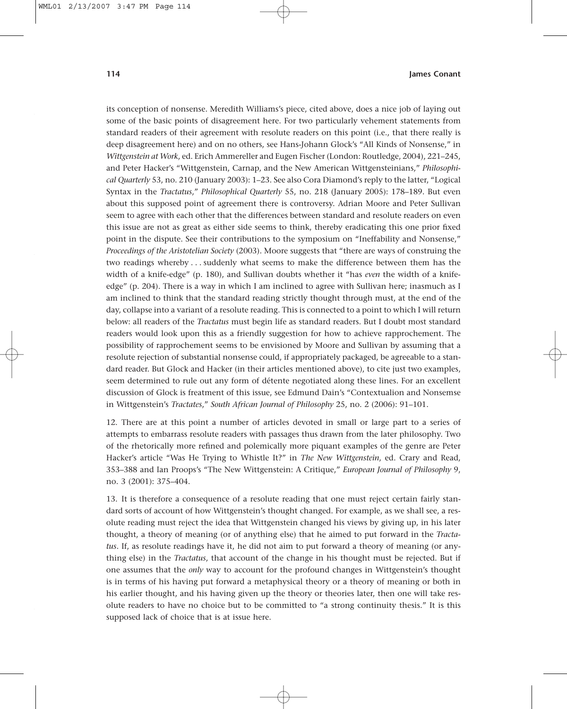its conception of nonsense. Meredith Williams's piece, cited above, does a nice job of laying out some of the basic points of disagreement here. For two particularly vehement statements from standard readers of their agreement with resolute readers on this point (i.e., that there really is deep disagreement here) and on no others, see Hans-Johann Glock's "All Kinds of Nonsense," in *Wittgenstein at Work*, ed. Erich Ammereller and Eugen Fischer (London: Routledge, 2004), 221–245, and Peter Hacker's "Wittgenstein, Carnap, and the New American Wittgensteinians," *Philosophical Quarterly* 53, no. 210 (January 2003): 1–23. See also Cora Diamond's reply to the latter, "Logical Syntax in the *Tractatus*," *Philosophical Quarterly* 55, no. 218 (January 2005): 178–189. But even about this supposed point of agreement there is controversy. Adrian Moore and Peter Sullivan seem to agree with each other that the differences between standard and resolute readers on even this issue are not as great as either side seems to think, thereby eradicating this one prior fixed point in the dispute. See their contributions to the symposium on "Ineffability and Nonsense," *Proceedings of the Aristotelian Society* (2003). Moore suggests that "there are ways of construing the two readings whereby . . . suddenly what seems to make the difference between them has the width of a knife-edge" (p. 180), and Sullivan doubts whether it "has *even* the width of a knifeedge" (p. 204). There is a way in which I am inclined to agree with Sullivan here; inasmuch as I am inclined to think that the standard reading strictly thought through must, at the end of the day, collapse into a variant of a resolute reading. This is connected to a point to which I will return below: all readers of the *Tractatus* must begin life as standard readers. But I doubt most standard readers would look upon this as a friendly suggestion for how to achieve rapprochement. The possibility of rapprochement seems to be envisioned by Moore and Sullivan by assuming that a resolute rejection of substantial nonsense could, if appropriately packaged, be agreeable to a standard reader. But Glock and Hacker (in their articles mentioned above), to cite just two examples, seem determined to rule out any form of détente negotiated along these lines. For an excellent discussion of Glock is freatment of this issue, see Edmund Dain's "Contextualion and Nonsemse in Wittgenstein's *Tractates*," *South African Journal of Philosophy* 25, no. 2 (2006): 91–101.

12. There are at this point a number of articles devoted in small or large part to a series of attempts to embarrass resolute readers with passages thus drawn from the later philosophy. Two of the rhetorically more refined and polemically more piquant examples of the genre are Peter Hacker's article "Was He Trying to Whistle It?" in *The New Wittgenstein*, ed. Crary and Read, 353–388 and Ian Proops's "The New Wittgenstein: A Critique," *European Journal of Philosophy* 9, no. 3 (2001): 375–404.

13. It is therefore a consequence of a resolute reading that one must reject certain fairly standard sorts of account of how Wittgenstein's thought changed. For example, as we shall see, a resolute reading must reject the idea that Wittgenstein changed his views by giving up, in his later thought, a theory of meaning (or of anything else) that he aimed to put forward in the *Tractatus*. If, as resolute readings have it, he did not aim to put forward a theory of meaning (or anything else) in the *Tractatus*, that account of the change in his thought must be rejected. But if one assumes that the *only* way to account for the profound changes in Wittgenstein's thought is in terms of his having put forward a metaphysical theory or a theory of meaning or both in his earlier thought, and his having given up the theory or theories later, then one will take resolute readers to have no choice but to be committed to "a strong continuity thesis." It is this supposed lack of choice that is at issue here.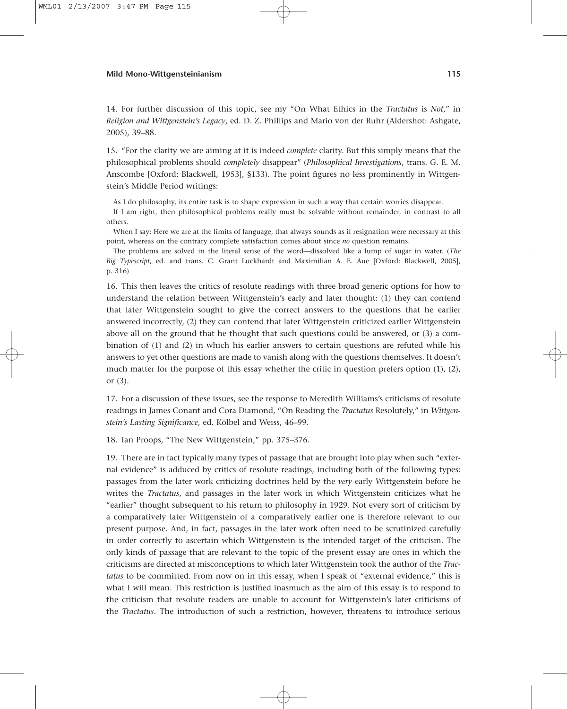14. For further discussion of this topic, see my "On What Ethics in the *Tractatus* is *Not*," in *Religion and Wittgenstein's Legacy*, ed. D. Z. Phillips and Mario von der Ruhr (Aldershot: Ashgate, 2005), 39–88.

15. "For the clarity we are aiming at it is indeed *complete* clarity. But this simply means that the philosophical problems should *completely* disappear" (*Philosophical Investigations*, trans. G. E. M. Anscombe [Oxford: Blackwell, 1953], §133). The point figures no less prominently in Wittgenstein's Middle Period writings:

As I do philosophy, its entire task is to shape expression in such a way that certain worries disappear.

If I am right, then philosophical problems really must be solvable without remainder, in contrast to all others.

When I say: Here we are at the limits of language, that always sounds as if resignation were necessary at this point, whereas on the contrary complete satisfaction comes about since *no* question remains.

The problems are solved in the literal sense of the word—dissolved like a lump of sugar in water. (*The Big Typescript*, ed. and trans. C. Grant Luckhardt and Maximilian A. E. Aue [Oxford: Blackwell, 2005], p. 316)

16. This then leaves the critics of resolute readings with three broad generic options for how to understand the relation between Wittgenstein's early and later thought: (1) they can contend that later Wittgenstein sought to give the correct answers to the questions that he earlier answered incorrectly, (2) they can contend that later Wittgenstein criticized earlier Wittgenstein above all on the ground that he thought that such questions could be answered, or (3) a combination of (1) and (2) in which his earlier answers to certain questions are refuted while his answers to yet other questions are made to vanish along with the questions themselves. It doesn't much matter for the purpose of this essay whether the critic in question prefers option (1), (2), or (3).

17. For a discussion of these issues, see the response to Meredith Williams's criticisms of resolute readings in James Conant and Cora Diamond, "On Reading the *Tractatus* Resolutely," in *Wittgenstein's Lasting Significance*, ed. Kölbel and Weiss, 46–99.

18. Ian Proops, "The New Wittgenstein," pp. 375–376.

19. There are in fact typically many types of passage that are brought into play when such "external evidence" is adduced by critics of resolute readings, including both of the following types: passages from the later work criticizing doctrines held by the *very* early Wittgenstein before he writes the *Tractatus*, and passages in the later work in which Wittgenstein criticizes what he "earlier" thought subsequent to his return to philosophy in 1929. Not every sort of criticism by a comparatively later Wittgenstein of a comparatively earlier one is therefore relevant to our present purpose. And, in fact, passages in the later work often need to be scrutinized carefully in order correctly to ascertain which Wittgenstein is the intended target of the criticism. The only kinds of passage that are relevant to the topic of the present essay are ones in which the criticisms are directed at misconceptions to which later Wittgenstein took the author of the *Tractatus* to be committed. From now on in this essay, when I speak of "external evidence," this is what I will mean. This restriction is justified inasmuch as the aim of this essay is to respond to the criticism that resolute readers are unable to account for Wittgenstein's later criticisms of the *Tractatus*. The introduction of such a restriction, however, threatens to introduce serious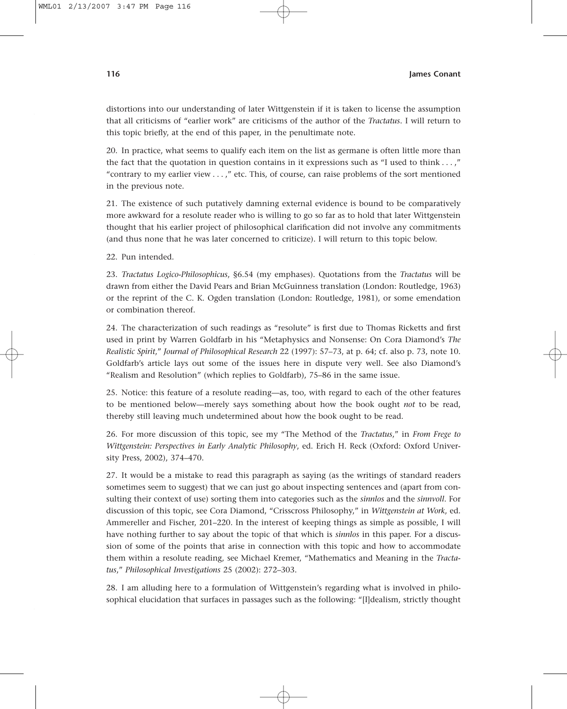**116 James Conant James Conant James Conant James Conant** 

distortions into our understanding of later Wittgenstein if it is taken to license the assumption that all criticisms of "earlier work" are criticisms of the author of the *Tractatus*. I will return to this topic briefly, at the end of this paper, in the penultimate note.

20. In practice, what seems to qualify each item on the list as germane is often little more than the fact that the quotation in question contains in it expressions such as "I used to think  $\dots$ ", "contrary to my earlier view  $\dots$ ," etc. This, of course, can raise problems of the sort mentioned in the previous note.

21. The existence of such putatively damning external evidence is bound to be comparatively more awkward for a resolute reader who is willing to go so far as to hold that later Wittgenstein thought that his earlier project of philosophical clarification did not involve any commitments (and thus none that he was later concerned to criticize). I will return to this topic below.

22. Pun intended.

23. *Tractatus Logico-Philosophicus*, §6.54 (my emphases). Quotations from the *Tractatus* will be drawn from either the David Pears and Brian McGuinness translation (London: Routledge, 1963) or the reprint of the C. K. Ogden translation (London: Routledge, 1981), or some emendation or combination thereof.

24. The characterization of such readings as "resolute" is first due to Thomas Ricketts and first used in print by Warren Goldfarb in his "Metaphysics and Nonsense: On Cora Diamond's *The Realistic Spirit*," *Journal of Philosophical Research* 22 (1997): 57–73, at p. 64; cf. also p. 73, note 10. Goldfarb's article lays out some of the issues here in dispute very well. See also Diamond's "Realism and Resolution" (which replies to Goldfarb), 75–86 in the same issue.

25. Notice: this feature of a resolute reading—as, too, with regard to each of the other features to be mentioned below—merely says something about how the book ought *not* to be read, thereby still leaving much undetermined about how the book ought to be read.

26. For more discussion of this topic, see my "The Method of the *Tractatus*," in *From Frege to Wittgenstein: Perspectives in Early Analytic Philosophy*, ed. Erich H. Reck (Oxford: Oxford University Press, 2002), 374–470.

27. It would be a mistake to read this paragraph as saying (as the writings of standard readers sometimes seem to suggest) that we can just go about inspecting sentences and (apart from consulting their context of use) sorting them into categories such as the *sinnlos* and the *sinnvoll*. For discussion of this topic, see Cora Diamond, "Crisscross Philosophy," in *Wittgenstein at Work*, ed. Ammereller and Fischer, 201–220. In the interest of keeping things as simple as possible, I will have nothing further to say about the topic of that which is *sinnlos* in this paper. For a discussion of some of the points that arise in connection with this topic and how to accommodate them within a resolute reading, see Michael Kremer, "Mathematics and Meaning in the *Tractatus*," *Philosophical Investigations* 25 (2002): 272–303.

28. I am alluding here to a formulation of Wittgenstein's regarding what is involved in philosophical elucidation that surfaces in passages such as the following: "[I]dealism, strictly thought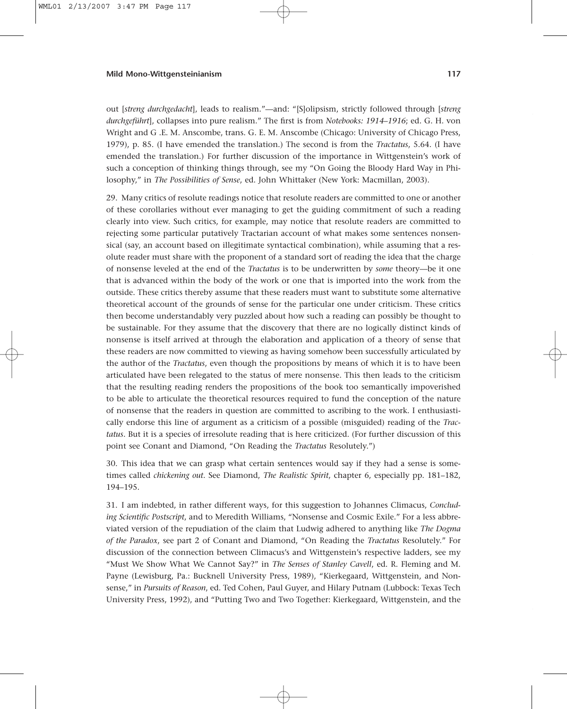out [*streng durchgedacht*], leads to realism."—and: "[S]olipsism, strictly followed through [*streng durchgeführt*], collapses into pure realism." The first is from *Notebooks: 1914–1916*; ed. G. H. von Wright and G .E. M. Anscombe, trans. G. E. M. Anscombe (Chicago: University of Chicago Press, 1979), p. 85. (I have emended the translation.) The second is from the *Tractatus*, 5.64. (I have emended the translation.) For further discussion of the importance in Wittgenstein's work of such a conception of thinking things through, see my "On Going the Bloody Hard Way in Philosophy," in *The Possibilities of Sense*, ed. John Whittaker (New York: Macmillan, 2003).

29. Many critics of resolute readings notice that resolute readers are committed to one or another of these corollaries without ever managing to get the guiding commitment of such a reading clearly into view. Such critics, for example, may notice that resolute readers are committed to rejecting some particular putatively Tractarian account of what makes some sentences nonsensical (say, an account based on illegitimate syntactical combination), while assuming that a resolute reader must share with the proponent of a standard sort of reading the idea that the charge of nonsense leveled at the end of the *Tractatus* is to be underwritten by *some* theory—be it one that is advanced within the body of the work or one that is imported into the work from the outside. These critics thereby assume that these readers must want to substitute some alternative theoretical account of the grounds of sense for the particular one under criticism. These critics then become understandably very puzzled about how such a reading can possibly be thought to be sustainable. For they assume that the discovery that there are no logically distinct kinds of nonsense is itself arrived at through the elaboration and application of a theory of sense that these readers are now committed to viewing as having somehow been successfully articulated by the author of the *Tractatus*, even though the propositions by means of which it is to have been articulated have been relegated to the status of mere nonsense. This then leads to the criticism that the resulting reading renders the propositions of the book too semantically impoverished to be able to articulate the theoretical resources required to fund the conception of the nature of nonsense that the readers in question are committed to ascribing to the work. I enthusiastically endorse this line of argument as a criticism of a possible (misguided) reading of the *Tractatus*. But it is a species of irresolute reading that is here criticized. (For further discussion of this point see Conant and Diamond, "On Reading the *Tractatus* Resolutely.")

30. This idea that we can grasp what certain sentences would say if they had a sense is sometimes called *chickening out*. See Diamond, *The Realistic Spirit*, chapter 6, especially pp. 181–182, 194–195.

31. I am indebted, in rather different ways, for this suggestion to Johannes Climacus, *Concluding Scientific Postscript*, and to Meredith Williams, "Nonsense and Cosmic Exile." For a less abbreviated version of the repudiation of the claim that Ludwig adhered to anything like *The Dogma of the Paradox*, see part 2 of Conant and Diamond, "On Reading the *Tractatus* Resolutely." For discussion of the connection between Climacus's and Wittgenstein's respective ladders, see my "Must We Show What We Cannot Say?" in *The Senses of Stanley Cavell*, ed. R. Fleming and M. Payne (Lewisburg, Pa.: Bucknell University Press, 1989), "Kierkegaard, Wittgenstein, and Nonsense," in *Pursuits of Reason*, ed. Ted Cohen, Paul Guyer, and Hilary Putnam (Lubbock: Texas Tech University Press, 1992), and "Putting Two and Two Together: Kierkegaard, Wittgenstein, and the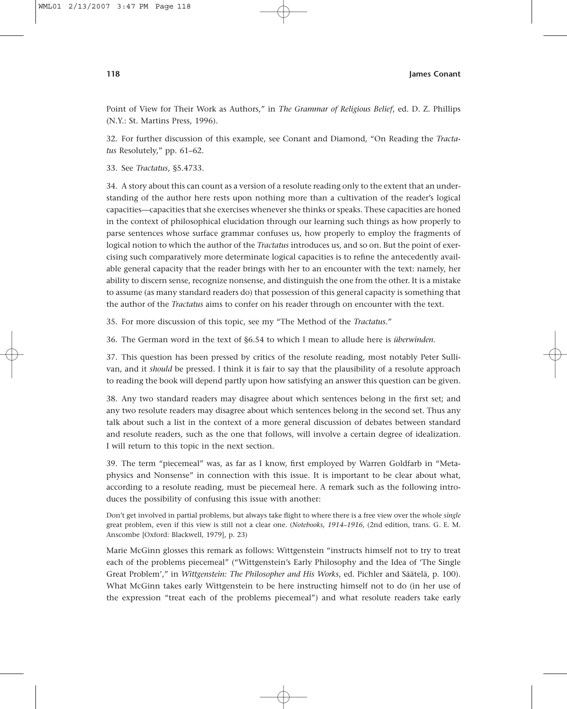**118 International Contract Contract Conducts James Conant James Conant** 

Point of View for Their Work as Authors," in *The Grammar of Religious Belief*, ed. D. Z. Phillips (N.Y.: St. Martins Press, 1996).

32. For further discussion of this example, see Conant and Diamond, "On Reading the *Tractatus* Resolutely," pp. 61–62.

33. See *Tractatus*, §5.4733.

34. A story about this can count as a version of a resolute reading only to the extent that an understanding of the author here rests upon nothing more than a cultivation of the reader's logical capacities—capacities that she exercises whenever she thinks or speaks. These capacities are honed in the context of philosophical elucidation through our learning such things as how properly to parse sentences whose surface grammar confuses us, how properly to employ the fragments of logical notion to which the author of the *Tractatus* introduces us, and so on. But the point of exercising such comparatively more determinate logical capacities is to refine the antecedently available general capacity that the reader brings with her to an encounter with the text: namely, her ability to discern sense, recognize nonsense, and distinguish the one from the other. It is a mistake to assume (as many standard readers do) that possession of this general capacity is something that the author of the *Tractatus* aims to confer on his reader through on encounter with the text.

35. For more discussion of this topic, see my "The Method of the *Tractatus*."

36. The German word in the text of §6.54 to which I mean to allude here is *überwinden*.

37. This question has been pressed by critics of the resolute reading, most notably Peter Sullivan, and it *should* be pressed. I think it is fair to say that the plausibility of a resolute approach to reading the book will depend partly upon how satisfying an answer this question can be given.

38. Any two standard readers may disagree about which sentences belong in the first set; and any two resolute readers may disagree about which sentences belong in the second set. Thus any talk about such a list in the context of a more general discussion of debates between standard and resolute readers, such as the one that follows, will involve a certain degree of idealization. I will return to this topic in the next section.

39. The term "piecemeal" was, as far as I know, first employed by Warren Goldfarb in "Metaphysics and Nonsense" in connection with this issue. It is important to be clear about what, according to a resolute reading, must be piecemeal here. A remark such as the following introduces the possibility of confusing this issue with another:

Don't get involved in partial problems, but always take flight to where there is a free view over the whole *single* great problem, even if this view is still not a clear one. (*Notebooks, 1914–1916*, (2nd edition, trans. G. E. M. Anscombe [Oxford: Blackwell, 1979], p. 23)

Marie McGinn glosses this remark as follows: Wittgenstein "instructs himself not to try to treat each of the problems piecemeal" ("Wittgenstein's Early Philosophy and the Idea of 'The Single Great Problem'," in *Wittgenstein: The Philosopher and His Works*, ed. Pichler and Säätelä, p. 100). What McGinn takes early Wittgenstein to be here instructing himself not to do (in her use of the expression "treat each of the problems piecemeal") and what resolute readers take early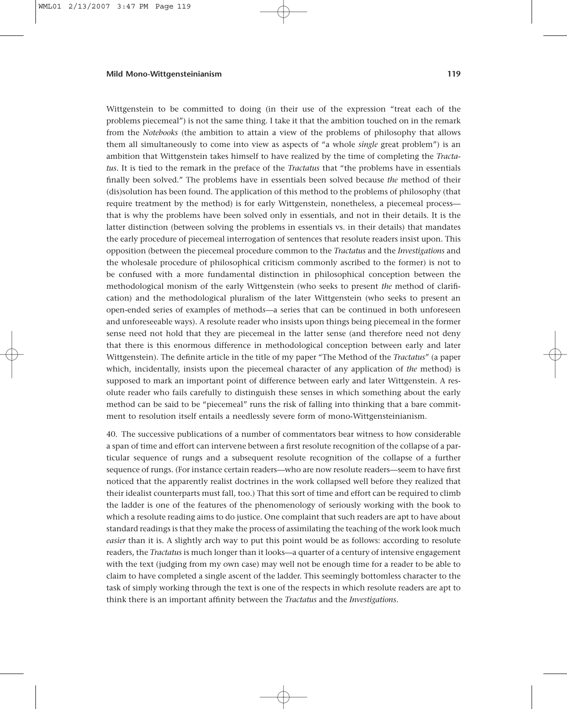Wittgenstein to be committed to doing (in their use of the expression "treat each of the problems piecemeal") is not the same thing. I take it that the ambition touched on in the remark from the *Notebooks* (the ambition to attain a view of the problems of philosophy that allows them all simultaneously to come into view as aspects of "a whole *single* great problem") is an ambition that Wittgenstein takes himself to have realized by the time of completing the *Tractatus*. It is tied to the remark in the preface of the *Tractatus* that "the problems have in essentials finally been solved." The problems have in essentials been solved because *the* method of their (dis)solution has been found. The application of this method to the problems of philosophy (that require treatment by the method) is for early Wittgenstein, nonetheless, a piecemeal process that is why the problems have been solved only in essentials, and not in their details. It is the latter distinction (between solving the problems in essentials vs. in their details) that mandates the early procedure of piecemeal interrogation of sentences that resolute readers insist upon. This opposition (between the piecemeal procedure common to the *Tractatus* and the *Investigations* and the wholesale procedure of philosophical criticism commonly ascribed to the former) is not to be confused with a more fundamental distinction in philosophical conception between the methodological monism of the early Wittgenstein (who seeks to present *the* method of clarification) and the methodological pluralism of the later Wittgenstein (who seeks to present an open-ended series of examples of method*s*—a series that can be continued in both unforeseen and unforeseeable ways). A resolute reader who insists upon things being piecemeal in the former sense need not hold that they are piecemeal in the latter sense (and therefore need not deny that there is this enormous difference in methodological conception between early and later Wittgenstein). The definite article in the title of my paper "The Method of the *Tractatus*" (a paper which, incidentally, insists upon the piecemeal character of any application of *the* method) is supposed to mark an important point of difference between early and later Wittgenstein. A resolute reader who fails carefully to distinguish these senses in which something about the early method can be said to be "piecemeal" runs the risk of falling into thinking that a bare commitment to resolution itself entails a needlessly severe form of mono-Wittgensteinianism.

40. The successive publications of a number of commentators bear witness to how considerable a span of time and effort can intervene between a first resolute recognition of the collapse of a particular sequence of rungs and a subsequent resolute recognition of the collapse of a further sequence of rungs. (For instance certain readers—who are now resolute readers—seem to have first noticed that the apparently realist doctrines in the work collapsed well before they realized that their idealist counterparts must fall, too.) That this sort of time and effort can be required to climb the ladder is one of the features of the phenomenology of seriously working with the book to which a resolute reading aims to do justice. One complaint that such readers are apt to have about standard readings is that they make the process of assimilating the teaching of the work look much *easier* than it is. A slightly arch way to put this point would be as follows: according to resolute readers, the *Tractatus* is much longer than it looks—a quarter of a century of intensive engagement with the text (judging from my own case) may well not be enough time for a reader to be able to claim to have completed a single ascent of the ladder. This seemingly bottomless character to the task of simply working through the text is one of the respects in which resolute readers are apt to think there is an important affinity between the *Tractatus* and the *Investigations*.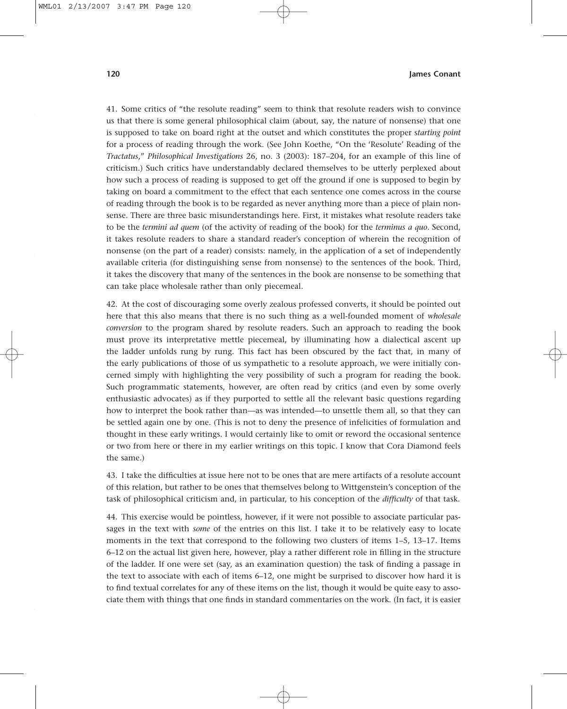41. Some critics of "the resolute reading" seem to think that resolute readers wish to convince us that there is some general philosophical claim (about, say, the nature of nonsense) that one is supposed to take on board right at the outset and which constitutes the proper s*tarting point* for a process of reading through the work. (See John Koethe, "On the 'Resolute' Reading of the *Tractatus*," *Philosophical Investigations* 26, no. 3 (2003): 187–204, for an example of this line of criticism.) Such critics have understandably declared themselves to be utterly perplexed about how such a process of reading is supposed to get off the ground if one is supposed to begin by taking on board a commitment to the effect that each sentence one comes across in the course of reading through the book is to be regarded as never anything more than a piece of plain nonsense. There are three basic misunderstandings here. First, it mistakes what resolute readers take to be the *termini ad quem* (of the activity of reading of the book) for the *terminus a quo*. Second, it takes resolute readers to share a standard reader's conception of wherein the recognition of nonsense (on the part of a reader) consists: namely, in the application of a set of independently available criteria (for distinguishing sense from nonsense) to the sentences of the book. Third, it takes the discovery that many of the sentences in the book are nonsense to be something that can take place wholesale rather than only piecemeal.

42. At the cost of discouraging some overly zealous professed converts, it should be pointed out here that this also means that there is no such thing as a well-founded moment of *wholesale conversion* to the program shared by resolute readers. Such an approach to reading the book must prove its interpretative mettle piecemeal, by illuminating how a dialectical ascent up the ladder unfolds rung by rung. This fact has been obscured by the fact that, in many of the early publications of those of us sympathetic to a resolute approach, we were initially concerned simply with highlighting the very possibility of such a program for reading the book. Such programmatic statements, however, are often read by critics (and even by some overly enthusiastic advocates) as if they purported to settle all the relevant basic questions regarding how to interpret the book rather than—as was intended—to unsettle them all, so that they can be settled again one by one. (This is not to deny the presence of infelicities of formulation and thought in these early writings. I would certainly like to omit or reword the occasional sentence or two from here or there in my earlier writings on this topic. I know that Cora Diamond feels the same.)

43. I take the difficulties at issue here not to be ones that are mere artifacts of a resolute account of this relation, but rather to be ones that themselves belong to Wittgenstein's conception of the task of philosophical criticism and, in particular, to his conception of the *difficulty* of that task.

44. This exercise would be pointless, however, if it were not possible to associate particular passages in the text with *some* of the entries on this list. I take it to be relatively easy to locate moments in the text that correspond to the following two clusters of items 1–5, 13–17. Items 6–12 on the actual list given here, however, play a rather different role in filling in the structure of the ladder. If one were set (say, as an examination question) the task of finding a passage in the text to associate with each of items 6–12, one might be surprised to discover how hard it is to find textual correlates for any of these items on the list, though it would be quite easy to associate them with things that one finds in standard commentaries on the work. (In fact, it is easier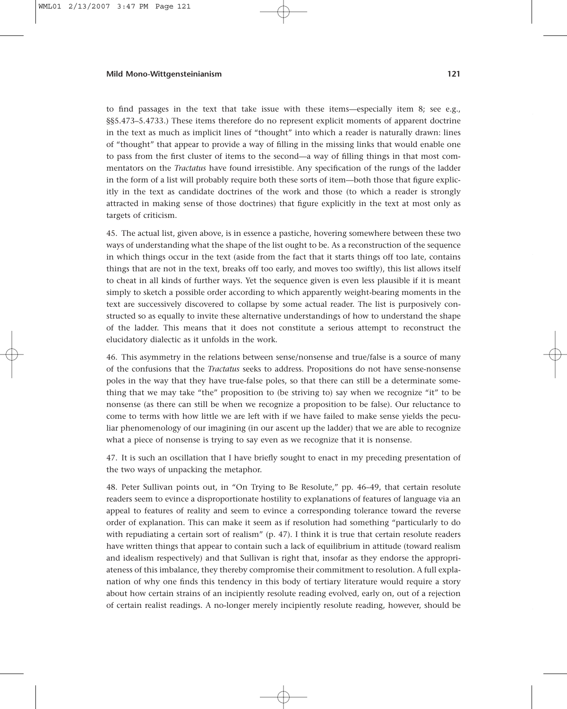to find passages in the text that take issue with these items—especially item 8; see e.g., §§5.473–5.4733.) These items therefore do no represent explicit moments of apparent doctrine in the text as much as implicit lines of "thought" into which a reader is naturally drawn: lines of "thought" that appear to provide a way of filling in the missing links that would enable one to pass from the first cluster of items to the second—a way of filling things in that most commentators on the *Tractatus* have found irresistible. Any specification of the rungs of the ladder in the form of a list will probably require both these sorts of item—both those that figure explicitly in the text as candidate doctrines of the work and those (to which a reader is strongly attracted in making sense of those doctrines) that figure explicitly in the text at most only as targets of criticism.

45. The actual list, given above, is in essence a pastiche, hovering somewhere between these two ways of understanding what the shape of the list ought to be. As a reconstruction of the sequence in which things occur in the text (aside from the fact that it starts things off too late, contains things that are not in the text, breaks off too early, and moves too swiftly), this list allows itself to cheat in all kinds of further ways. Yet the sequence given is even less plausible if it is meant simply to sketch a possible order according to which apparently weight-bearing moments in the text are successively discovered to collapse by some actual reader. The list is purposively constructed so as equally to invite these alternative understandings of how to understand the shape of the ladder. This means that it does not constitute a serious attempt to reconstruct the elucidatory dialectic as it unfolds in the work.

46. This asymmetry in the relations between sense/nonsense and true/false is a source of many of the confusions that the *Tractatus* seeks to address. Propositions do not have sense-nonsense poles in the way that they have true-false poles, so that there can still be a determinate something that we may take "the" proposition to (be striving to) say when we recognize "it" to be nonsense (as there can still be when we recognize a proposition to be false). Our reluctance to come to terms with how little we are left with if we have failed to make sense yields the peculiar phenomenology of our imagining (in our ascent up the ladder) that we are able to recognize what a piece of nonsense is trying to say even as we recognize that it is nonsense.

47. It is such an oscillation that I have briefly sought to enact in my preceding presentation of the two ways of unpacking the metaphor.

48. Peter Sullivan points out, in "On Trying to Be Resolute," pp. 46–49, that certain resolute readers seem to evince a disproportionate hostility to explanations of features of language via an appeal to features of reality and seem to evince a corresponding tolerance toward the reverse order of explanation. This can make it seem as if resolution had something "particularly to do with repudiating a certain sort of realism" (p. 47). I think it is true that certain resolute readers have written things that appear to contain such a lack of equilibrium in attitude (toward realism and idealism respectively) and that Sullivan is right that, insofar as they endorse the appropriateness of this imbalance, they thereby compromise their commitment to resolution. A full explanation of why one finds this tendency in this body of tertiary literature would require a story about how certain strains of an incipiently resolute reading evolved, early on, out of a rejection of certain realist readings. A no-longer merely incipiently resolute reading, however, should be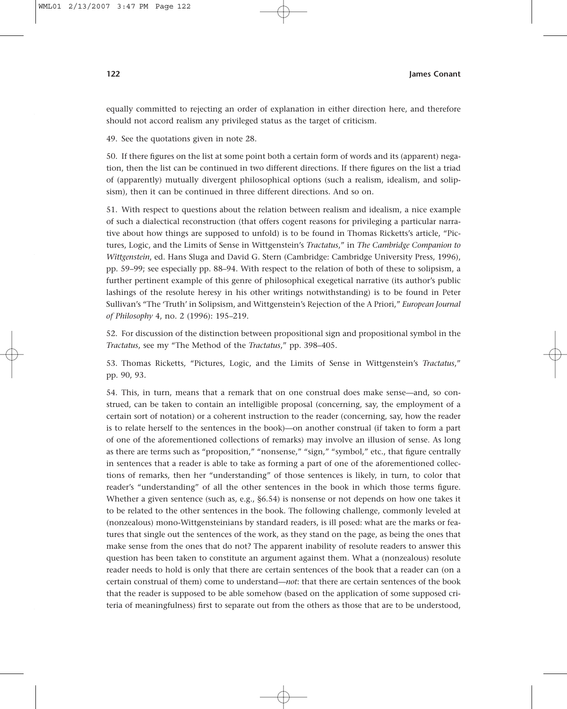equally committed to rejecting an order of explanation in either direction here, and therefore should not accord realism any privileged status as the target of criticism.

49. See the quotations given in note 28.

50. If there figures on the list at some point both a certain form of words and its (apparent) negation, then the list can be continued in two different directions. If there figures on the list a triad of (apparently) mutually divergent philosophical options (such a realism, idealism, and solipsism), then it can be continued in three different directions. And so on.

51. With respect to questions about the relation between realism and idealism, a nice example of such a dialectical reconstruction (that offers cogent reasons for privileging a particular narrative about how things are supposed to unfold) is to be found in Thomas Ricketts's article, "Pictures, Logic, and the Limits of Sense in Wittgenstein's *Tractatus*," in *The Cambridge Companion to Wittgenstein*, ed. Hans Sluga and David G. Stern (Cambridge: Cambridge University Press, 1996), pp. 59–99; see especially pp. 88–94. With respect to the relation of both of these to solipsism, a further pertinent example of this genre of philosophical exegetical narrative (its author's public lashings of the resolute heresy in his other writings notwithstanding) is to be found in Peter Sullivan's "The 'Truth' in Solipsism, and Wittgenstein's Rejection of the A Priori," *European Journal of Philosophy* 4, no. 2 (1996): 195–219.

52. For discussion of the distinction between propositional sign and propositional symbol in the *Tractatus*, see my "The Method of the *Tractatus*," pp. 398–405.

53. Thomas Ricketts, "Pictures, Logic, and the Limits of Sense in Wittgenstein's *Tractatus*," pp. 90, 93.

54. This, in turn, means that a remark that on one construal does make sense—and, so construed, can be taken to contain an intelligible proposal (concerning, say, the employment of a certain sort of notation) or a coherent instruction to the reader (concerning, say, how the reader is to relate herself to the sentences in the book)—on another construal (if taken to form a part of one of the aforementioned collections of remarks) may involve an illusion of sense. As long as there are terms such as "proposition," "nonsense," "sign," "symbol," etc., that figure centrally in sentences that a reader is able to take as forming a part of one of the aforementioned collections of remarks, then her "understanding" of those sentences is likely, in turn, to color that reader's "understanding" of all the other sentences in the book in which those terms figure. Whether a given sentence (such as, e.g., §6.54) is nonsense or not depends on how one takes it to be related to the other sentences in the book. The following challenge, commonly leveled at (nonzealous) mono-Wittgensteinians by standard readers, is ill posed: what are the marks or features that single out the sentences of the work, as they stand on the page, as being the ones that make sense from the ones that do not? The apparent inability of resolute readers to answer this question has been taken to constitute an argument against them. What a (nonzealous) resolute reader needs to hold is only that there are certain sentences of the book that a reader can (on a certain construal of them) come to understand—*not*: that there are certain sentences of the book that the reader is supposed to be able somehow (based on the application of some supposed criteria of meaningfulness) first to separate out from the others as those that are to be understood,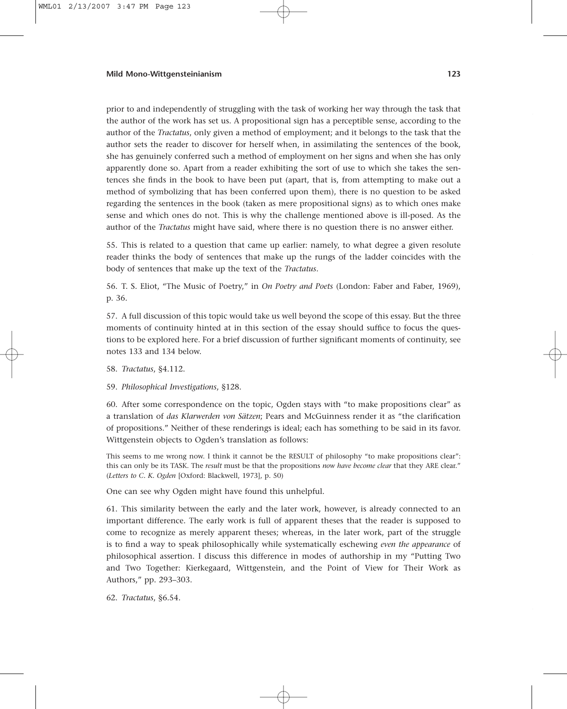prior to and independently of struggling with the task of working her way through the task that the author of the work has set us. A propositional sign has a perceptible sense, according to the author of the *Tractatus*, only given a method of employment; and it belongs to the task that the author sets the reader to discover for herself when, in assimilating the sentences of the book, she has genuinely conferred such a method of employment on her signs and when she has only apparently done so. Apart from a reader exhibiting the sort of use to which she takes the sentences she finds in the book to have been put (apart, that is, from attempting to make out a method of symbolizing that has been conferred upon them), there is no question to be asked regarding the sentences in the book (taken as mere propositional signs) as to which ones make sense and which ones do not. This is why the challenge mentioned above is ill-posed. As the author of the *Tractatus* might have said, where there is no question there is no answer either.

55. This is related to a question that came up earlier: namely, to what degree a given resolute reader thinks the body of sentences that make up the rungs of the ladder coincides with the body of sentences that make up the text of the *Tractatus*.

56. T. S. Eliot, "The Music of Poetry," in *On Poetry and Poets* (London: Faber and Faber, 1969), p. 36.

57. A full discussion of this topic would take us well beyond the scope of this essay. But the three moments of continuity hinted at in this section of the essay should suffice to focus the questions to be explored here. For a brief discussion of further significant moments of continuity, see notes 133 and 134 below.

58. *Tractatus*, §4.112.

59. *Philosophical Investigations*, §128.

60. After some correspondence on the topic, Ogden stays with "to make propositions clear" as a translation of *das Klarwerden von Sätzen*; Pears and McGuinness render it as "the clarification of propositions." Neither of these renderings is ideal; each has something to be said in its favor. Wittgenstein objects to Ogden's translation as follows:

This seems to me wrong now. I think it cannot be the RESULT of philosophy "to make propositions clear": this can only be its TASK. The *result* must be that the propositions *now have become clear* that they ARE clear." (*Letters to C. K. Ogden* [Oxford: Blackwell, 1973], p. 50)

One can see why Ogden might have found this unhelpful.

61. This similarity between the early and the later work, however, is already connected to an important difference. The early work is full of apparent theses that the reader is supposed to come to recognize as merely apparent theses; whereas, in the later work, part of the struggle is to find a way to speak philosophically while systematically eschewing *even the appearance* of philosophical assertion. I discuss this difference in modes of authorship in my "Putting Two and Two Together: Kierkegaard, Wittgenstein, and the Point of View for Their Work as Authors," pp. 293–303.

62. *Tractatus*, §6.54.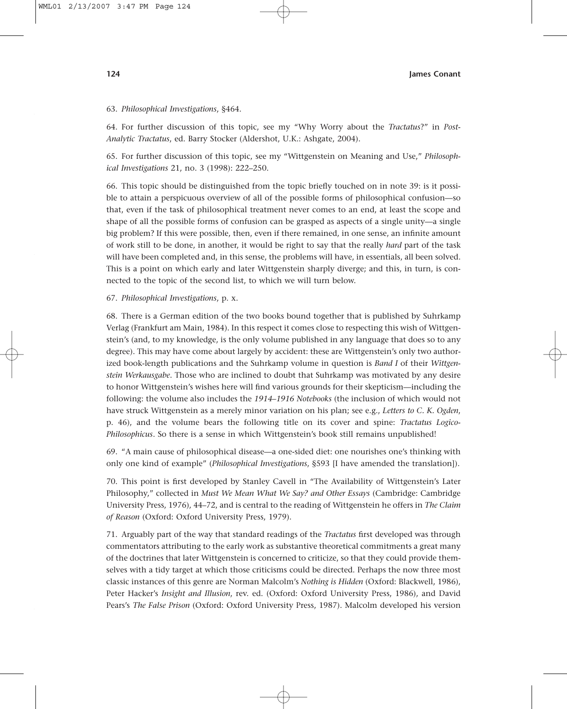## 63. *Philosophical Investigations*, §464.

64. For further discussion of this topic, see my "Why Worry about the *Tractatus*?" in *Post-Analytic Tractatus*, ed. Barry Stocker (Aldershot, U.K.: Ashgate, 2004).

65. For further discussion of this topic, see my "Wittgenstein on Meaning and Use," *Philosophical Investigations* 21, no. 3 (1998): 222–250.

66. This topic should be distinguished from the topic briefly touched on in note 39: is it possible to attain a perspicuous overview of all of the possible forms of philosophical confusion—so that, even if the task of philosophical treatment never comes to an end, at least the scope and shape of all the possible forms of confusion can be grasped as aspects of a single unity—a single big problem? If this were possible, then, even if there remained, in one sense, an infinite amount of work still to be done, in another, it would be right to say that the really *hard* part of the task will have been completed and, in this sense, the problems will have, in essentials, all been solved. This is a point on which early and later Wittgenstein sharply diverge; and this, in turn, is connected to the topic of the second list, to which we will turn below.

#### 67. *Philosophical Investigations*, p. x.

68. There is a German edition of the two books bound together that is published by Suhrkamp Verlag (Frankfurt am Main, 1984). In this respect it comes close to respecting this wish of Wittgenstein's (and, to my knowledge, is the only volume published in any language that does so to any degree). This may have come about largely by accident: these are Wittgenstein's only two authorized book-length publications and the Suhrkamp volume in question is *Band I* of their *Wittgenstein Werkausgabe*. Those who are inclined to doubt that Suhrkamp was motivated by any desire to honor Wittgenstein's wishes here will find various grounds for their skepticism—including the following: the volume also includes the *1914–1916 Notebooks* (the inclusion of which would not have struck Wittgenstein as a merely minor variation on his plan; see e.g., *Letters to C. K. Ogden*, p. 46), and the volume bears the following title on its cover and spine: *Tractatus Logico-Philosophicus*. So there is a sense in which Wittgenstein's book still remains unpublished!

69. "A main cause of philosophical disease—a one-sided diet: one nourishes one's thinking with only one kind of example" (*Philosophical Investigations*, §593 [I have amended the translation]).

70. This point is first developed by Stanley Cavell in "The Availability of Wittgenstein's Later Philosophy," collected in *Must We Mean What We Say? and Other Essays* (Cambridge: Cambridge University Press, 1976), 44–72, and is central to the reading of Wittgenstein he offers in *The Claim of Reason* (Oxford: Oxford University Press, 1979).

71. Arguably part of the way that standard readings of the *Tractatus* first developed was through commentators attributing to the early work as substantive theoretical commitments a great many of the doctrines that later Wittgenstein is concerned to criticize, so that they could provide themselves with a tidy target at which those criticisms could be directed. Perhaps the now three most classic instances of this genre are Norman Malcolm's *Nothing is Hidden* (Oxford: Blackwell, 1986), Peter Hacker's *Insight and Illusion*, rev. ed. (Oxford: Oxford University Press, 1986), and David Pears's *The False Prison* (Oxford: Oxford University Press, 1987). Malcolm developed his version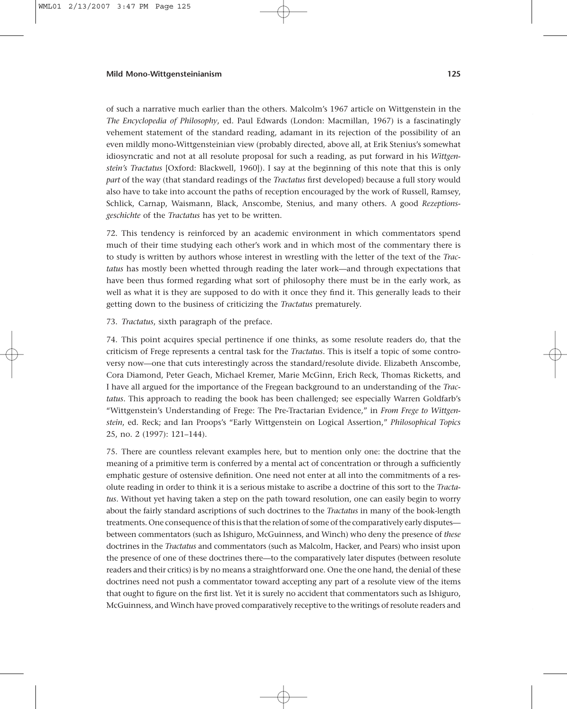of such a narrative much earlier than the others. Malcolm's 1967 article on Wittgenstein in the *The Encyclopedia of Philosophy*, ed. Paul Edwards (London: Macmillan, 1967) is a fascinatingly vehement statement of the standard reading, adamant in its rejection of the possibility of an even mildly mono-Wittgensteinian view (probably directed, above all, at Erik Stenius's somewhat idiosyncratic and not at all resolute proposal for such a reading, as put forward in his *Wittgenstein's Tractatus* [Oxford: Blackwell, 1960]). I say at the beginning of this note that this is only *part* of the way (that standard readings of the *Tractatus* first developed) because a full story would also have to take into account the paths of reception encouraged by the work of Russell, Ramsey, Schlick, Carnap, Waismann, Black, Anscombe, Stenius, and many others. A good *Rezeptionsgeschichte* of the *Tractatus* has yet to be written.

72. This tendency is reinforced by an academic environment in which commentators spend much of their time studying each other's work and in which most of the commentary there is to study is written by authors whose interest in wrestling with the letter of the text of the *Tractatus* has mostly been whetted through reading the later work—and through expectations that have been thus formed regarding what sort of philosophy there must be in the early work, as well as what it is they are supposed to do with it once they find it. This generally leads to their getting down to the business of criticizing the *Tractatus* prematurely.

#### 73. *Tractatus*, sixth paragraph of the preface.

74. This point acquires special pertinence if one thinks, as some resolute readers do, that the criticism of Frege represents a central task for the *Tractatus*. This is itself a topic of some controversy now—one that cuts interestingly across the standard/resolute divide. Elizabeth Anscombe, Cora Diamond, Peter Geach, Michael Kremer, Marie McGinn, Erich Reck, Thomas Ricketts, and I have all argued for the importance of the Fregean background to an understanding of the *Tractatus*. This approach to reading the book has been challenged; see especially Warren Goldfarb's "Wittgenstein's Understanding of Frege: The Pre-Tractarian Evidence," in *From Frege to Wittgenstein*, ed. Reck; and Ian Proops's "Early Wittgenstein on Logical Assertion," *Philosophical Topics* 25, no. 2 (1997): 121–144).

75. There are countless relevant examples here, but to mention only one: the doctrine that the meaning of a primitive term is conferred by a mental act of concentration or through a sufficiently emphatic gesture of ostensive definition. One need not enter at all into the commitments of a resolute reading in order to think it is a serious mistake to ascribe a doctrine of this sort to the *Tractatus*. Without yet having taken a step on the path toward resolution, one can easily begin to worry about the fairly standard ascriptions of such doctrines to the *Tractatus* in many of the book-length treatments. One consequence of this is that the relation of some of the comparatively early disputes between commentators (such as Ishiguro, McGuinness, and Winch) who deny the presence of *these* doctrines in the *Tractatus* and commentators (such as Malcolm, Hacker, and Pears) who insist upon the presence of one of these doctrines there—to the comparatively later disputes (between resolute readers and their critics) is by no means a straightforward one. One the one hand, the denial of these doctrines need not push a commentator toward accepting any part of a resolute view of the items that ought to figure on the first list. Yet it is surely no accident that commentators such as Ishiguro, McGuinness, and Winch have proved comparatively receptive to the writings of resolute readers and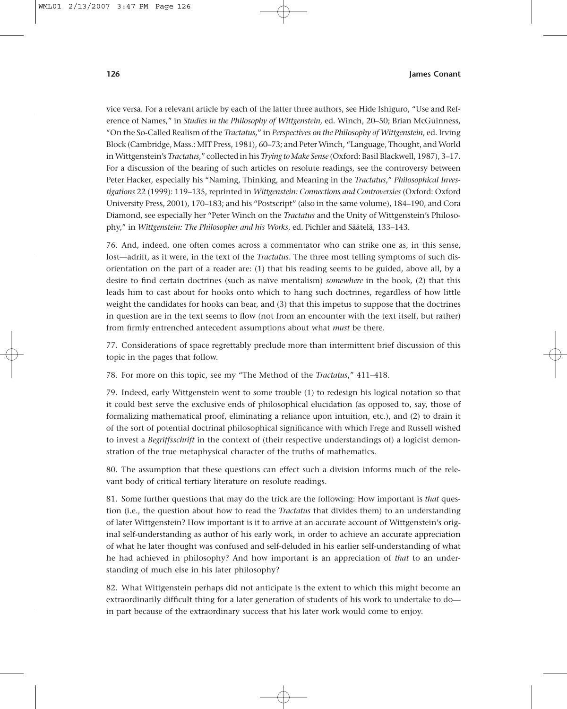vice versa. For a relevant article by each of the latter three authors, see Hide Ishiguro, "Use and Reference of Names," in *Studies in the Philosophy of Wittgenstein*, ed. Winch, 20–50; Brian McGuinness, "On the So-Called Realism of the *Tractatus*," in *Perspectives on the Philosophy of Wittgenstein*, ed. Irving Block (Cambridge, Mass.: MIT Press, 1981), 60–73; and Peter Winch, "Language, Thought, and World in Wittgenstein's *Tractatus*," collected in his *Trying to Make Sense* (Oxford: Basil Blackwell, 1987), 3–17. For a discussion of the bearing of such articles on resolute readings, see the controversy between Peter Hacker, especially his "Naming, Thinking, and Meaning in the *Tractatus*," *Philosophical Investigations* 22 (1999): 119–135, reprinted in *Wittgenstein: Connections and Controversies* (Oxford: Oxford University Press, 2001), 170–183; and his "Postscript" (also in the same volume), 184–190, and Cora Diamond, see especially her "Peter Winch on the *Tractatus* and the Unity of Wittgenstein's Philosophy," in *Wittgenstein: The Philosopher and his Works*, ed. Pichler and Säätelä, 133–143.

76. And, indeed, one often comes across a commentator who can strike one as, in this sense, lost—adrift, as it were, in the text of the *Tractatus*. The three most telling symptoms of such disorientation on the part of a reader are: (1) that his reading seems to be guided, above all, by a desire to find certain doctrines (such as naïve mentalism) *somewhere* in the book, (2) that this leads him to cast about for hooks onto which to hang such doctrines, regardless of how little weight the candidates for hooks can bear, and (3) that this impetus to suppose that the doctrines in question are in the text seems to flow (not from an encounter with the text itself, but rather) from firmly entrenched antecedent assumptions about what *must* be there.

77. Considerations of space regrettably preclude more than intermittent brief discussion of this topic in the pages that follow.

78. For more on this topic, see my "The Method of the *Tractatus*," 411–418.

79. Indeed, early Wittgenstein went to some trouble (1) to redesign his logical notation so that it could best serve the exclusive ends of philosophical elucidation (as opposed to, say, those of formalizing mathematical proof, eliminating a reliance upon intuition, etc.), and (2) to drain it of the sort of potential doctrinal philosophical significance with which Frege and Russell wished to invest a *Begriffsschrift* in the context of (their respective understandings of) a logicist demonstration of the true metaphysical character of the truths of mathematics.

80. The assumption that these questions can effect such a division informs much of the relevant body of critical tertiary literature on resolute readings.

81. Some further questions that may do the trick are the following: How important is *that* question (i.e., the question about how to read the *Tractatus* that divides them) to an understanding of later Wittgenstein? How important is it to arrive at an accurate account of Wittgenstein's original self-understanding as author of his early work, in order to achieve an accurate appreciation of what he later thought was confused and self-deluded in his earlier self-understanding of what he had achieved in philosophy? And how important is an appreciation of *that* to an understanding of much else in his later philosophy?

82. What Wittgenstein perhaps did not anticipate is the extent to which this might become an extraordinarily difficult thing for a later generation of students of his work to undertake to do in part because of the extraordinary success that his later work would come to enjoy.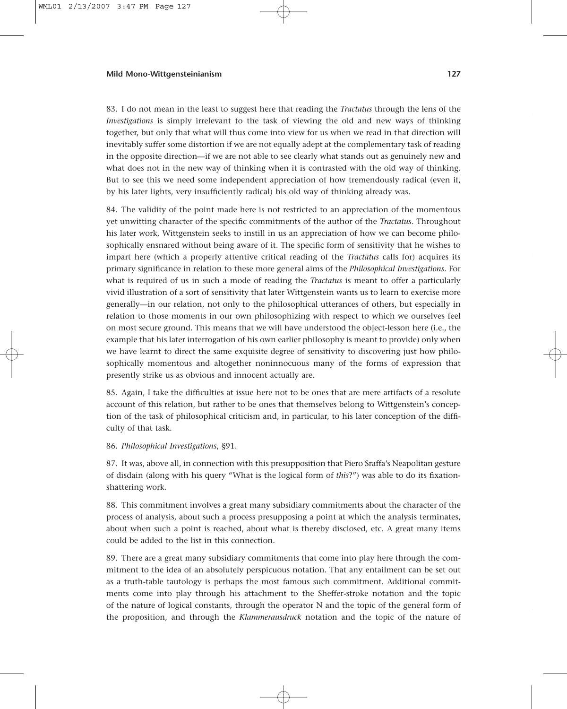83. I do not mean in the least to suggest here that reading the *Tractatus* through the lens of the *Investigations* is simply irrelevant to the task of viewing the old and new ways of thinking together, but only that what will thus come into view for us when we read in that direction will inevitably suffer some distortion if we are not equally adept at the complementary task of reading in the opposite direction—if we are not able to see clearly what stands out as genuinely new and what does not in the new way of thinking when it is contrasted with the old way of thinking. But to see this we need some independent appreciation of how tremendously radical (even if, by his later lights, very insufficiently radical) his old way of thinking already was.

84. The validity of the point made here is not restricted to an appreciation of the momentous yet unwitting character of the specific commitments of the author of the *Tractatus*. Throughout his later work, Wittgenstein seeks to instill in us an appreciation of how we can become philosophically ensnared without being aware of it. The specific form of sensitivity that he wishes to impart here (which a properly attentive critical reading of the *Tractatus* calls for) acquires its primary significance in relation to these more general aims of the *Philosophical Investigations*. For what is required of us in such a mode of reading the *Tractatus* is meant to offer a particularly vivid illustration of a sort of sensitivity that later Wittgenstein wants us to learn to exercise more generally—in our relation, not only to the philosophical utterances of others, but especially in relation to those moments in our own philosophizing with respect to which we ourselves feel on most secure ground. This means that we will have understood the object-lesson here (i.e., the example that his later interrogation of his own earlier philosophy is meant to provide) only when we have learnt to direct the same exquisite degree of sensitivity to discovering just how philosophically momentous and altogether noninnocuous many of the forms of expression that presently strike us as obvious and innocent actually are.

85. Again, I take the difficulties at issue here not to be ones that are mere artifacts of a resolute account of this relation, but rather to be ones that themselves belong to Wittgenstein's conception of the task of philosophical criticism and, in particular, to his later conception of the difficulty of that task.

86. *Philosophical Investigations*, §91.

87. It was, above all, in connection with this presupposition that Piero Sraffa's Neapolitan gesture of disdain (along with his query "What is the logical form of *this*?") was able to do its fixationshattering work.

88. This commitment involves a great many subsidiary commitments about the character of the process of analysis, about such a process presupposing a point at which the analysis terminates, about when such a point is reached, about what is thereby disclosed, etc. A great many items could be added to the list in this connection.

89. There are a great many subsidiary commitments that come into play here through the commitment to the idea of an absolutely perspicuous notation. That any entailment can be set out as a truth-table tautology is perhaps the most famous such commitment. Additional commitments come into play through his attachment to the Sheffer-stroke notation and the topic of the nature of logical constants, through the operator N and the topic of the general form of the proposition, and through the *Klammerausdruck* notation and the topic of the nature of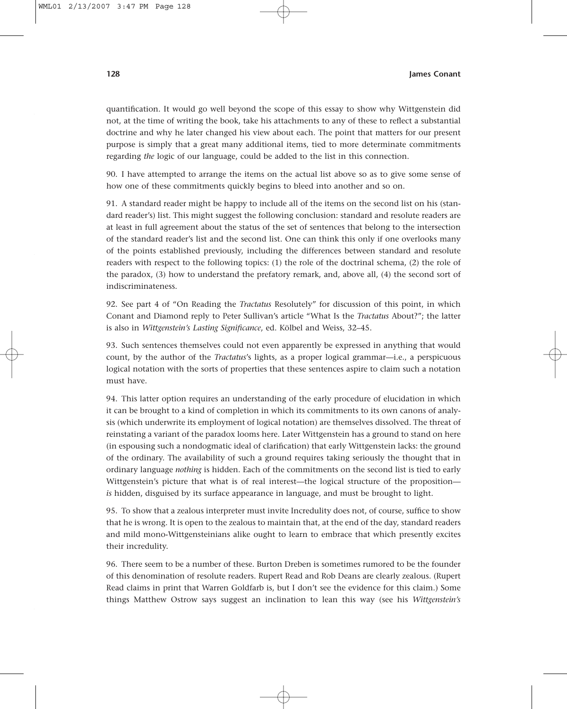quantification. It would go well beyond the scope of this essay to show why Wittgenstein did not, at the time of writing the book, take his attachments to any of these to reflect a substantial doctrine and why he later changed his view about each. The point that matters for our present purpose is simply that a great many additional items, tied to more determinate commitments regarding *the* logic of our language, could be added to the list in this connection.

90. I have attempted to arrange the items on the actual list above so as to give some sense of how one of these commitments quickly begins to bleed into another and so on.

91. A standard reader might be happy to include all of the items on the second list on his (standard reader's) list. This might suggest the following conclusion: standard and resolute readers are at least in full agreement about the status of the set of sentences that belong to the intersection of the standard reader's list and the second list. One can think this only if one overlooks many of the points established previously, including the differences between standard and resolute readers with respect to the following topics: (1) the role of the doctrinal schema, (2) the role of the paradox, (3) how to understand the prefatory remark, and, above all, (4) the second sort of indiscriminateness.

92. See part 4 of "On Reading the *Tractatus* Resolutely" for discussion of this point, in which Conant and Diamond reply to Peter Sullivan's article "What Is the *Tractatus* About?"; the latter is also in *Wittgenstein's Lasting Significance*, ed. Kölbel and Weiss, 32–45.

93. Such sentences themselves could not even apparently be expressed in anything that would count, by the author of the *Tractatus*'s lights, as a proper logical grammar—i.e., a perspicuous logical notation with the sorts of properties that these sentences aspire to claim such a notation must have.

94. This latter option requires an understanding of the early procedure of elucidation in which it can be brought to a kind of completion in which its commitments to its own canons of analysis (which underwrite its employment of logical notation) are themselves dissolved. The threat of reinstating a variant of the paradox looms here. Later Wittgenstein has a ground to stand on here (in espousing such a nondogmatic ideal of clarification) that early Wittgenstein lacks: the ground of the ordinary. The availability of such a ground requires taking seriously the thought that in ordinary language *nothing* is hidden. Each of the commitments on the second list is tied to early Wittgenstein's picture that what is of real interest—the logical structure of the proposition *is* hidden, disguised by its surface appearance in language, and must be brought to light.

95. To show that a zealous interpreter must invite Incredulity does not, of course, suffice to show that he is wrong. It is open to the zealous to maintain that, at the end of the day, standard readers and mild mono-Wittgensteinians alike ought to learn to embrace that which presently excites their incredulity.

96. There seem to be a number of these. Burton Dreben is sometimes rumored to be the founder of this denomination of resolute readers. Rupert Read and Rob Deans are clearly zealous. (Rupert Read claims in print that Warren Goldfarb is, but I don't see the evidence for this claim.) Some things Matthew Ostrow says suggest an inclination to lean this way (see his *Wittgenstein's*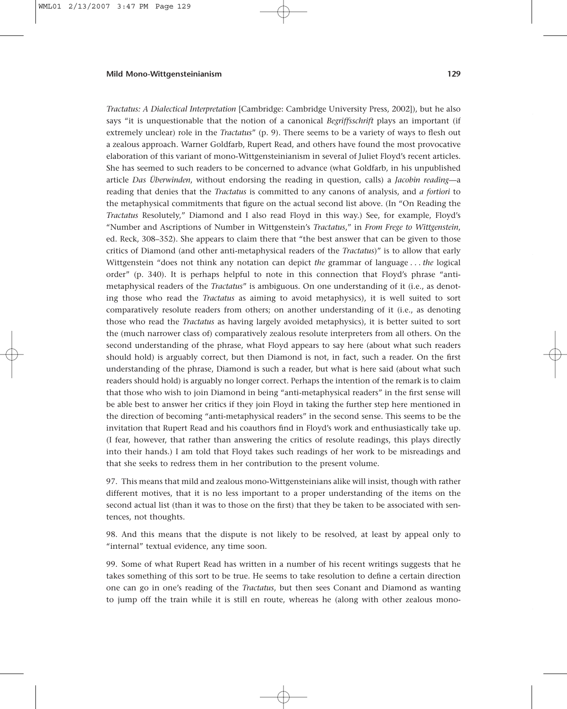*Tractatus: A Dialectical Interpretation* [Cambridge: Cambridge University Press, 2002]), but he also says "it is unquestionable that the notion of a canonical *Begriffsschrift* plays an important (if extremely unclear) role in the *Tractatus*" (p. 9). There seems to be a variety of ways to flesh out a zealous approach. Warner Goldfarb, Rupert Read, and others have found the most provocative elaboration of this variant of mono-Wittgensteinianism in several of Juliet Floyd's recent articles. She has seemed to such readers to be concerned to advance (what Goldfarb, in his unpublished article *Das Überwinden*, without endorsing the reading in question, calls) a *Jacobin reading*—a reading that denies that the *Tractatus* is committed to any canons of analysis, and *a fortiori* to the metaphysical commitments that figure on the actual second list above. (In "On Reading the *Tractatus* Resolutely," Diamond and I also read Floyd in this way.) See, for example, Floyd's "Number and Ascriptions of Number in Wittgenstein's *Tractatus*," in *From Frege to Wittgenstein*, ed. Reck, 308–352). She appears to claim there that "the best answer that can be given to those critics of Diamond (and other anti-metaphysical readers of the *Tractatus*)" is to allow that early Wittgenstein "does not think any notation can depict *the* grammar of language . . . *the* logical order" (p. 340). It is perhaps helpful to note in this connection that Floyd's phrase "antimetaphysical readers of the *Tractatus*" is ambiguous. On one understanding of it (i.e., as denoting those who read the *Tractatus* as aiming to avoid metaphysics), it is well suited to sort comparatively resolute readers from others; on another understanding of it (i.e., as denoting those who read the *Tractatus* as having largely avoided metaphysics), it is better suited to sort the (much narrower class of) comparatively zealous resolute interpreters from all others. On the second understanding of the phrase, what Floyd appears to say here (about what such readers should hold) is arguably correct, but then Diamond is not, in fact, such a reader. On the first understanding of the phrase, Diamond is such a reader, but what is here said (about what such readers should hold) is arguably no longer correct. Perhaps the intention of the remark is to claim that those who wish to join Diamond in being "anti-metaphysical readers" in the first sense will be able best to answer her critics if they join Floyd in taking the further step here mentioned in the direction of becoming "anti-metaphysical readers" in the second sense. This seems to be the invitation that Rupert Read and his coauthors find in Floyd's work and enthusiastically take up. (I fear, however, that rather than answering the critics of resolute readings, this plays directly into their hands.) I am told that Floyd takes such readings of her work to be misreadings and that she seeks to redress them in her contribution to the present volume.

97. This means that mild and zealous mono-Wittgensteinians alike will insist, though with rather different motives, that it is no less important to a proper understanding of the items on the second actual list (than it was to those on the first) that they be taken to be associated with sentences, not thoughts.

98. And this means that the dispute is not likely to be resolved, at least by appeal only to "internal" textual evidence, any time soon.

99. Some of what Rupert Read has written in a number of his recent writings suggests that he takes something of this sort to be true. He seems to take resolution to define a certain direction one can go in one's reading of the *Tractatus*, but then sees Conant and Diamond as wanting to jump off the train while it is still en route, whereas he (along with other zealous mono-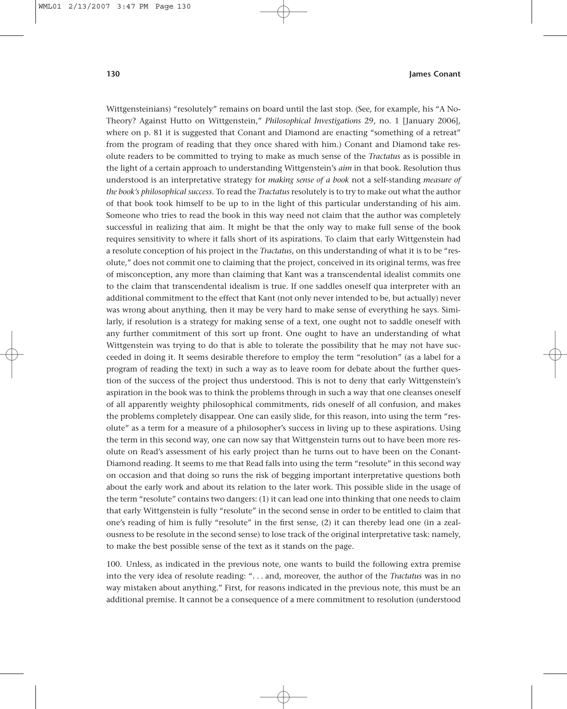Wittgensteinians) "resolutely" remains on board until the last stop. (See, for example, his "A No-Theory? Against Hutto on Wittgenstein," *Philosophical Investigations* 29, no. 1 [January 2006], where on p. 81 it is suggested that Conant and Diamond are enacting "something of a retreat" from the program of reading that they once shared with him.) Conant and Diamond take resolute readers to be committed to trying to make as much sense of the *Tractatus* as is possible in the light of a certain approach to understanding Wittgenstein's *aim* in that book. Resolution thus understood is an interpretative strategy for *making sense of a book* not a self-standing *measure of the book's philosophical success.* To read the *Tractatus* resolutely is to try to make out what the author of that book took himself to be up to in the light of this particular understanding of his aim. Someone who tries to read the book in this way need not claim that the author was completely successful in realizing that aim. It might be that the only way to make full sense of the book requires sensitivity to where it falls short of its aspirations. To claim that early Wittgenstein had a resolute conception of his project in the *Tractatus*, on this understanding of what it is to be "resolute," does not commit one to claiming that the project, conceived in its original terms, was free of misconception, any more than claiming that Kant was a transcendental idealist commits one to the claim that transcendental idealism is true. If one saddles oneself qua interpreter with an additional commitment to the effect that Kant (not only never intended to be, but actually) never was wrong about anything, then it may be very hard to make sense of everything he says. Similarly, if resolution is a strategy for making sense of a text, one ought not to saddle oneself with any further commitment of this sort up front. One ought to have an understanding of what Wittgenstein was trying to do that is able to tolerate the possibility that he may not have succeeded in doing it. It seems desirable therefore to employ the term "resolution" (as a label for a program of reading the text) in such a way as to leave room for debate about the further question of the success of the project thus understood. This is not to deny that early Wittgenstein's aspiration in the book was to think the problems through in such a way that one cleanses oneself of all apparently weighty philosophical commitments, rids oneself of all confusion, and makes the problems completely disappear. One can easily slide, for this reason, into using the term "resolute" as a term for a measure of a philosopher's success in living up to these aspirations. Using the term in this second way, one can now say that Wittgenstein turns out to have been more resolute on Read's assessment of his early project than he turns out to have been on the Conant-Diamond reading. It seems to me that Read falls into using the term "resolute" in this second way on occasion and that doing so runs the risk of begging important interpretative questions both about the early work and about its relation to the later work. This possible slide in the usage of the term "resolute" contains two dangers: (1) it can lead one into thinking that one needs to claim that early Wittgenstein is fully "resolute" in the second sense in order to be entitled to claim that one's reading of him is fully "resolute" in the first sense, (2) it can thereby lead one (in a zealousness to be resolute in the second sense) to lose track of the original interpretative task: namely, to make the best possible sense of the text as it stands on the page.

100. Unless, as indicated in the previous note, one wants to build the following extra premise into the very idea of resolute reading: ". . . and, moreover, the author of the *Tractatus* was in no way mistaken about anything." First, for reasons indicated in the previous note, this must be an additional premise. It cannot be a consequence of a mere commitment to resolution (understood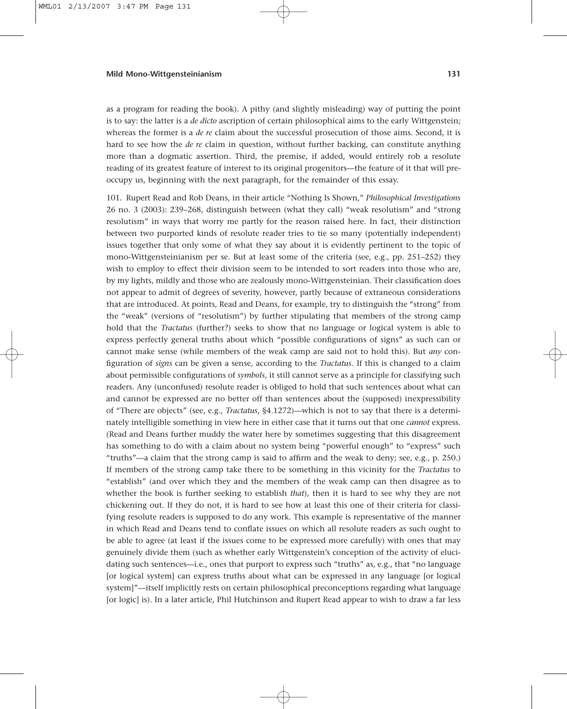as a program for reading the book). A pithy (and slightly misleading) way of putting the point is to say: the latter is a *de dicto* ascription of certain philosophical aims to the early Wittgenstein; whereas the former is a *de re* claim about the successful prosecution of those aims. Second, it is hard to see how the *de re* claim in question, without further backing, can constitute anything more than a dogmatic assertion. Third, the premise, if added, would entirely rob a resolute reading of its greatest feature of interest to its original progenitors—the feature of it that will preoccupy us, beginning with the next paragraph, for the remainder of this essay.

101. Rupert Read and Rob Deans, in their article "Nothing Is Shown," *Philosophical Investigations* 26 no. 3 (2003): 239–268, distinguish between (what they call) "weak resolutism" and "strong resolutism" in ways that worry me partly for the reason raised here. In fact, their distinction between two purported kinds of resolute reader tries to tie so many (potentially independent) issues together that only some of what they say about it is evidently pertinent to the topic of mono-Wittgensteinianism per se. But at least some of the criteria (see, e.g., pp. 251–252) they wish to employ to effect their division seem to be intended to sort readers into those who are, by my lights, mildly and those who are zealously mono-Wittgensteinian. Their classification does not appear to admit of degrees of severity, however, partly because of extraneous considerations that are introduced. At points, Read and Deans, for example, try to distinguish the "strong" from the "weak" (versions of "resolutism") by further stipulating that members of the strong camp hold that the *Tractatus* (further?) seeks to show that no language or logical system is able to express perfectly general truths about which "possible configurations of signs" as such can or cannot make sense (while members of the weak camp are said not to hold this). But *any* configuration of *signs* can be given a sense, according to the *Tractatus*. If this is changed to a claim about permissible configurations of *symbols*, it still cannot serve as a principle for classifying such readers. Any (unconfused) resolute reader is obliged to hold that such sentences about what can and cannot be expressed are no better off than sentences about the (supposed) inexpressibility of "There are objects" (see, e.g., *Tractatus*, §4.1272)—which is not to say that there is a determinately intelligible something in view here in either case that it turns out that one *cannot* express. (Read and Deans further muddy the water here by sometimes suggesting that this disagreement has something to do with a claim about no system being "powerful enough" to "express" such "truths"—a claim that the strong camp is said to affirm and the weak to deny; see, e.g., p. 250.) If members of the strong camp take there to be something in this vicinity for the *Tractatus* to "establish" (and over which they and the members of the weak camp can then disagree as to whether the book is further seeking to establish *that*), then it is hard to see why they are not chickening out. If they do not, it is hard to see how at least this one of their criteria for classifying resolute readers is supposed to do any work. This example is representative of the manner in which Read and Deans tend to conflate issues on which all resolute readers as such ought to be able to agree (at least if the issues come to be expressed more carefully) with ones that may genuinely divide them (such as whether early Wittgenstein's conception of the activity of elucidating such sentences—i.e., ones that purport to express such "truths" as, e.g., that "no language [or logical system] can express truths about what can be expressed in any language [or logical system]"—itself implicitly rests on certain philosophical preconceptions regarding what language [or logic] is). In a later article, Phil Hutchinson and Rupert Read appear to wish to draw a far less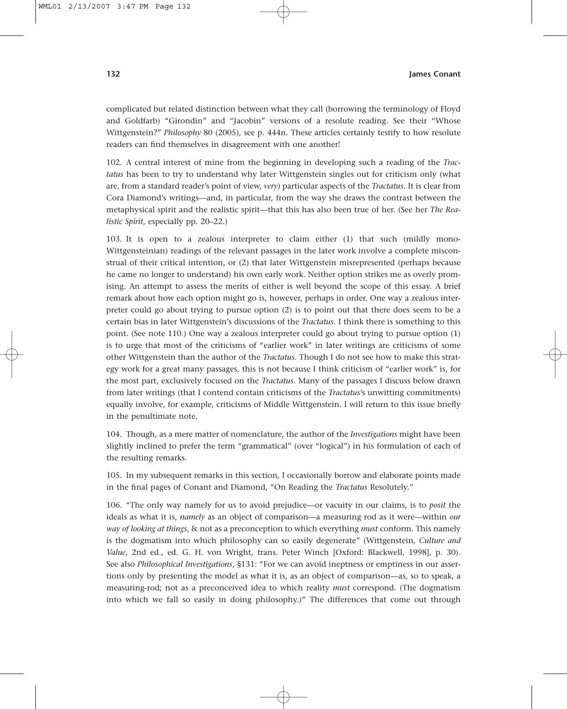complicated but related distinction between what they call (borrowing the terminology of Floyd and Goldfarb) "Girondin" and "Jacobin" versions of a resolute reading. See their "Whose Wittgenstein?" *Philosophy* 80 (2005), see p. 444n. These articles certainly testify to how resolute readers can find themselves in disagreement with one another!

102. A central interest of mine from the beginning in developing such a reading of the *Tractatus* has been to try to understand why later Wittgenstein singles out for criticism only (what are, from a standard reader's point of view, *very*) particular aspects of the *Tractatus*. It is clear from Cora Diamond's writings—and, in particular, from the way she draws the contrast between the metaphysical spirit and the realistic spirit—that this has also been true of her. (See her *The Realistic Spirit*, especially pp. 20–22.)

103. It is open to a zealous interpreter to claim either (1) that such (mildly mono-Wittgensteinian) readings of the relevant passages in the later work involve a complete misconstrual of their critical intention, or (2) that later Wittgenstein misrepresented (perhaps because he came no longer to understand) his own early work. Neither option strikes me as overly promising. An attempt to assess the merits of either is well beyond the scope of this essay. A brief remark about how each option might go is, however, perhaps in order. One way a zealous interpreter could go about trying to pursue option (2) is to point out that there does seem to be a certain bias in later Wittgenstein's discussions of the *Tractatus*. I think there is something to this point. (See note 110.) One way a zealous interpreter could go about trying to pursue option (1) is to urge that most of the criticisms of "earlier work" in later writings are criticisms of some other Wittgenstein than the author of the *Tractatus.* Though I do not see how to make this strategy work for a great many passages, this is not because I think criticism of "earlier work" is, for the most part, exclusively focused on the *Tractatus*. Many of the passages I discuss below drawn from later writings (that I contend contain criticisms of the *Tractatus*'s unwitting commitments) equally involve, for example, criticisms of Middle Wittgenstein. I will return to this issue briefly in the penultimate note.

104. Though, as a mere matter of nomenclature, the author of the *Investigations* might have been slightly inclined to prefer the term "grammatical" (over "logical") in his formulation of each of the resulting remarks.

105. In my subsequent remarks in this section, I occasionally borrow and elaborate points made in the final pages of Conant and Diamond, "On Reading the *Tractatus* Resolutely."

106. "The only way namely for us to avoid prejudice—or vacuity in our claims, is to *posit* the ideals as what it is, *namely* as an object of comparison—a measuring rod as it were—within *our way of looking at things*, & not as a preconception to which everything *must* conform. This namely is the dogmatism into which philosophy can so easily degenerate" (Wittgenstein, *Culture and Value*, 2nd ed., ed. G. H. von Wright, trans. Peter Winch [Oxford: Blackwell, 1998], p. 30). See also *Philosophical Investigations*, §131: "For we can avoid ineptness or emptiness in our assertions only by presenting the model as what it is, as an object of comparison—as, so to speak, a measuring-rod; not as a preconceived idea to which reality *must* correspond. (The dogmatism into which we fall so easily in doing philosophy.)" The differences that come out through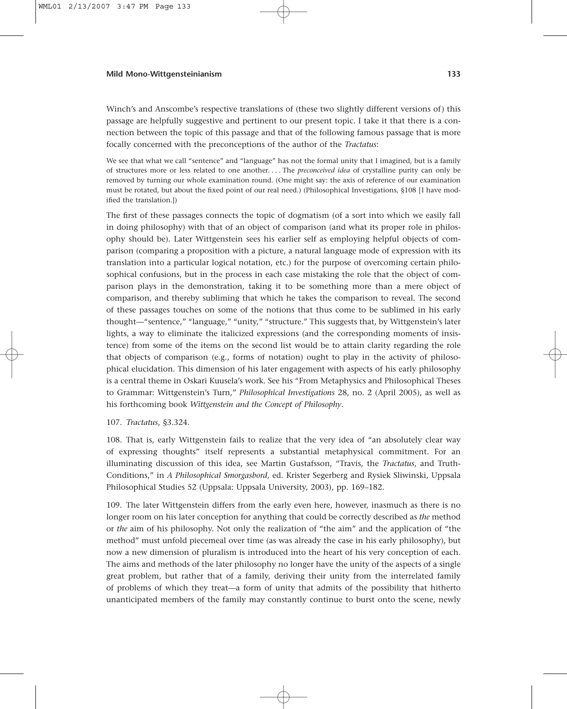Winch's and Anscombe's respective translations of (these two slightly different versions of) this passage are helpfully suggestive and pertinent to our present topic. I take it that there is a connection between the topic of this passage and that of the following famous passage that is more focally concerned with the preconceptions of the author of the *Tractatus*:

We see that what we call "sentence" and "language" has not the formal unity that I imagined, but is a family of structures more or less related to one another. . . . The *preconceived idea* of crystalline purity can only be removed by turning our whole examination round. (One might say: the axis of reference of our examination must be rotated, but about the fixed point of our real need.) (Philosophical Investigations, §108 [I have modified the translation.])

The first of these passages connects the topic of dogmatism (of a sort into which we easily fall in doing philosophy) with that of an object of comparison (and what its proper role in philosophy should be). Later Wittgenstein sees his earlier self as employing helpful objects of comparison (comparing a proposition with a picture, a natural language mode of expression with its translation into a particular logical notation, etc.) for the purpose of overcoming certain philosophical confusions, but in the process in each case mistaking the role that the object of comparison plays in the demonstration, taking it to be something more than a mere object of comparison, and thereby subliming that which he takes the comparison to reveal. The second of these passages touches on some of the notions that thus come to be sublimed in his early thought—"sentence," "language," "unity," "structure." This suggests that, by Wittgenstein's later lights, a way to eliminate the italicized expressions (and the corresponding moments of insistence) from some of the items on the second list would be to attain clarity regarding the role that objects of comparison (e.g., forms of notation) ought to play in the activity of philosophical elucidation. This dimension of his later engagement with aspects of his early philosophy is a central theme in Oskari Kuusela's work. See his "From Metaphysics and Philosophical Theses to Grammar: Wittgenstein's Turn," *Philosophical Investigations* 28, no. 2 (April 2005), as well as his forthcoming book *Wittgenstein and the Concept of Philosophy*.

#### 107. *Tractatus*, §3.324.

108. That is, early Wittgenstein fails to realize that the very idea of "an absolutely clear way of expressing thoughts" itself represents a substantial metaphysical commitment. For an illuminating discussion of this idea, see Martin Gustafsson, "Travis, the *Tractatus*, and Truth-Conditions," in *A Philosophical Smorgasbord*, ed. Krister Segerberg and Rysiek Sliwinski, Uppsala Philosophical Studies 52 (Uppsala: Uppsala University, 2003), pp. 169–182.

109. The later Wittgenstein differs from the early even here, however, inasmuch as there is no longer room on his later conception for anything that could be correctly described as *the* method or *the* aim of his philosophy. Not only the realization of "the aim" and the application of "the method" must unfold piecemeal over time (as was already the case in his early philosophy), but now a new dimension of pluralism is introduced into the heart of his very conception of each. The aims and methods of the later philosophy no longer have the unity of the aspects of a single great problem, but rather that of a family, deriving their unity from the interrelated family of problems of which they treat—a form of unity that admits of the possibility that hitherto unanticipated members of the family may constantly continue to burst onto the scene, newly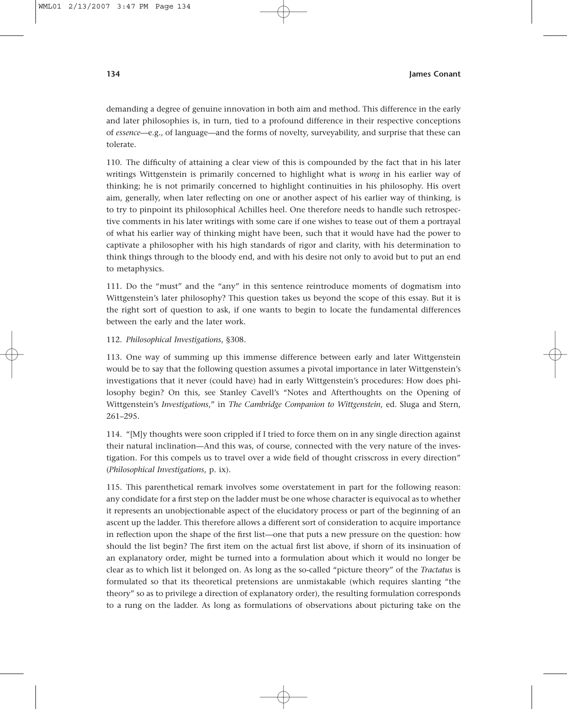demanding a degree of genuine innovation in both aim and method. This difference in the early and later philosophies is, in turn, tied to a profound difference in their respective conceptions of *essence*—e.g., of language—and the forms of novelty, surveyability, and surprise that these can tolerate.

110. The difficulty of attaining a clear view of this is compounded by the fact that in his later writings Wittgenstein is primarily concerned to highlight what is *wrong* in his earlier way of thinking; he is not primarily concerned to highlight continuities in his philosophy. His overt aim, generally, when later reflecting on one or another aspect of his earlier way of thinking, is to try to pinpoint its philosophical Achilles heel. One therefore needs to handle such retrospective comments in his later writings with some care if one wishes to tease out of them a portrayal of what his earlier way of thinking might have been, such that it would have had the power to captivate a philosopher with his high standards of rigor and clarity, with his determination to think things through to the bloody end, and with his desire not only to avoid but to put an end to metaphysics.

111. Do the "must" and the "any" in this sentence reintroduce moments of dogmatism into Wittgenstein's later philosophy? This question takes us beyond the scope of this essay. But it is the right sort of question to ask, if one wants to begin to locate the fundamental differences between the early and the later work.

112. *Philosophical Investigations*, §308.

113. One way of summing up this immense difference between early and later Wittgenstein would be to say that the following question assumes a pivotal importance in later Wittgenstein's investigations that it never (could have) had in early Wittgenstein's procedures: How does philosophy begin? On this, see Stanley Cavell's "Notes and Afterthoughts on the Opening of Wittgenstein's *Investigations*," in *The Cambridge Companion to Wittgenstein*, ed. Sluga and Stern, 261–295.

114. "[M]y thoughts were soon crippled if I tried to force them on in any single direction against their natural inclination—And this was, of course, connected with the very nature of the investigation. For this compels us to travel over a wide field of thought crisscross in every direction" (*Philosophical Investigations*, p. ix).

115. This parenthetical remark involves some overstatement in part for the following reason: any condidate for a first step on the ladder must be one whose character is equivocal as to whether it represents an unobjectionable aspect of the elucidatory process or part of the beginning of an ascent up the ladder. This therefore allows a different sort of consideration to acquire importance in reflection upon the shape of the first list—one that puts a new pressure on the question: how should the list begin? The first item on the actual first list above, if shorn of its insinuation of an explanatory order, might be turned into a formulation about which it would no longer be clear as to which list it belonged on. As long as the so-called "picture theory" of the *Tractatus* is formulated so that its theoretical pretensions are unmistakable (which requires slanting "the theory" so as to privilege a direction of explanatory order), the resulting formulation corresponds to a rung on the ladder. As long as formulations of observations about picturing take on the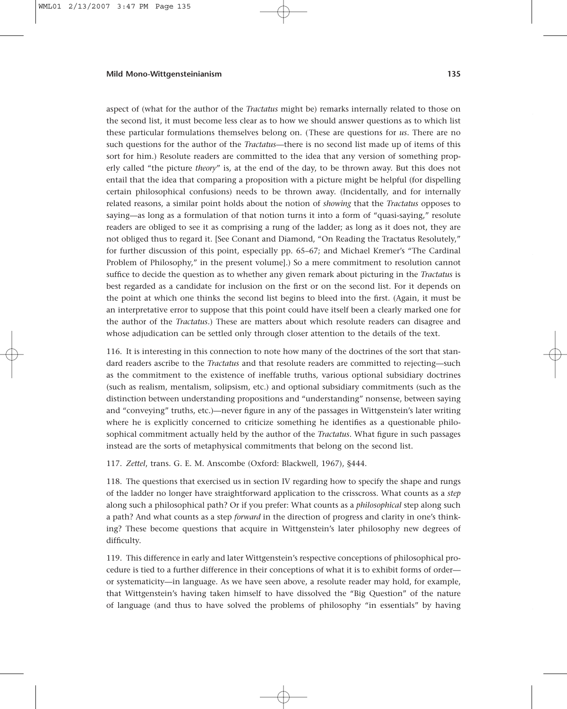aspect of (what for the author of the *Tractatus* might be) remarks internally related to those on the second list, it must become less clear as to how we should answer questions as to which list these particular formulations themselves belong on. (These are questions for *us*. There are no such questions for the author of the *Tractatus*—there is no second list made up of items of this sort for him.) Resolute readers are committed to the idea that any version of something properly called "the picture *theory*" is, at the end of the day, to be thrown away. But this does not entail that the idea that comparing a proposition with a picture might be helpful (for dispelling certain philosophical confusions) needs to be thrown away. (Incidentally, and for internally related reasons, a similar point holds about the notion of *showing* that the *Tractatus* opposes to saying—as long as a formulation of that notion turns it into a form of "quasi-saying," resolute readers are obliged to see it as comprising a rung of the ladder; as long as it does not, they are not obliged thus to regard it. [See Conant and Diamond, "On Reading the Tractatus Resolutely," for further discussion of this point, especially pp. 65–67; and Michael Kremer's "The Cardinal Problem of Philosophy," in the present volume].) So a mere commitment to resolution cannot suffice to decide the question as to whether any given remark about picturing in the *Tractatus* is best regarded as a candidate for inclusion on the first or on the second list. For it depends on the point at which one thinks the second list begins to bleed into the first. (Again, it must be an interpretative error to suppose that this point could have itself been a clearly marked one for the author of the *Tractatus*.) These are matters about which resolute readers can disagree and whose adjudication can be settled only through closer attention to the details of the text.

116. It is interesting in this connection to note how many of the doctrines of the sort that standard readers ascribe to the *Tractatus* and that resolute readers are committed to rejecting—such as the commitment to the existence of ineffable truths, various optional subsidiary doctrines (such as realism, mentalism, solipsism, etc.) and optional subsidiary commitments (such as the distinction between understanding propositions and "understanding" nonsense, between saying and "conveying" truths, etc.)—never figure in any of the passages in Wittgenstein's later writing where he is explicitly concerned to criticize something he identifies as a questionable philosophical commitment actually held by the author of the *Tractatus*. What figure in such passages instead are the sorts of metaphysical commitments that belong on the second list.

117. *Zettel*, trans. G. E. M. Anscombe (Oxford: Blackwell, 1967), §444.

118. The questions that exercised us in section IV regarding how to specify the shape and rungs of the ladder no longer have straightforward application to the crisscross. What counts as a *step* along such a philosophical path? Or if you prefer: What counts as a *philosophical* step along such a path? And what counts as a step *forward* in the direction of progress and clarity in one's thinking? These become questions that acquire in Wittgenstein's later philosophy new degrees of difficulty.

119. This difference in early and later Wittgenstein's respective conceptions of philosophical procedure is tied to a further difference in their conceptions of what it is to exhibit forms of order or systematicity—in language. As we have seen above, a resolute reader may hold, for example, that Wittgenstein's having taken himself to have dissolved the "Big Question" of the nature of language (and thus to have solved the problems of philosophy "in essentials" by having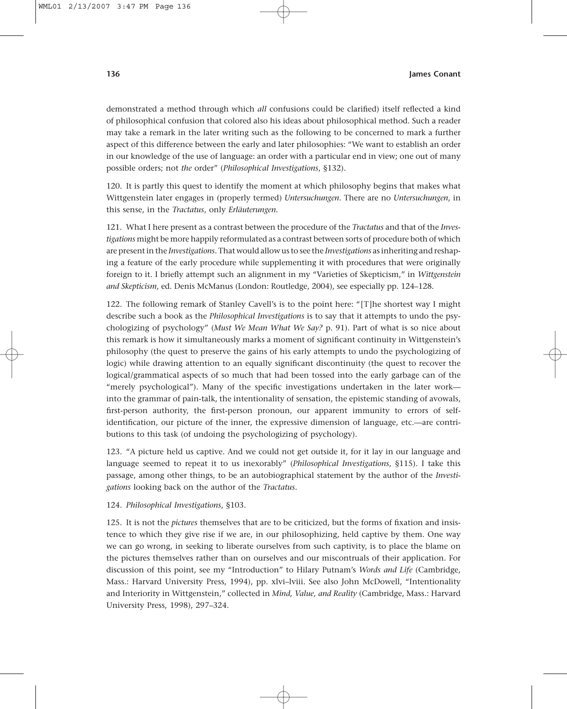demonstrated a method through which *all* confusions could be clarified) itself reflected a kind of philosophical confusion that colored also his ideas about philosophical method. Such a reader may take a remark in the later writing such as the following to be concerned to mark a further aspect of this difference between the early and later philosophies: "We want to establish an order in our knowledge of the use of language: an order with a particular end in view; one out of many possible orders; not *the* order" (*Philosophical Investigations*, §132).

120. It is partly this quest to identify the moment at which philosophy begins that makes what Wittgenstein later engages in (properly termed) *Untersuchungen*. There are no *Untersuchungen*, in this sense, in the *Tractatus*, only *Erläuterungen.*

121. What I here present as a contrast between the procedure of the *Tractatus* and that of the *Investigations* might be more happily reformulated as a contrast between sorts of procedure both of which are present in the *Investigations*. That would allow us to see the *Investigations* as inheriting and reshaping a feature of the early procedure while supplementing it with procedures that were originally foreign to it. I briefly attempt such an alignment in my "Varieties of Skepticism," in *Wittgenstein and Skepticism*, ed. Denis McManus (London: Routledge, 2004), see especially pp. 124–128.

122. The following remark of Stanley Cavell's is to the point here: "[T]he shortest way I might describe such a book as the *Philosophical Investigations* is to say that it attempts to undo the psychologizing of psychology" (*Must We Mean What We Say?* p. 91). Part of what is so nice about this remark is how it simultaneously marks a moment of significant continuity in Wittgenstein's philosophy (the quest to preserve the gains of his early attempts to undo the psychologizing of logic) while drawing attention to an equally significant discontinuity (the quest to recover the logical/grammatical aspects of so much that had been tossed into the early garbage can of the "merely psychological"). Many of the specific investigations undertaken in the later work into the grammar of pain-talk, the intentionality of sensation, the epistemic standing of avowals, first-person authority, the first-person pronoun, our apparent immunity to errors of selfidentification, our picture of the inner, the expressive dimension of language, etc.—are contributions to this task (of undoing the psychologizing of psychology).

123. "A picture held us captive. And we could not get outside it, for it lay in our language and language seemed to repeat it to us inexorably" (*Philosophical Investigations*, §115). I take this passage, among other things, to be an autobiographical statement by the author of the *Investigations* looking back on the author of the *Tractatus*.

#### 124. *Philosophical Investigations*, §103.

125. It is not the *pictures* themselves that are to be criticized, but the forms of fixation and insistence to which they give rise if we are, in our philosophizing, held captive by them. One way we can go wrong, in seeking to liberate ourselves from such captivity, is to place the blame on the pictures themselves rather than on ourselves and our miscontruals of their application. For discussion of this point, see my "Introduction" to Hilary Putnam's *Words and Life* (Cambridge, Mass.: Harvard University Press, 1994), pp. xlvi–lviii. See also John McDowell, "Intentionality and Interiority in Wittgenstein," collected in *Mind, Value, and Reality* (Cambridge, Mass.: Harvard University Press, 1998), 297–324.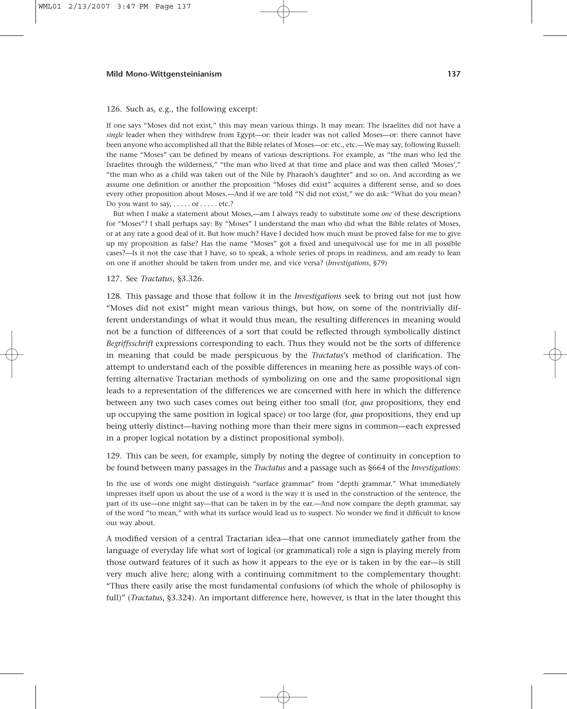# 126. Such as, e.g., the following excerpt:

If one says "Moses did not exist," this may mean various things. It may mean: The Israelites did not have a *single* leader when they withdrew from Egypt—or: their leader was not called Moses—or: there cannot have been anyone who accomplished all that the Bible relates of Moses—or: etc., etc.—We may say, following Russell: the name "Moses" can be defined by means of various descriptions. For example, as "the man who led the Israelites through the wilderness," "the man who lived at that time and place and was then called 'Moses'," "the man who as a child was taken out of the Nile by Pharaoh's daughter" and so on. And according as we assume one definition or another the proposition "Moses did exist" acquires a different sense, and so does every other proposition about Moses.—And if we are told "N did not exist," we do ask: "What do you mean? Do you want to say, . . . . . or . . . . . etc.?

But when I make a statement about Moses,—am I always ready to substitute some *one* of these descriptions for "Moses"? I shall perhaps say: By "Moses" I understand the man who did what the Bible relates of Moses, or at any rate a good deal of it. But how much? Have I decided how much must be proved false for me to give up my proposition as false? Has the name "Moses" got a fixed and unequivocal use for me in all possible cases?—Is it not the case that I have, so to speak, a whole series of props in readiness, and am ready to lean on one if another should be taken from under me, and vice versa? (*Investigations*, §79)

## 127. See *Tractatus*, §3.326.

128. This passage and those that follow it in the *Investigations* seek to bring out not just how "Moses did not exist" might mean various things, but how, on some of the nontrivially different understandings of what it would thus mean, the resulting differences in meaning would not be a function of differences of a sort that could be reflected through symbolically distinct *Begriffsschrift* expressions corresponding to each. Thus they would not be the sorts of difference in meaning that could be made perspicuous by the *Tractatus*'s method of clarification. The attempt to understand each of the possible differences in meaning here as possible ways of conferring alternative Tractarian methods of symbolizing on one and the same propositional sign leads to a representation of the differences we are concerned with here in which the difference between any two such cases comes out being either too small (for, *qua* propositions, they end up occupying the same position in logical space) or too large (for, *qua* propositions, they end up being utterly distinct—having nothing more than their mere signs in common—each expressed in a proper logical notation by a distinct propositional symbol).

129. This can be seen, for example, simply by noting the degree of continuity in conception to be found between many passages in the *Tractatus* and a passage such as §664 of the *Investigations*:

In the use of words one might distinguish "surface grammar" from "depth grammar." What immediately impresses itself upon us about the use of a word is the way it is used in the construction of the sentence, the part of its use—one might say—that can be taken in by the ear.—And now compare the depth grammar, say of the word "to mean," with what its surface would lead us to suspect. No wonder we find it difficult to know our way about.

A modified version of a central Tractarian idea—that one cannot immediately gather from the language of everyday life what sort of logical (or grammatical) role a sign is playing merely from those outward features of it such as how it appears to the eye or is taken in by the ear—is still very much alive here; along with a continuing commitment to the complementary thought: "Thus there easily arise the most fundamental confusions (of which the whole of philosophy is full)" (*Tractatus*, §3.324). An important difference here, however, is that in the later thought this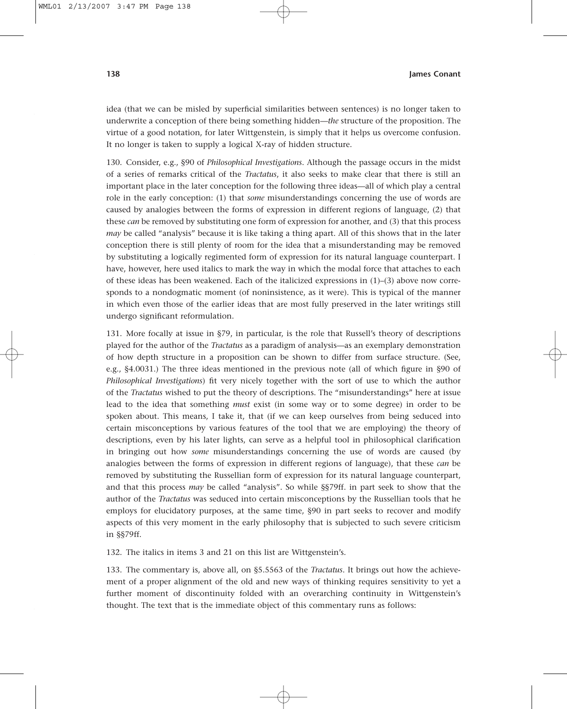idea (that we can be misled by superficial similarities between sentences) is no longer taken to underwrite a conception of there being something hidden—*the* structure of the proposition. The virtue of a good notation, for later Wittgenstein, is simply that it helps us overcome confusion. It no longer is taken to supply a logical X-ray of hidden structure.

130. Consider, e.g., §90 of *Philosophical Investigations*. Although the passage occurs in the midst of a series of remarks critical of the *Tractatus*, it also seeks to make clear that there is still an important place in the later conception for the following three ideas—all of which play a central role in the early conception: (1) that *some* misunderstandings concerning the use of words are caused by analogies between the forms of expression in different regions of language, (2) that these *can* be removed by substituting one form of expression for another, and (3) that this process *may* be called "analysis" because it is like taking a thing apart. All of this shows that in the later conception there is still plenty of room for the idea that a misunderstanding may be removed by substituting a logically regimented form of expression for its natural language counterpart. I have, however, here used italics to mark the way in which the modal force that attaches to each of these ideas has been weakened. Each of the italicized expressions in (1)–(3) above now corresponds to a nondogmatic moment (of noninsistence, as it were). This is typical of the manner in which even those of the earlier ideas that are most fully preserved in the later writings still undergo significant reformulation.

131. More focally at issue in §79, in particular, is the role that Russell's theory of descriptions played for the author of the *Tractatus* as a paradigm of analysis—as an exemplary demonstration of how depth structure in a proposition can be shown to differ from surface structure. (See, e.g., §4.0031.) The three ideas mentioned in the previous note (all of which figure in §90 of *Philosophical Investigations*) fit very nicely together with the sort of use to which the author of the *Tractatus* wished to put the theory of descriptions. The "misunderstandings" here at issue lead to the idea that something *must* exist (in some way or to some degree) in order to be spoken about. This means, I take it, that (if we can keep ourselves from being seduced into certain misconceptions by various features of the tool that we are employing) the theory of descriptions, even by his later lights, can serve as a helpful tool in philosophical clarification in bringing out how *some* misunderstandings concerning the use of words are caused (by analogies between the forms of expression in different regions of language), that these *can* be removed by substituting the Russellian form of expression for its natural language counterpart, and that this process *may* be called "analysis". So while §§79ff. in part seek to show that the author of the *Tractatus* was seduced into certain misconceptions by the Russellian tools that he employs for elucidatory purposes, at the same time, §90 in part seeks to recover and modify aspects of this very moment in the early philosophy that is subjected to such severe criticism in §§79ff.

132. The italics in items 3 and 21 on this list are Wittgenstein's.

133. The commentary is, above all, on §5.5563 of the *Tractatus*. It brings out how the achievement of a proper alignment of the old and new ways of thinking requires sensitivity to yet a further moment of discontinuity folded with an overarching continuity in Wittgenstein's thought. The text that is the immediate object of this commentary runs as follows: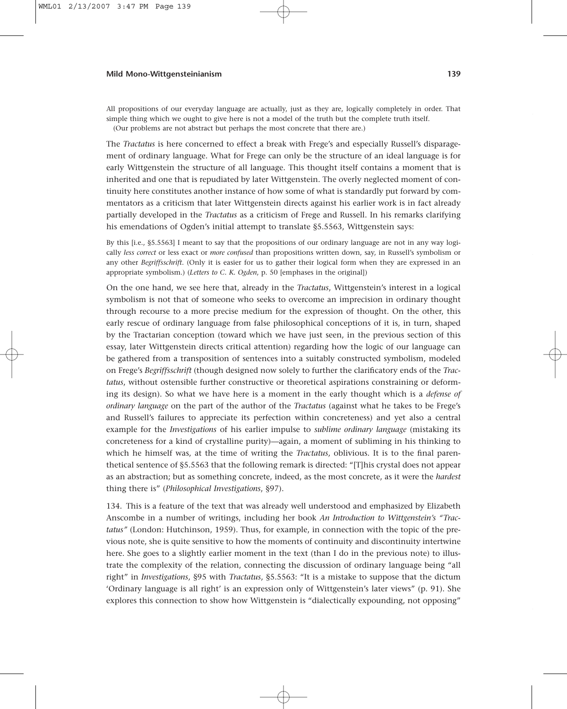All propositions of our everyday language are actually, just as they are, logically completely in order. That simple thing which we ought to give here is not a model of the truth but the complete truth itself. (Our problems are not abstract but perhaps the most concrete that there are.)

The *Tractatus* is here concerned to effect a break with Frege's and especially Russell's disparagement of ordinary language. What for Frege can only be the structure of an ideal language is for early Wittgenstein the structure of all language. This thought itself contains a moment that is inherited and one that is repudiated by later Wittgenstein. The overly neglected moment of continuity here constitutes another instance of how some of what is standardly put forward by commentators as a criticism that later Wittgenstein directs against his earlier work is in fact already partially developed in the *Tractatus* as a criticism of Frege and Russell. In his remarks clarifying his emendations of Ogden's initial attempt to translate §5.5563, Wittgenstein says:

By this [i.e., §5.5563] I meant to say that the propositions of our ordinary language are not in any way logically *less correct* or less exact or *more confused* than propositions written down, say, in Russell's symbolism or any other *Begriffsschrift*. (Only it is easier for us to gather their logical form when they are expressed in an appropriate symbolism.) (*Letters to C. K. Ogden*, p. 50 [emphases in the original])

On the one hand, we see here that, already in the *Tractatus*, Wittgenstein's interest in a logical symbolism is not that of someone who seeks to overcome an imprecision in ordinary thought through recourse to a more precise medium for the expression of thought. On the other, this early rescue of ordinary language from false philosophical conceptions of it is, in turn, shaped by the Tractarian conception (toward which we have just seen, in the previous section of this essay, later Wittgenstein directs critical attention) regarding how the logic of our language can be gathered from a transposition of sentences into a suitably constructed symbolism, modeled on Frege's *Begriffsschrift* (though designed now solely to further the clarificatory ends of the *Tractatus*, without ostensible further constructive or theoretical aspirations constraining or deforming its design). So what we have here is a moment in the early thought which is a *defense of ordinary language* on the part of the author of the *Tractatus* (against what he takes to be Frege's and Russell's failures to appreciate its perfection within concreteness) and yet also a central example for the *Investigations* of his earlier impulse to *sublime ordinary language* (mistaking its concreteness for a kind of crystalline purity)—again, a moment of subliming in his thinking to which he himself was, at the time of writing the *Tractatus*, oblivious. It is to the final parenthetical sentence of §5.5563 that the following remark is directed: "[T]his crystal does not appear as an abstraction; but as something concrete, indeed, as the most concrete, as it were the *hardest* thing there is" (*Philosophical Investigations*, §97).

134. This is a feature of the text that was already well understood and emphasized by Elizabeth Anscombe in a number of writings, including her book *An Introduction to Wittgenstein's "Tractatus"* (London: Hutchinson, 1959). Thus, for example, in connection with the topic of the previous note, she is quite sensitive to how the moments of continuity and discontinuity intertwine here. She goes to a slightly earlier moment in the text (than I do in the previous note) to illustrate the complexity of the relation, connecting the discussion of ordinary language being "all right" in *Investigations*, §95 with *Tractatus*, §5.5563: "It is a mistake to suppose that the dictum 'Ordinary language is all right' is an expression only of Wittgenstein's later views" (p. 91). She explores this connection to show how Wittgenstein is "dialectically expounding, not opposing"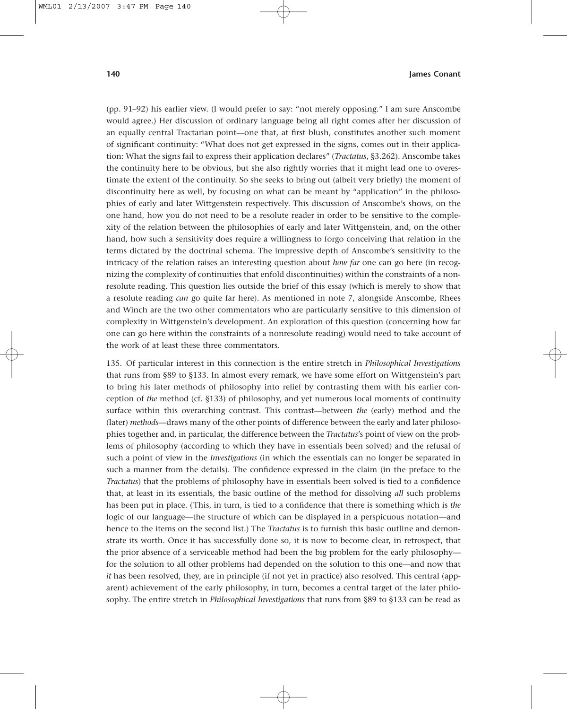(pp. 91–92) his earlier view. (I would prefer to say: "not merely opposing." I am sure Anscombe would agree.) Her discussion of ordinary language being all right comes after her discussion of an equally central Tractarian point—one that, at first blush, constitutes another such moment of significant continuity: "What does not get expressed in the signs, comes out in their application: What the signs fail to express their application declares" (*Tractatus*, §3.262). Anscombe takes the continuity here to be obvious, but she also rightly worries that it might lead one to overestimate the extent of the continuity. So she seeks to bring out (albeit very briefly) the moment of discontinuity here as well, by focusing on what can be meant by "application" in the philosophies of early and later Wittgenstein respectively. This discussion of Anscombe's shows, on the one hand, how you do not need to be a resolute reader in order to be sensitive to the complexity of the relation between the philosophies of early and later Wittgenstein, and, on the other hand, how such a sensitivity does require a willingness to forgo conceiving that relation in the terms dictated by the doctrinal schema. The impressive depth of Anscombe's sensitivity to the intricacy of the relation raises an interesting question about *how far* one can go here (in recognizing the complexity of continuities that enfold discontinuities) within the constraints of a nonresolute reading. This question lies outside the brief of this essay (which is merely to show that a resolute reading *can* go quite far here). As mentioned in note 7, alongside Anscombe, Rhees and Winch are the two other commentators who are particularly sensitive to this dimension of complexity in Wittgenstein's development. An exploration of this question (concerning how far one can go here within the constraints of a nonresolute reading) would need to take account of the work of at least these three commentators.

135. Of particular interest in this connection is the entire stretch in *Philosophical Investigations* that runs from §89 to §133. In almost every remark, we have some effort on Wittgenstein's part to bring his later method*s* of philosophy into relief by contrasting them with his earlier conception of *the* method (cf. §133) of philosophy, and yet numerous local moments of continuity surface within this overarching contrast. This contrast—between *the* (early) method and the (later) *methods*—draws many of the other points of difference between the early and later philosophies together and, in particular, the difference between the *Tractatus*'s point of view on the problems of philosophy (according to which they have in essentials been solved) and the refusal of such a point of view in the *Investigations* (in which the essentials can no longer be separated in such a manner from the details). The confidence expressed in the claim (in the preface to the *Tractatus*) that the problems of philosophy have in essentials been solved is tied to a confidence that, at least in its essentials, the basic outline of the method for dissolving *all* such problems has been put in place. (This, in turn, is tied to a confidence that there is something which is *the* logic of our language—the structure of which can be displayed in a perspicuous notation—and hence to the items on the second list.) The *Tractatus* is to furnish this basic outline and demonstrate its worth. Once it has successfully done so, it is now to become clear, in retrospect, that the prior absence of a serviceable method had been the big problem for the early philosophy for the solution to all other problems had depended on the solution to this one—and now that *it* has been resolved, they, are in principle (if not yet in practice) also resolved. This central (apparent) achievement of the early philosophy, in turn, becomes a central target of the later philosophy. The entire stretch in *Philosophical Investigations* that runs from §89 to §133 can be read as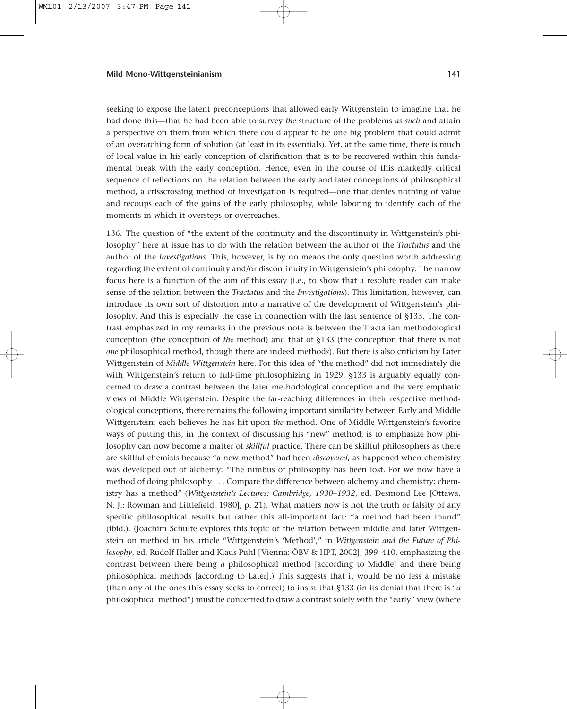seeking to expose the latent preconceptions that allowed early Wittgenstein to imagine that he had done this—that he had been able to survey *the* structure of the problems *as such* and attain a perspective on them from which there could appear to be one big problem that could admit of an overarching form of solution (at least in its essentials). Yet, at the same time, there is much of local value in his early conception of clarification that is to be recovered within this fundamental break with the early conception. Hence, even in the course of this markedly critical sequence of reflections on the relation between the early and later conceptions of philosophical method, a crisscrossing method of investigation is required—one that denies nothing of value and recoups each of the gains of the early philosophy, while laboring to identify each of the moments in which it oversteps or overreaches.

136. The question of "the extent of the continuity and the discontinuity in Wittgenstein's philosophy" here at issue has to do with the relation between the author of the *Tractatus* and the author of the *Investigations*. This, however, is by no means the only question worth addressing regarding the extent of continuity and/or discontinuity in Wittgenstein's philosophy. The narrow focus here is a function of the aim of this essay (i.e., to show that a resolute reader can make sense of the relation between the *Tractatus* and the *Investigations*). This limitation, however, can introduce its own sort of distortion into a narrative of the development of Wittgenstein's philosophy. And this is especially the case in connection with the last sentence of §133. The contrast emphasized in my remarks in the previous note is between the Tractarian methodological conception (the conception of *the* method) and that of §133 (the conception that there is not *one* philosophical method, though there are indeed method*s*). But there is also criticism by Later Wittgenstein of *Middle Wittgenstein* here. For this idea of "the method" did not immediately die with Wittgenstein's return to full-time philosophizing in 1929. §133 is arguably equally concerned to draw a contrast between the later methodological conception and the very emphatic views of Middle Wittgenstein. Despite the far-reaching differences in their respective methodological conceptions, there remains the following important similarity between Early and Middle Wittgenstein: each believes he has hit upon *the* method. One of Middle Wittgenstein's favorite ways of putting this, in the context of discussing his "new" method, is to emphasize how philosophy can now become a matter of *skillful* practice. There can be skillful philosophers as there are skillful chemists because "a new method" had been *discovered*, as happened when chemistry was developed out of alchemy: "The nimbus of philosophy has been lost. For we now have a method of doing philosophy . . . Compare the difference between alchemy and chemistry; chemistry has a method" (*Wittgenstein's Lectures: Cambridge, 1930–1932*, ed. Desmond Lee [Ottawa, N. J.: Rowman and Littlefield, 1980], p. 21). What matters now is not the truth or falsity of any specific philosophical results but rather this all-important fact: "a method had been found" (ibid.). (Joachim Schulte explores this topic of the relation between middle and later Wittgenstein on method in his article "Wittgenstein's 'Method'," in *Wittgenstein and the Future of Philosophy*, ed. Rudolf Haller and Klaus Puhl [Vienna: ÖBV & HPT, 2002], 399–410, emphasizing the contrast between there being *a* philosophical method [according to Middle] and there being philosophical method*s* [according to Later].) This suggests that it would be no less a mistake (than any of the ones this essay seeks to correct) to insist that §133 (in its denial that there is "*a* philosophical method") must be concerned to draw a contrast solely with the "early" view (where